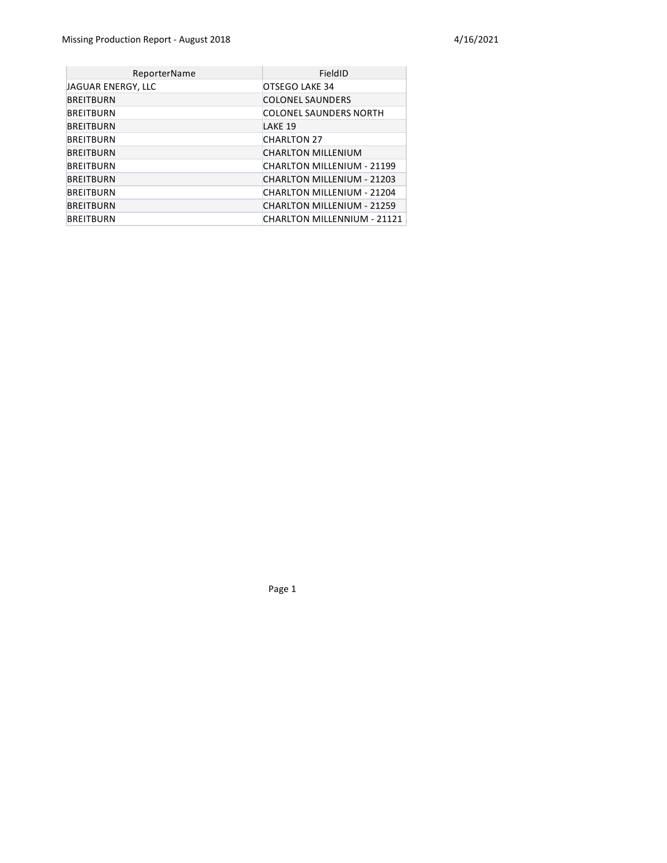| ReporterName       | FieldID                       |
|--------------------|-------------------------------|
| JAGUAR ENERGY, LLC | OTSEGO LAKE 34                |
| <b>BREITBURN</b>   | <b>COLONEL SAUNDERS</b>       |
| BREITBURN          | <b>COLONEL SAUNDERS NORTH</b> |
| <b>BREITBURN</b>   | LAKE 19                       |
| <b>BREITBURN</b>   | <b>CHARLTON 27</b>            |
| <b>BREITBURN</b>   | <b>CHARLTON MILLENIUM</b>     |
| <b>BREITBURN</b>   | CHARLTON MILLENIUM - 21199    |
| <b>BREITBURN</b>   | CHARLTON MILLENIUM - 21203    |
| <b>BREITBURN</b>   | CHARLTON MILLENIUM - 21204    |
| <b>BREITBURN</b>   | CHARLTON MILLENIUM - 21259    |
| <b>BREITBURN</b>   | CHARLTON MILLENNIUM - 21121   |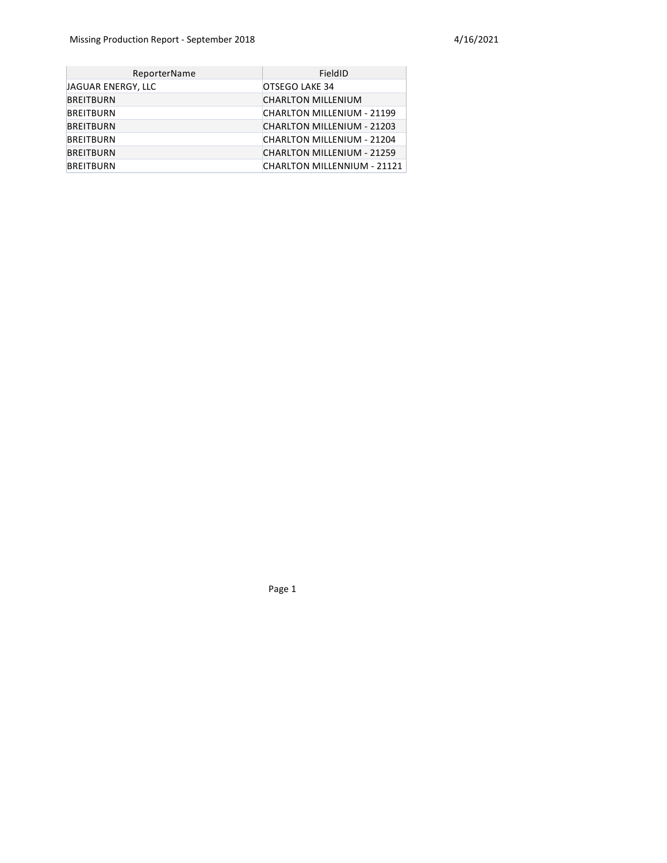| <b>ReporterName</b> | FieldID                           |
|---------------------|-----------------------------------|
| JAGUAR ENERGY, LLC  | OTSEGO LAKE 34                    |
| <b>BREITBURN</b>    | <b>CHARLTON MILLENIUM</b>         |
| <b>BREITBURN</b>    | CHARLTON MILLENIUM - 21199        |
| <b>BREITBURN</b>    | CHARLTON MILLENIUM - 21203        |
| <b>BREITBURN</b>    | CHARLTON MILLENIUM - 21204        |
| <b>BREITBURN</b>    | <b>CHARLTON MILLENIUM - 21259</b> |
| <b>BREITBURN</b>    | CHARLTON MILLENNIUM - 21121       |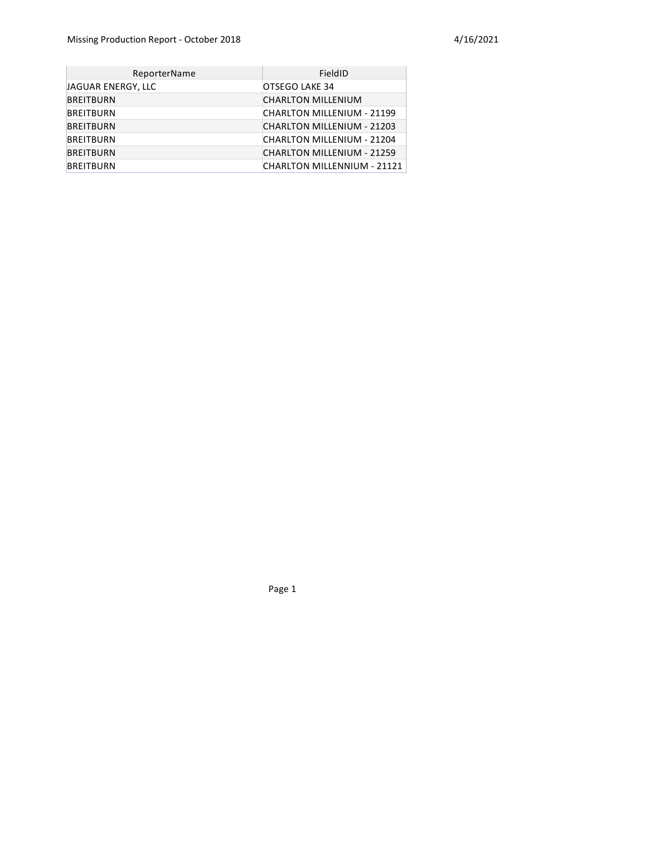| ReporterName       | FieldID                            |
|--------------------|------------------------------------|
| JAGUAR ENERGY, LLC | OTSEGO LAKE 34                     |
| <b>BREITBURN</b>   | <b>CHARLTON MILLENIUM</b>          |
| <b>BREITBURN</b>   | CHARLTON MILLENIUM - 21199         |
| <b>BREITBURN</b>   | CHARLTON MILLENIUM - 21203         |
| <b>BREITBURN</b>   | CHARLTON MILLENIUM - 21204         |
| <b>BREITBURN</b>   | <b>CHARLTON MILLENIUM - 21259</b>  |
| <b>BREITBURN</b>   | <b>CHARLTON MILLENNIUM - 21121</b> |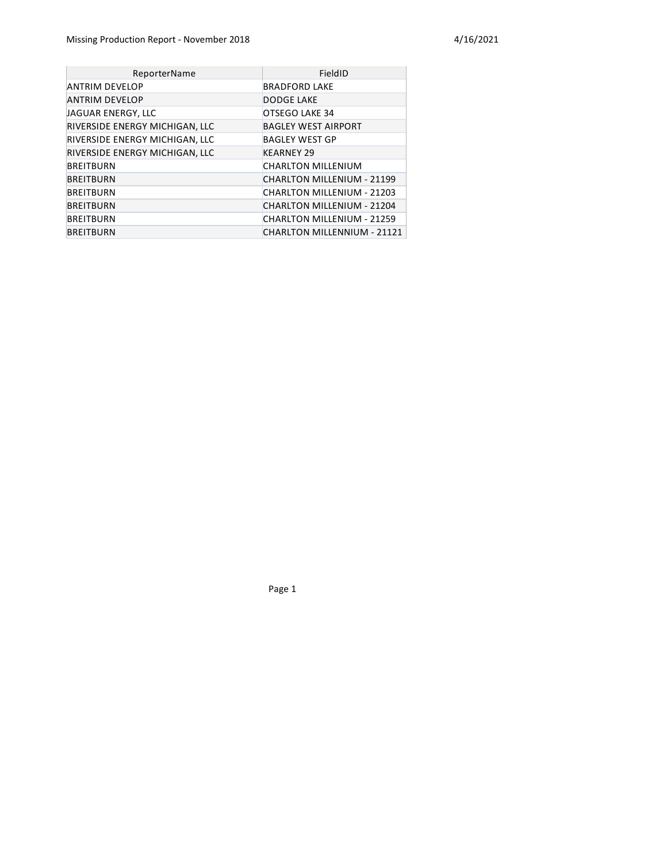| ReporterName                   | FieldID                           |
|--------------------------------|-----------------------------------|
| ANTRIM DEVELOP                 | <b>BRADFORD LAKE</b>              |
| <b>ANTRIM DEVELOP</b>          | <b>DODGE LAKE</b>                 |
| JAGUAR ENERGY, LLC             | OTSEGO LAKE 34                    |
| RIVERSIDE ENERGY MICHIGAN, LLC | <b>BAGLEY WEST AIRPORT</b>        |
| RIVERSIDE ENERGY MICHIGAN, LLC | <b>BAGLEY WEST GP</b>             |
| RIVERSIDE ENERGY MICHIGAN, LLC | <b>KEARNEY 29</b>                 |
| <b>BREITBURN</b>               | <b>CHARLTON MILLENIUM</b>         |
| <b>BREITBURN</b>               | <b>CHARLTON MILLENIUM - 21199</b> |
| <b>BREITBURN</b>               | CHARLTON MILLENIUM - 21203        |
| <b>BREITBURN</b>               | CHARLTON MILLENIUM - 21204        |
| <b>BREITBURN</b>               | <b>CHARLTON MILLENIUM - 21259</b> |
| <b>BREITBURN</b>               | CHARLTON MILLENNIUM - 21121       |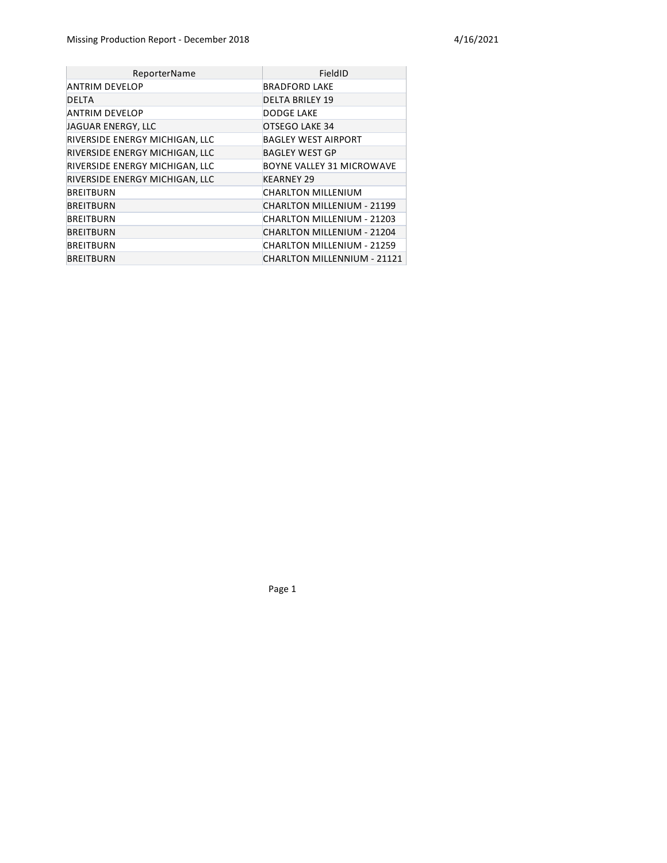| ReporterName                   | FieldID                     |
|--------------------------------|-----------------------------|
| ANTRIM DEVELOP                 | <b>BRADFORD LAKE</b>        |
| <b>DELTA</b>                   | <b>DELTA BRILEY 19</b>      |
| ANTRIM DEVELOP                 | DODGE LAKE                  |
| JAGUAR ENERGY, LLC             | OTSEGO LAKE 34              |
| RIVERSIDE ENERGY MICHIGAN, LLC | <b>BAGLEY WEST AIRPORT</b>  |
| RIVERSIDE ENERGY MICHIGAN, LLC | <b>BAGLEY WEST GP</b>       |
| RIVERSIDE ENERGY MICHIGAN, LLC | BOYNE VALLEY 31 MICROWAVE   |
| RIVERSIDE ENERGY MICHIGAN, LLC | <b>KEARNEY 29</b>           |
| <b>BREITBURN</b>               | <b>CHARLTON MILLENIUM</b>   |
| <b>BREITBURN</b>               | CHARLTON MILLENIUM - 21199  |
| BREITBURN                      | CHARLTON MILLENIUM - 21203  |
| <b>BREITBURN</b>               | CHARLTON MILLENIUM - 21204  |
| BREITBURN                      | CHARLTON MILLENIUM - 21259  |
| <b>BREITBURN</b>               | CHARLTON MILLENNIUM - 21121 |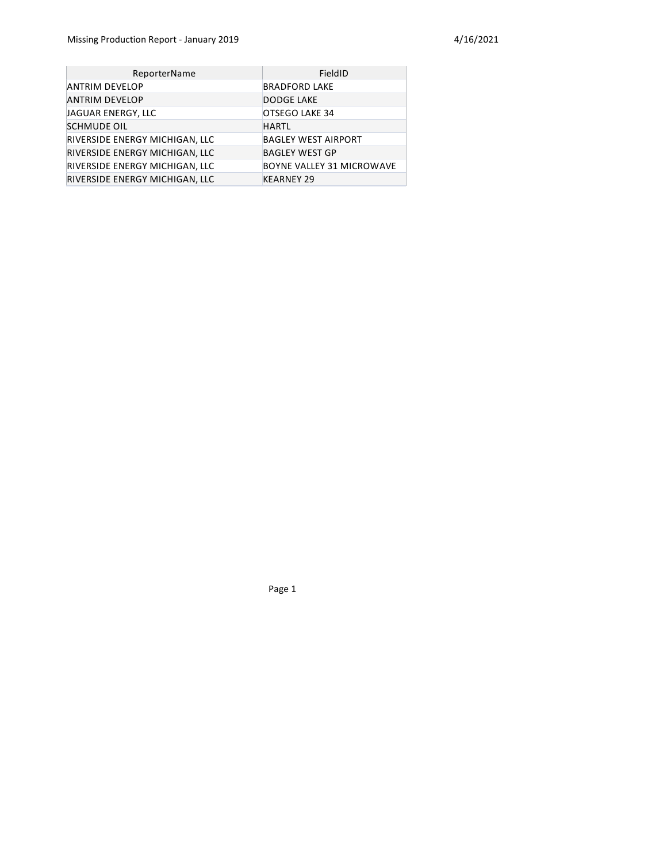| ReporterName                   | FieldID                    |
|--------------------------------|----------------------------|
| ANTRIM DEVELOP                 | <b>BRADFORD LAKE</b>       |
| <b>ANTRIM DEVELOP</b>          | <b>DODGE LAKE</b>          |
| JAGUAR ENERGY, LLC             | OTSEGO LAKE 34             |
| <b>SCHMUDE OIL</b>             | <b>HARTL</b>               |
| RIVERSIDE ENERGY MICHIGAN, LLC | <b>BAGLEY WEST AIRPORT</b> |
| RIVERSIDE ENERGY MICHIGAN, LLC | <b>BAGLEY WEST GP</b>      |
| RIVERSIDE ENERGY MICHIGAN, LLC | BOYNE VALLEY 31 MICROWAVE  |
| RIVERSIDE ENERGY MICHIGAN, LLC | <b>KEARNEY 29</b>          |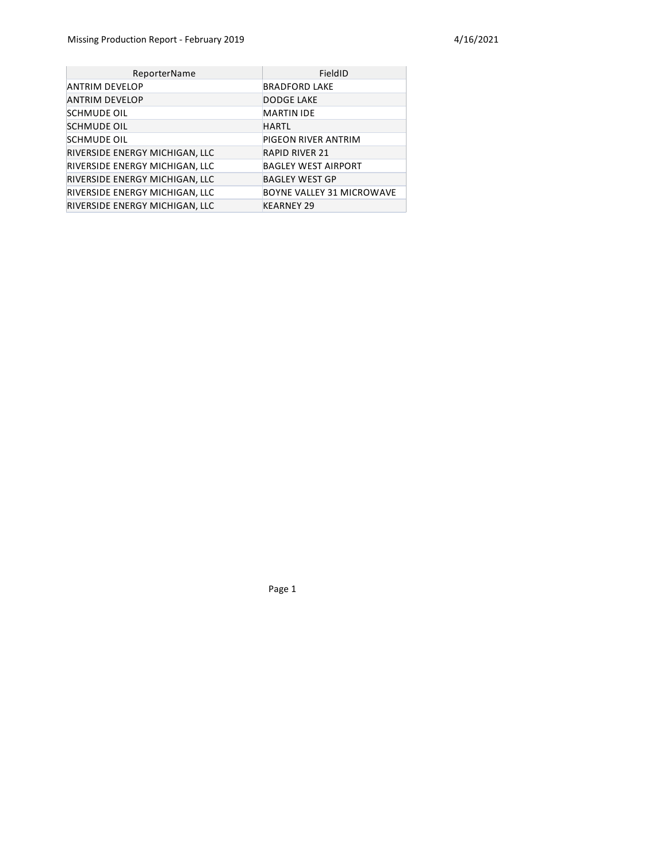| ReporterName                   | FieldID                    |
|--------------------------------|----------------------------|
| ANTRIM DEVELOP                 | <b>BRADFORD LAKE</b>       |
| ANTRIM DEVELOP                 | <b>DODGE LAKE</b>          |
| <b>SCHMUDE OIL</b>             | <b>MARTIN IDE</b>          |
| <b>SCHMUDE OIL</b>             | <b>HARTL</b>               |
| <b>SCHMUDE OIL</b>             | PIGEON RIVER ANTRIM        |
| RIVERSIDE ENERGY MICHIGAN, LLC | <b>RAPID RIVER 21</b>      |
| RIVERSIDE ENERGY MICHIGAN, LLC | <b>BAGLEY WEST AIRPORT</b> |
| RIVERSIDE ENERGY MICHIGAN, LLC | <b>BAGLEY WEST GP</b>      |
| RIVERSIDE ENERGY MICHIGAN, LLC | BOYNE VALLEY 31 MICROWAVE  |
| RIVERSIDE ENERGY MICHIGAN, LLC | <b>KEARNEY 29</b>          |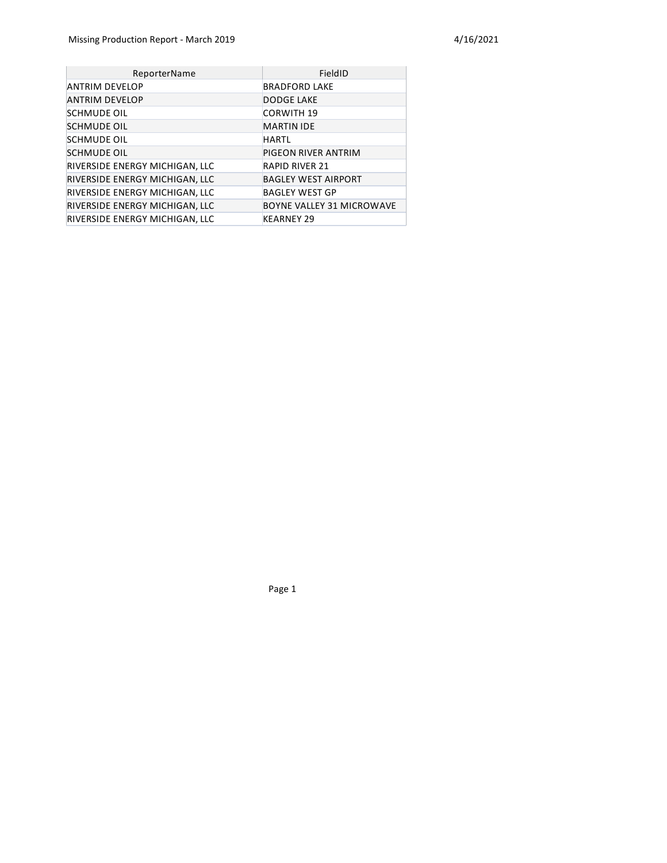| ReporterName                   | FieldID                          |
|--------------------------------|----------------------------------|
| <b>ANTRIM DEVELOP</b>          | <b>BRADFORD LAKE</b>             |
| <b>ANTRIM DEVELOP</b>          | <b>DODGE LAKE</b>                |
| <b>SCHMUDE OIL</b>             | <b>CORWITH 19</b>                |
| <b>SCHMUDE OIL</b>             | <b>MARTIN IDE</b>                |
| <b>SCHMUDE OIL</b>             | <b>HARTL</b>                     |
| <b>SCHMUDE OIL</b>             | PIGEON RIVER ANTRIM              |
| RIVERSIDE ENERGY MICHIGAN, LLC | <b>RAPID RIVER 21</b>            |
| RIVERSIDE ENERGY MICHIGAN, LLC | <b>BAGLEY WEST AIRPORT</b>       |
| RIVERSIDE ENERGY MICHIGAN, LLC | <b>BAGLEY WEST GP</b>            |
| RIVERSIDE ENERGY MICHIGAN, LLC | <b>BOYNE VALLEY 31 MICROWAVE</b> |
| RIVERSIDE ENERGY MICHIGAN, LLC | <b>KEARNEY 29</b>                |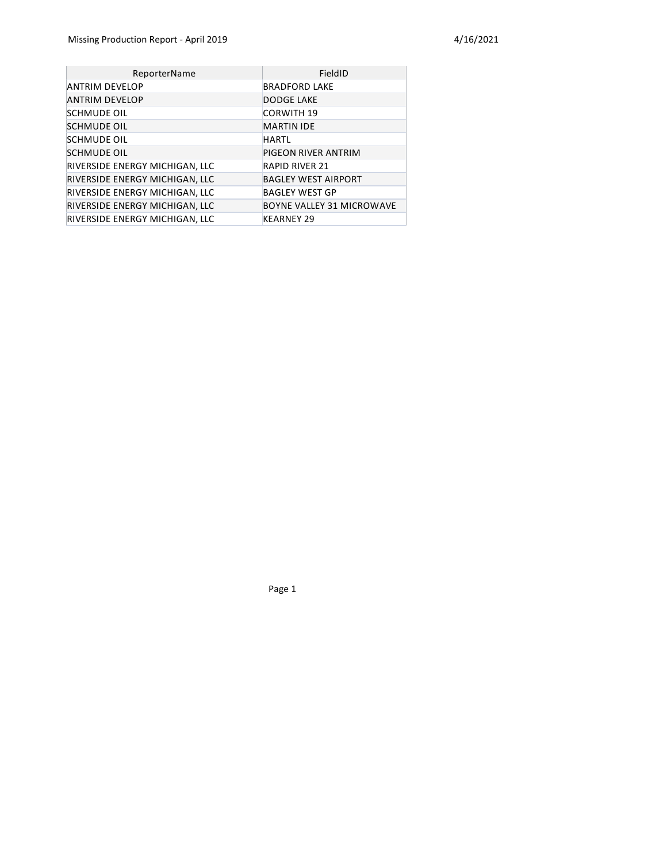| ReporterName                   | FieldID                          |
|--------------------------------|----------------------------------|
| <b>ANTRIM DEVELOP</b>          | <b>BRADFORD LAKE</b>             |
| <b>ANTRIM DEVELOP</b>          | <b>DODGE LAKE</b>                |
| <b>SCHMUDE OIL</b>             | <b>CORWITH 19</b>                |
| <b>SCHMUDE OIL</b>             | <b>MARTIN IDE</b>                |
| <b>SCHMUDE OIL</b>             | <b>HARTL</b>                     |
| <b>SCHMUDE OIL</b>             | PIGEON RIVER ANTRIM              |
| RIVERSIDE ENERGY MICHIGAN, LLC | <b>RAPID RIVER 21</b>            |
| RIVERSIDE ENERGY MICHIGAN, LLC | <b>BAGLEY WEST AIRPORT</b>       |
| RIVERSIDE ENERGY MICHIGAN, LLC | <b>BAGLEY WEST GP</b>            |
| RIVERSIDE ENERGY MICHIGAN, LLC | <b>BOYNE VALLEY 31 MICROWAVE</b> |
| RIVERSIDE ENERGY MICHIGAN, LLC | <b>KEARNEY 29</b>                |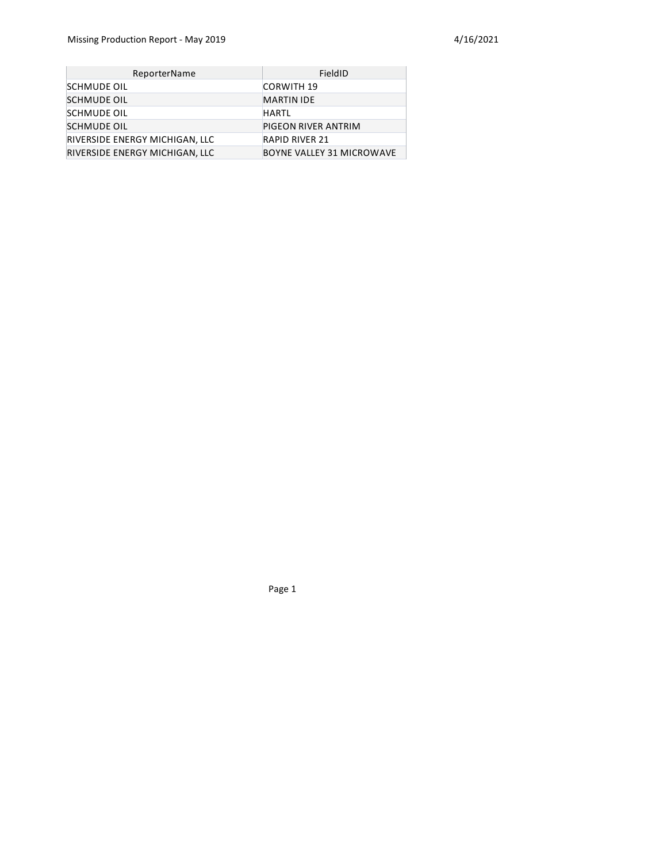| ReporterName                   | FieldID                          |
|--------------------------------|----------------------------------|
| <b>SCHMUDE OIL</b>             | <b>CORWITH 19</b>                |
| <b>SCHMUDE OIL</b>             | <b>MARTIN IDE</b>                |
| <b>SCHMUDE OIL</b>             | <b>HARTL</b>                     |
| <b>SCHMUDE OIL</b>             | PIGEON RIVER ANTRIM              |
| RIVERSIDE ENERGY MICHIGAN, LLC | <b>RAPID RIVER 21</b>            |
| RIVERSIDE ENERGY MICHIGAN, LLC | <b>BOYNE VALLEY 31 MICROWAVE</b> |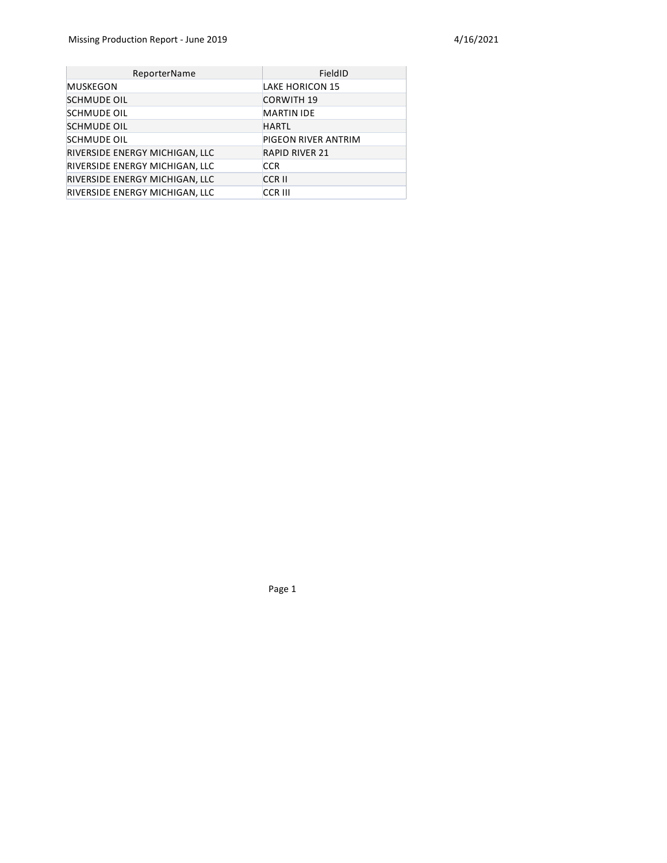| ReporterName                   | FieldID               |
|--------------------------------|-----------------------|
| MUSKEGON                       | LAKE HORICON 15       |
| <b>SCHMUDE OIL</b>             | <b>CORWITH 19</b>     |
| <b>SCHMUDE OIL</b>             | <b>MARTIN IDE</b>     |
| <b>SCHMUDE OIL</b>             | <b>HARTL</b>          |
| <b>SCHMUDE OIL</b>             | PIGEON RIVER ANTRIM   |
| RIVERSIDE ENERGY MICHIGAN, LLC | <b>RAPID RIVER 21</b> |
| RIVERSIDE ENERGY MICHIGAN, LLC | <b>CCR</b>            |
| RIVERSIDE ENERGY MICHIGAN, LLC | <b>CCRII</b>          |
| RIVERSIDE ENERGY MICHIGAN, LLC | <b>CCR III</b>        |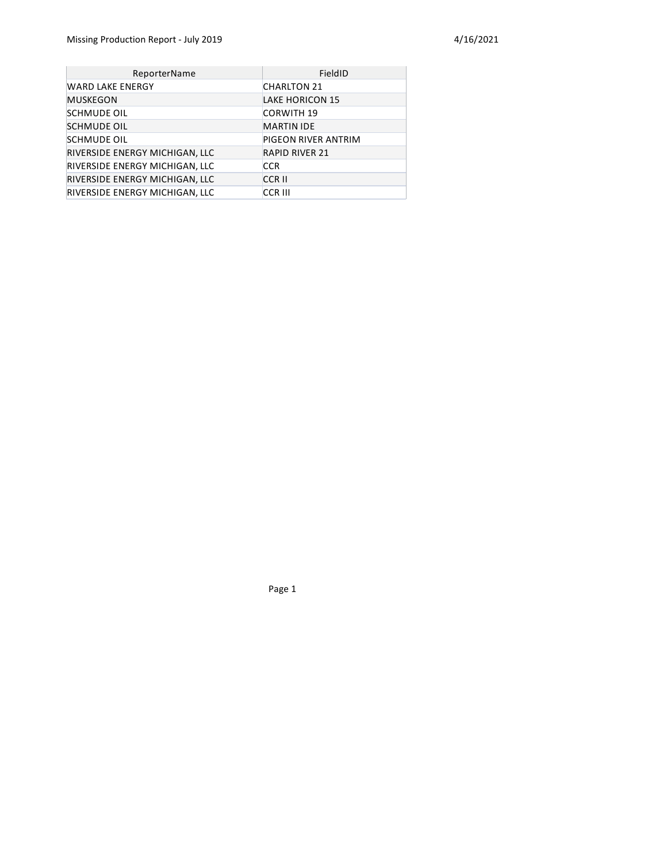| ReporterName                   | FieldID                |
|--------------------------------|------------------------|
| <b>WARD LAKE ENERGY</b>        | <b>CHARLTON 21</b>     |
| <b>MUSKEGON</b>                | <b>LAKE HORICON 15</b> |
| <b>SCHMUDE OIL</b>             | <b>CORWITH 19</b>      |
| <b>SCHMUDE OIL</b>             | <b>MARTIN IDE</b>      |
| <b>SCHMUDE OIL</b>             | PIGEON RIVER ANTRIM    |
| RIVERSIDE ENERGY MICHIGAN, LLC | <b>RAPID RIVER 21</b>  |
| RIVERSIDE ENERGY MICHIGAN, LLC | <b>CCR</b>             |
| RIVERSIDE ENERGY MICHIGAN, LLC | <b>CCRII</b>           |
| RIVERSIDE ENERGY MICHIGAN, LLC | <b>CCR III</b>         |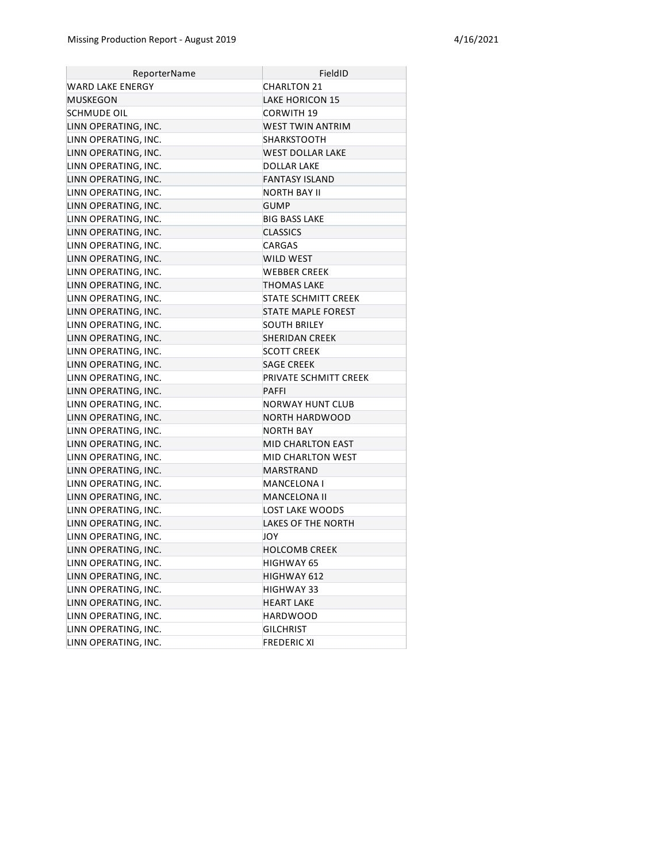| ReporterName         | FieldID                   |
|----------------------|---------------------------|
| WARD LAKE ENERGY     | CHARLTON 21               |
| MUSKEGON             | <b>LAKE HORICON 15</b>    |
| SCHMUDE OIL          | CORWITH 19                |
| LINN OPERATING, INC. | WEST TWIN ANTRIM          |
| LINN OPERATING, INC. | <b>SHARKSTOOTH</b>        |
| LINN OPERATING, INC. | WEST DOLLAR LAKE          |
| LINN OPERATING, INC. | DOLLAR LAKE               |
| LINN OPERATING, INC. | <b>FANTASY ISLAND</b>     |
| LINN OPERATING, INC. | <b>NORTH BAY II</b>       |
| LINN OPERATING, INC. | <b>GUMP</b>               |
| LINN OPERATING, INC. | BIG BASS LAKE             |
| LINN OPERATING, INC. | <b>CLASSICS</b>           |
| LINN OPERATING, INC. | CARGAS                    |
| LINN OPERATING, INC. | WILD WEST                 |
| LINN OPERATING, INC. | <b>WEBBER CREEK</b>       |
| LINN OPERATING, INC. | THOMAS LAKE               |
| LINN OPERATING, INC. | STATE SCHMITT CREEK       |
| LINN OPERATING, INC. | <b>STATE MAPLE FOREST</b> |
| LINN OPERATING, INC. | <b>SOUTH BRILEY</b>       |
| LINN OPERATING, INC. | <b>SHERIDAN CREEK</b>     |
| LINN OPERATING, INC. | <b>SCOTT CREEK</b>        |
| LINN OPERATING, INC. | <b>SAGE CREEK</b>         |
| LINN OPERATING, INC. | PRIVATE SCHMITT CREEK     |
| LINN OPERATING, INC. | <b>PAFFI</b>              |
| LINN OPERATING, INC. | NORWAY HUNT CLUB          |
| LINN OPERATING, INC. | NORTH HARDWOOD            |
| LINN OPERATING, INC. | <b>NORTH BAY</b>          |
| LINN OPERATING, INC. | <b>MID CHARLTON EAST</b>  |
| LINN OPERATING, INC. | MID CHARLTON WEST         |
| LINN OPERATING, INC. | MARSTRAND                 |
| LINN OPERATING, INC. | MANCELONA I               |
| LINN OPERATING, INC. | <b>MANCELONA II</b>       |
| LINN OPERATING, INC. | LOST LAKE WOODS           |
| LINN OPERATING, INC. | <b>LAKES OF THE NORTH</b> |
| LINN OPERATING, INC. | JOY                       |
| LINN OPERATING, INC. | HOLCOMB CREEK             |
| LINN OPERATING, INC. | HIGHWAY 65                |
| LINN OPERATING, INC. | HIGHWAY 612               |
| LINN OPERATING, INC. | HIGHWAY 33                |
| LINN OPERATING, INC. | <b>HEART LAKE</b>         |
| LINN OPERATING, INC. | HARDWOOD                  |
| LINN OPERATING, INC. | <b>GILCHRIST</b>          |
| LINN OPERATING, INC. | <b>FREDERIC XI</b>        |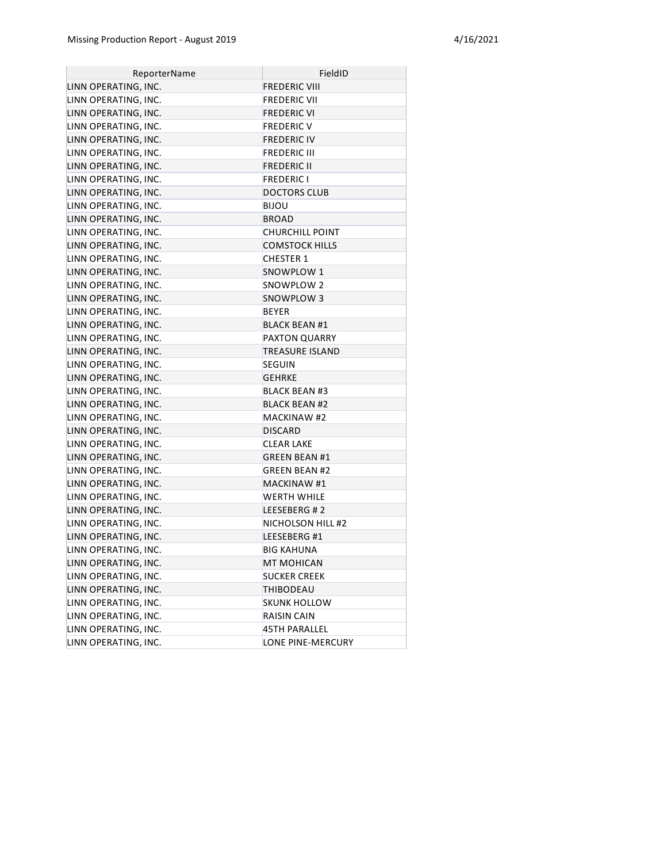| ReporterName         | FieldID                |
|----------------------|------------------------|
| LINN OPERATING, INC. | <b>FREDERIC VIII</b>   |
| LINN OPERATING, INC. | <b>FREDERIC VII</b>    |
| LINN OPERATING, INC. | <b>FREDERIC VI</b>     |
| LINN OPERATING, INC. | <b>FREDERIC V</b>      |
| LINN OPERATING, INC. | <b>FREDERIC IV</b>     |
| LINN OPERATING, INC. | <b>FREDERIC III</b>    |
| LINN OPERATING, INC. | <b>FREDERIC II</b>     |
| LINN OPERATING, INC. | <b>FREDERIC I</b>      |
| LINN OPERATING, INC. | <b>DOCTORS CLUB</b>    |
| LINN OPERATING, INC. | <b>BIJOU</b>           |
| LINN OPERATING, INC. | <b>BROAD</b>           |
| LINN OPERATING, INC. | CHURCHILL POINT        |
| LINN OPERATING, INC. | <b>COMSTOCK HILLS</b>  |
| LINN OPERATING, INC. | <b>CHESTER 1</b>       |
| LINN OPERATING, INC. | SNOWPLOW 1             |
| LINN OPERATING, INC. | SNOWPLOW 2             |
| LINN OPERATING, INC. | SNOWPLOW 3             |
| LINN OPERATING, INC. | <b>BEYER</b>           |
| LINN OPERATING, INC. | <b>BLACK BEAN #1</b>   |
| LINN OPERATING, INC. | <b>PAXTON QUARRY</b>   |
| LINN OPERATING, INC. | <b>TREASURE ISLAND</b> |
| LINN OPERATING, INC. | <b>SEGUIN</b>          |
| LINN OPERATING, INC. | <b>GEHRKE</b>          |
| LINN OPERATING, INC. | <b>BLACK BEAN #3</b>   |
| LINN OPERATING, INC. | <b>BLACK BEAN #2</b>   |
| LINN OPERATING, INC. | <b>MACKINAW #2</b>     |
| LINN OPERATING, INC. | <b>DISCARD</b>         |
| LINN OPERATING, INC. | <b>CLEAR LAKE</b>      |
| LINN OPERATING, INC. | <b>GREEN BEAN #1</b>   |
| LINN OPERATING, INC. | <b>GREEN BEAN #2</b>   |
| LINN OPERATING, INC. | <b>MACKINAW #1</b>     |
| LINN OPERATING, INC. | WERTH WHILE            |
| LINN OPERATING, INC. | LEESEBERG #2           |
| LINN OPERATING, INC. | NICHOLSON HILL #2      |
| LINN OPERATING, INC. | LEESEBERG #1           |
| LINN OPERATING, INC. | <b>BIG KAHUNA</b>      |
| LINN OPERATING, INC. | MT MOHICAN             |
| LINN OPERATING, INC. | <b>SUCKER CREEK</b>    |
| LINN OPERATING, INC. | THIBODEAU              |
| LINN OPERATING, INC. | <b>SKUNK HOLLOW</b>    |
| LINN OPERATING, INC. | RAISIN CAIN            |
| LINN OPERATING, INC. | <b>45TH PARALLEL</b>   |
| LINN OPERATING, INC. | LONE PINE-MERCURY      |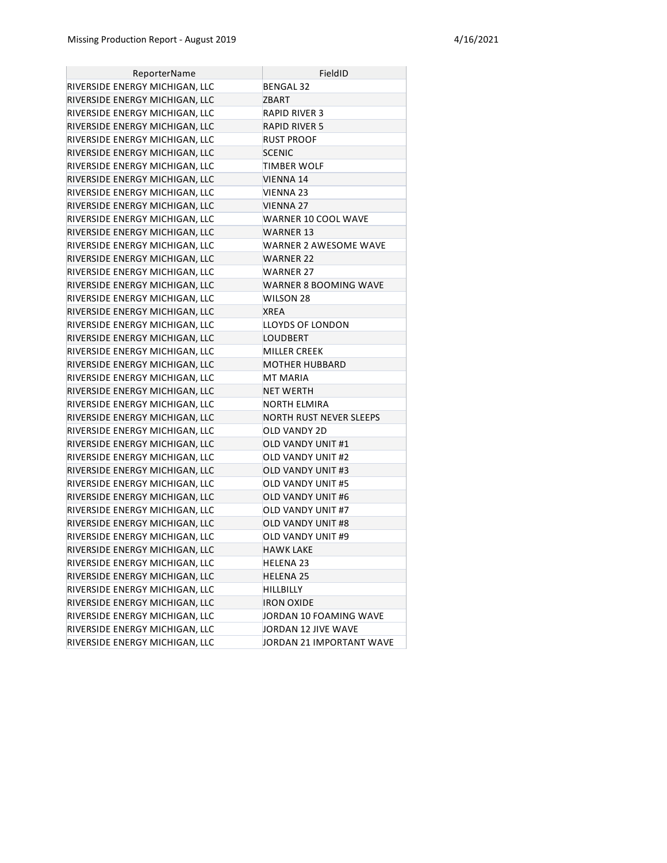| ReporterName                   | FieldID                      |
|--------------------------------|------------------------------|
| RIVERSIDE ENERGY MICHIGAN, LLC | <b>BENGAL 32</b>             |
| RIVERSIDE ENERGY MICHIGAN, LLC | ZBART                        |
| RIVERSIDE ENERGY MICHIGAN, LLC | RAPID RIVER 3                |
| RIVERSIDE ENERGY MICHIGAN, LLC | <b>RAPID RIVER 5</b>         |
| RIVERSIDE ENERGY MICHIGAN, LLC | <b>RUST PROOF</b>            |
| RIVERSIDE ENERGY MICHIGAN, LLC | <b>SCENIC</b>                |
| RIVERSIDE ENERGY MICHIGAN, LLC | <b>TIMBER WOLF</b>           |
| RIVERSIDE ENERGY MICHIGAN, LLC | VIENNA 14                    |
| RIVERSIDE ENERGY MICHIGAN, LLC | VIENNA 23                    |
| RIVERSIDE ENERGY MICHIGAN, LLC | <b>VIENNA 27</b>             |
| RIVERSIDE ENERGY MICHIGAN, LLC | WARNER 10 COOL WAVE          |
| RIVERSIDE ENERGY MICHIGAN, LLC | WARNER 13                    |
| RIVERSIDE ENERGY MICHIGAN, LLC | <b>WARNER 2 AWESOME WAVE</b> |
| RIVERSIDE ENERGY MICHIGAN, LLC | WARNER 22                    |
| RIVERSIDE ENERGY MICHIGAN, LLC | <b>WARNER 27</b>             |
| RIVERSIDE ENERGY MICHIGAN, LLC | WARNER 8 BOOMING WAVE        |
| RIVERSIDE ENERGY MICHIGAN, LLC | <b>WILSON 28</b>             |
| RIVERSIDE ENERGY MICHIGAN, LLC | <b>XREA</b>                  |
| RIVERSIDE ENERGY MICHIGAN, LLC | LLOYDS OF LONDON             |
| RIVERSIDE ENERGY MICHIGAN, LLC | LOUDBERT                     |
| RIVERSIDE ENERGY MICHIGAN, LLC | MILLER CREEK                 |
| RIVERSIDE ENERGY MICHIGAN, LLC | <b>MOTHER HUBBARD</b>        |
| RIVERSIDE ENERGY MICHIGAN, LLC | <b>MT MARIA</b>              |
| RIVERSIDE ENERGY MICHIGAN, LLC | <b>NET WERTH</b>             |
| RIVERSIDE ENERGY MICHIGAN, LLC | NORTH ELMIRA                 |
| RIVERSIDE ENERGY MICHIGAN, LLC | NORTH RUST NEVER SLEEPS      |
| RIVERSIDE ENERGY MICHIGAN, LLC | OLD VANDY 2D                 |
| RIVERSIDE ENERGY MICHIGAN, LLC | <b>OLD VANDY UNIT #1</b>     |
| RIVERSIDE ENERGY MICHIGAN, LLC | <b>OLD VANDY UNIT #2</b>     |
| RIVERSIDE ENERGY MICHIGAN, LLC | OLD VANDY UNIT #3            |
| RIVERSIDE ENERGY MICHIGAN, LLC | OLD VANDY UNIT #5            |
| RIVERSIDE ENERGY MICHIGAN, LLC | <b>OLD VANDY UNIT #6</b>     |
| RIVERSIDE ENERGY MICHIGAN, LLC | OLD VANDY UNIT #7            |
| RIVERSIDE ENERGY MICHIGAN, LLC | <b>OLD VANDY UNIT #8</b>     |
| RIVERSIDE ENERGY MICHIGAN, LLC | OLD VANDY UNIT #9            |
| RIVERSIDE ENERGY MICHIGAN, LLC | HAWK LAKE                    |
| RIVERSIDE ENERGY MICHIGAN, LLC | <b>HELENA 23</b>             |
| RIVERSIDE ENERGY MICHIGAN, LLC | <b>HELENA 25</b>             |
| RIVERSIDE ENERGY MICHIGAN, LLC | HILLBILLY                    |
| RIVERSIDE ENERGY MICHIGAN, LLC | <b>IRON OXIDE</b>            |
| RIVERSIDE ENERGY MICHIGAN, LLC | JORDAN 10 FOAMING WAVE       |
| RIVERSIDE ENERGY MICHIGAN, LLC | JORDAN 12 JIVE WAVE          |
| RIVERSIDE ENERGY MICHIGAN, LLC | JORDAN 21 IMPORTANT WAVE     |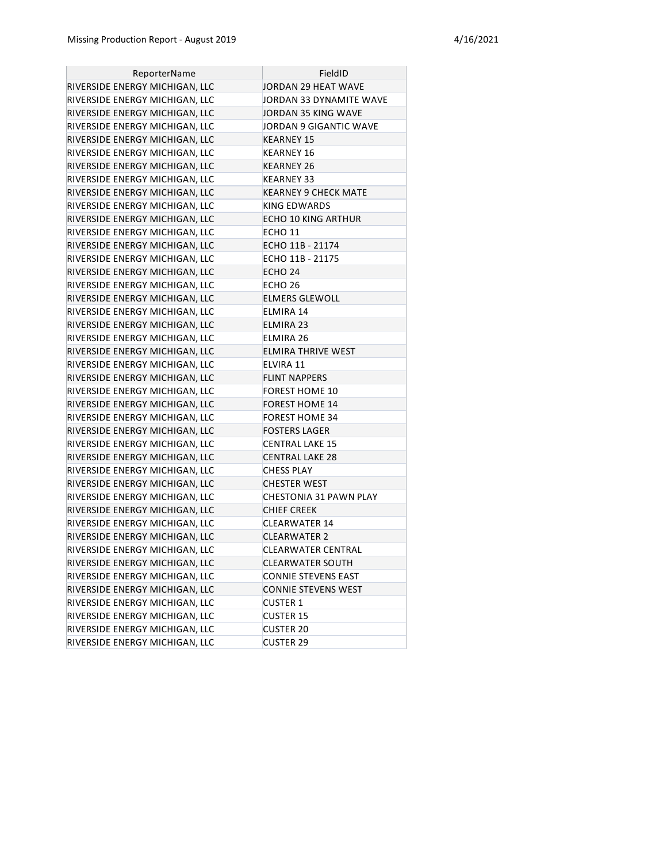| ReporterName                   | FieldID                     |
|--------------------------------|-----------------------------|
| RIVERSIDE ENERGY MICHIGAN, LLC | JORDAN 29 HEAT WAVE         |
| RIVERSIDE ENERGY MICHIGAN, LLC | JORDAN 33 DYNAMITE WAVE     |
| RIVERSIDE ENERGY MICHIGAN, LLC | JORDAN 35 KING WAVE         |
| RIVERSIDE ENERGY MICHIGAN, LLC | JORDAN 9 GIGANTIC WAVE      |
| RIVERSIDE ENERGY MICHIGAN, LLC | KEARNEY 15                  |
| RIVERSIDE ENERGY MICHIGAN, LLC | KEARNEY 16                  |
| RIVERSIDE ENERGY MICHIGAN, LLC | KEARNEY 26                  |
| RIVERSIDE ENERGY MICHIGAN, LLC | KEARNEY 33                  |
| RIVERSIDE ENERGY MICHIGAN, LLC | <b>KEARNEY 9 CHECK MATE</b> |
| RIVERSIDE ENERGY MICHIGAN, LLC | KING EDWARDS                |
| RIVERSIDE ENERGY MICHIGAN, LLC | <b>ECHO 10 KING ARTHUR</b>  |
| RIVERSIDE ENERGY MICHIGAN, LLC | ECHO 11                     |
| RIVERSIDE ENERGY MICHIGAN, LLC | ECHO 11B - 21174            |
| RIVERSIDE ENERGY MICHIGAN, LLC | ECHO 11B - 21175            |
| RIVERSIDE ENERGY MICHIGAN, LLC | ECHO 24                     |
| RIVERSIDE ENERGY MICHIGAN, LLC | ECHO 26                     |
| RIVERSIDE ENERGY MICHIGAN, LLC | <b>ELMERS GLEWOLL</b>       |
| RIVERSIDE ENERGY MICHIGAN, LLC | ELMIRA 14                   |
| RIVERSIDE ENERGY MICHIGAN, LLC | ELMIRA 23                   |
| RIVERSIDE ENERGY MICHIGAN, LLC | ELMIRA 26                   |
| RIVERSIDE ENERGY MICHIGAN, LLC | ELMIRA THRIVE WEST          |
| RIVERSIDE ENERGY MICHIGAN, LLC | <b>ELVIRA 11</b>            |
| RIVERSIDE ENERGY MICHIGAN, LLC | <b>FLINT NAPPERS</b>        |
| RIVERSIDE ENERGY MICHIGAN, LLC | <b>FOREST HOME 10</b>       |
| RIVERSIDE ENERGY MICHIGAN, LLC | <b>FOREST HOME 14</b>       |
| RIVERSIDE ENERGY MICHIGAN, LLC | FOREST HOME 34              |
| RIVERSIDE ENERGY MICHIGAN, LLC | <b>FOSTERS LAGER</b>        |
| RIVERSIDE ENERGY MICHIGAN, LLC | CENTRAL LAKE 15             |
| RIVERSIDE ENERGY MICHIGAN, LLC | <b>CENTRAL LAKE 28</b>      |
| RIVERSIDE ENERGY MICHIGAN, LLC | <b>CHESS PLAY</b>           |
| RIVERSIDE ENERGY MICHIGAN, LLC | <b>CHESTER WEST</b>         |
| RIVERSIDE ENERGY MICHIGAN, LLC | CHESTONIA 31 PAWN PLAY      |
| RIVERSIDE ENERGY MICHIGAN, LLC | <b>CHIEF CREEK</b>          |
| RIVERSIDE ENERGY MICHIGAN, LLC | <b>CLEARWATER 14</b>        |
| RIVERSIDE ENERGY MICHIGAN, LLC | <b>CLEARWATER 2</b>         |
| RIVERSIDE ENERGY MICHIGAN, LLC | CLEARWATER CENTRAL          |
| RIVERSIDE ENERGY MICHIGAN, LLC | <b>CLEARWATER SOUTH</b>     |
| RIVERSIDE ENERGY MICHIGAN, LLC | <b>CONNIE STEVENS EAST</b>  |
| RIVERSIDE ENERGY MICHIGAN, LLC | CONNIE STEVENS WEST         |
| RIVERSIDE ENERGY MICHIGAN, LLC | <b>CUSTER 1</b>             |
| RIVERSIDE ENERGY MICHIGAN, LLC | <b>CUSTER 15</b>            |
| RIVERSIDE ENERGY MICHIGAN, LLC | <b>CUSTER 20</b>            |
| RIVERSIDE ENERGY MICHIGAN, LLC | <b>CUSTER 29</b>            |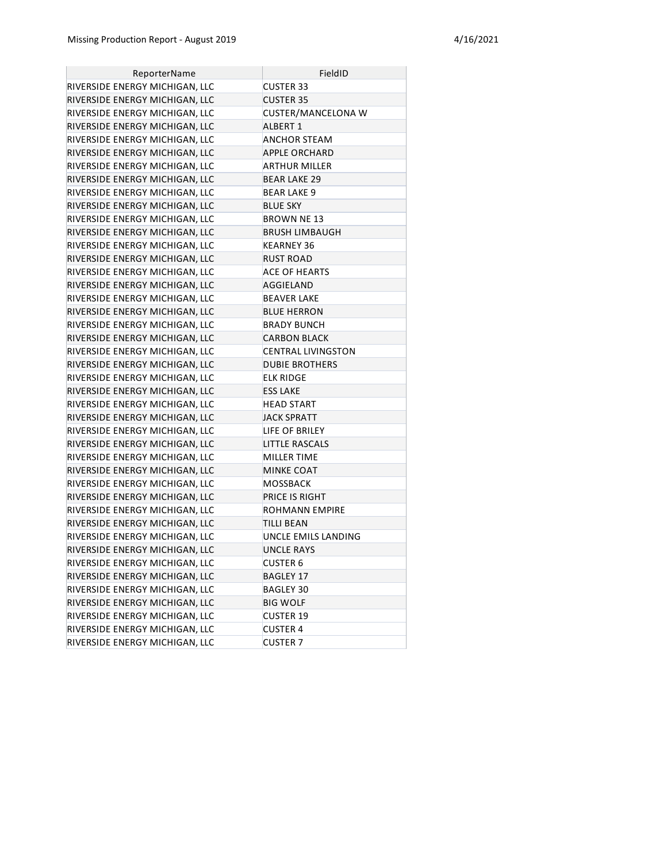| ReporterName                   | FieldID                   |
|--------------------------------|---------------------------|
| RIVERSIDE ENERGY MICHIGAN, LLC | <b>CUSTER 33</b>          |
| RIVERSIDE ENERGY MICHIGAN, LLC | <b>CUSTER 35</b>          |
| RIVERSIDE ENERGY MICHIGAN, LLC | <b>CUSTER/MANCELONA W</b> |
| RIVERSIDE ENERGY MICHIGAN, LLC | ALBERT 1                  |
| RIVERSIDE ENERGY MICHIGAN, LLC | ANCHOR STEAM              |
| RIVERSIDE ENERGY MICHIGAN, LLC | <b>APPLE ORCHARD</b>      |
| RIVERSIDE ENERGY MICHIGAN, LLC | <b>ARTHUR MILLER</b>      |
| RIVERSIDE ENERGY MICHIGAN, LLC | <b>BEAR LAKE 29</b>       |
| RIVERSIDE ENERGY MICHIGAN, LLC | <b>BEAR LAKE 9</b>        |
| RIVERSIDE ENERGY MICHIGAN, LLC | <b>BLUE SKY</b>           |
| RIVERSIDE ENERGY MICHIGAN, LLC | BROWN NE 13               |
| RIVERSIDE ENERGY MICHIGAN, LLC | <b>BRUSH LIMBAUGH</b>     |
| RIVERSIDE ENERGY MICHIGAN, LLC | KEARNEY 36                |
| RIVERSIDE ENERGY MICHIGAN, LLC | RUST ROAD                 |
| RIVERSIDE ENERGY MICHIGAN, LLC | <b>ACE OF HEARTS</b>      |
| RIVERSIDE ENERGY MICHIGAN, LLC | AGGIELAND                 |
| RIVERSIDE ENERGY MICHIGAN, LLC | <b>BEAVER LAKE</b>        |
| RIVERSIDE ENERGY MICHIGAN, LLC | <b>BLUE HERRON</b>        |
| RIVERSIDE ENERGY MICHIGAN, LLC | <b>BRADY BUNCH</b>        |
| RIVERSIDE ENERGY MICHIGAN, LLC | <b>CARBON BLACK</b>       |
| RIVERSIDE ENERGY MICHIGAN, LLC | <b>CENTRAL LIVINGSTON</b> |
| RIVERSIDE ENERGY MICHIGAN, LLC | <b>DUBIE BROTHERS</b>     |
| RIVERSIDE ENERGY MICHIGAN, LLC | ELK RIDGE                 |
| RIVERSIDE ENERGY MICHIGAN, LLC | ESS LAKE                  |
| RIVERSIDE ENERGY MICHIGAN, LLC | <b>HEAD START</b>         |
| RIVERSIDE ENERGY MICHIGAN, LLC | <b>JACK SPRATT</b>        |
| RIVERSIDE ENERGY MICHIGAN, LLC | LIFE OF BRILEY            |
| RIVERSIDE ENERGY MICHIGAN, LLC | <b>LITTLE RASCALS</b>     |
| RIVERSIDE ENERGY MICHIGAN, LLC | MILLER TIME               |
| RIVERSIDE ENERGY MICHIGAN, LLC | MINKE COAT                |
| RIVERSIDE ENERGY MICHIGAN, LLC | MOSSBACK                  |
| RIVERSIDE ENERGY MICHIGAN, LLC | PRICE IS RIGHT            |
| RIVERSIDE ENERGY MICHIGAN, LLC | ROHMANN EMPIRE            |
| RIVERSIDE ENERGY MICHIGAN, LLC | TILLI BEAN                |
| RIVERSIDE ENERGY MICHIGAN, LLC | UNCLE EMILS LANDING       |
| RIVERSIDE ENERGY MICHIGAN, LLC | UNCLE RAYS                |
| RIVERSIDE ENERGY MICHIGAN, LLC | <b>CUSTER 6</b>           |
| RIVERSIDE ENERGY MICHIGAN, LLC | <b>BAGLEY 17</b>          |
| RIVERSIDE ENERGY MICHIGAN, LLC | <b>BAGLEY 30</b>          |
| RIVERSIDE ENERGY MICHIGAN, LLC | <b>BIG WOLF</b>           |
| RIVERSIDE ENERGY MICHIGAN, LLC | <b>CUSTER 19</b>          |
| RIVERSIDE ENERGY MICHIGAN, LLC | <b>CUSTER 4</b>           |
| RIVERSIDE ENERGY MICHIGAN, LLC | <b>CUSTER 7</b>           |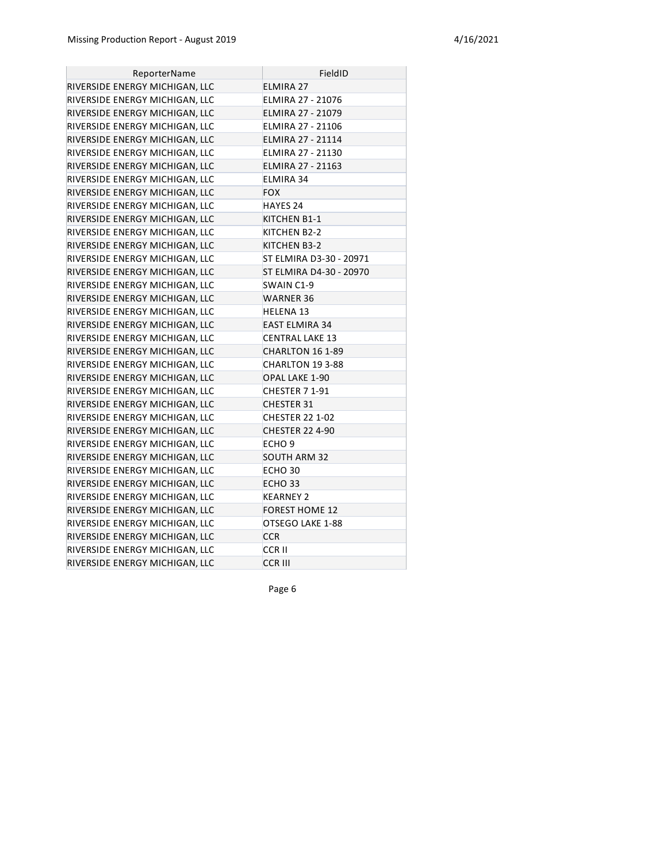| ReporterName                   | FieldID                  |
|--------------------------------|--------------------------|
| RIVERSIDE ENERGY MICHIGAN, LLC | <b>ELMIRA 27</b>         |
| RIVERSIDE ENERGY MICHIGAN, LLC | ELMIRA 27 - 21076        |
| RIVERSIDE ENERGY MICHIGAN, LLC | <b>ELMIRA 27 - 21079</b> |
| RIVERSIDE ENERGY MICHIGAN, LLC | ELMIRA 27 - 21106        |
| RIVERSIDE ENERGY MICHIGAN, LLC | <b>ELMIRA 27 - 21114</b> |
| RIVERSIDE ENERGY MICHIGAN, LLC | ELMIRA 27 - 21130        |
| RIVERSIDE ENERGY MICHIGAN, LLC | ELMIRA 27 - 21163        |
| RIVERSIDE ENERGY MICHIGAN, LLC | ELMIRA 34                |
| RIVERSIDE ENERGY MICHIGAN, LLC | <b>FOX</b>               |
| RIVERSIDE ENERGY MICHIGAN, LLC | HAYES 24                 |
| RIVERSIDE ENERGY MICHIGAN, LLC | KITCHEN B1-1             |
| RIVERSIDE ENERGY MICHIGAN, LLC | KITCHEN B2-2             |
| RIVERSIDE ENERGY MICHIGAN, LLC | KITCHEN B3-2             |
| RIVERSIDE ENERGY MICHIGAN, LLC | ST ELMIRA D3-30 - 20971  |
| RIVERSIDE ENERGY MICHIGAN, LLC | ST ELMIRA D4-30 - 20970  |
| RIVERSIDE ENERGY MICHIGAN, LLC | SWAIN C1-9               |
| RIVERSIDE ENERGY MICHIGAN, LLC | <b>WARNER 36</b>         |
| RIVERSIDE ENERGY MICHIGAN, LLC | <b>HELENA 13</b>         |
| RIVERSIDE ENERGY MICHIGAN, LLC | <b>EAST ELMIRA 34</b>    |
| RIVERSIDE ENERGY MICHIGAN, LLC | <b>CENTRAL LAKE 13</b>   |
| RIVERSIDE ENERGY MICHIGAN, LLC | CHARLTON 16 1-89         |
| RIVERSIDE ENERGY MICHIGAN, LLC | CHARLTON 19 3-88         |
| RIVERSIDE ENERGY MICHIGAN, LLC | OPAL LAKE 1-90           |
| RIVERSIDE ENERGY MICHIGAN, LLC | CHESTER 7 1-91           |
| RIVERSIDE ENERGY MICHIGAN, LLC | <b>CHESTER 31</b>        |
| RIVERSIDE ENERGY MICHIGAN, LLC | <b>CHESTER 22 1-02</b>   |
| RIVERSIDE ENERGY MICHIGAN, LLC | <b>CHESTER 22 4-90</b>   |
| RIVERSIDE ENERGY MICHIGAN, LLC | ECHO <sub>9</sub>        |
| RIVERSIDE ENERGY MICHIGAN, LLC | <b>SOUTH ARM 32</b>      |
| RIVERSIDE ENERGY MICHIGAN, LLC | ECHO <sub>30</sub>       |
| RIVERSIDE ENERGY MICHIGAN, LLC | ECHO <sub>33</sub>       |
| RIVERSIDE ENERGY MICHIGAN, LLC | <b>KEARNEY 2</b>         |
| RIVERSIDE ENERGY MICHIGAN, LLC | <b>FOREST HOME 12</b>    |
| RIVERSIDE ENERGY MICHIGAN, LLC | OTSEGO LAKE 1-88         |
| RIVERSIDE ENERGY MICHIGAN, LLC | <b>CCR</b>               |
| RIVERSIDE ENERGY MICHIGAN, LLC | <b>CCRII</b>             |
| RIVERSIDE ENERGY MICHIGAN, LLC | <b>CCR III</b>           |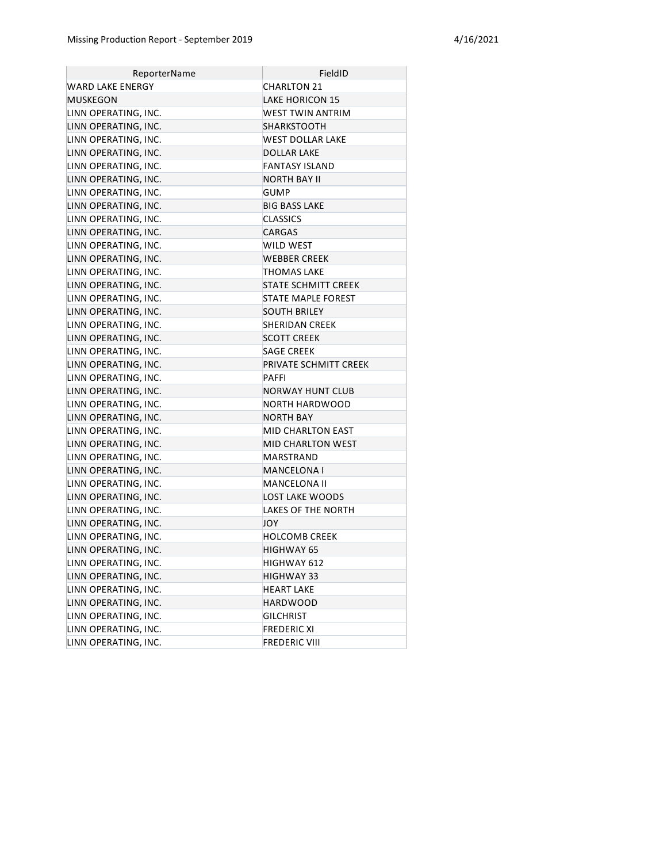| ReporterName         | FieldID                    |
|----------------------|----------------------------|
| WARD LAKE ENERGY     | <b>CHARLTON 21</b>         |
| <b>MUSKEGON</b>      | <b>LAKE HORICON 15</b>     |
| LINN OPERATING, INC. | WEST TWIN ANTRIM           |
| LINN OPERATING, INC. | SHARKSTOOTH                |
| LINN OPERATING, INC. | WEST DOLLAR LAKE           |
| LINN OPERATING, INC. | <b>DOLLAR LAKE</b>         |
| LINN OPERATING, INC. | <b>FANTASY ISLAND</b>      |
| LINN OPERATING, INC. | <b>NORTH BAY II</b>        |
| LINN OPERATING, INC. | <b>GUMP</b>                |
| LINN OPERATING, INC. | <b>BIG BASS LAKE</b>       |
| LINN OPERATING, INC. | <b>CLASSICS</b>            |
| LINN OPERATING, INC. | <b>CARGAS</b>              |
| LINN OPERATING, INC. | WILD WEST                  |
| LINN OPERATING, INC. | <b>WEBBER CREEK</b>        |
| LINN OPERATING, INC. | THOMAS LAKE                |
| LINN OPERATING, INC. | <b>STATE SCHMITT CREEK</b> |
| LINN OPERATING, INC. | STATE MAPLE FOREST         |
| LINN OPERATING, INC. | <b>SOUTH BRILEY</b>        |
| LINN OPERATING, INC. | <b>SHERIDAN CREEK</b>      |
| LINN OPERATING, INC. | <b>SCOTT CREEK</b>         |
| LINN OPERATING, INC. | <b>SAGE CREEK</b>          |
| LINN OPERATING, INC. | PRIVATE SCHMITT CREEK      |
| LINN OPERATING, INC. | <b>PAFFI</b>               |
| LINN OPERATING, INC. | <b>NORWAY HUNT CLUB</b>    |
| LINN OPERATING, INC. | NORTH HARDWOOD             |
| LINN OPERATING, INC. | NORTH BAY                  |
| LINN OPERATING, INC. | MID CHARLTON EAST          |
| LINN OPERATING, INC. | <b>MID CHARLTON WEST</b>   |
| LINN OPERATING, INC. | MARSTRAND                  |
| LINN OPERATING, INC. | MANCELONA I                |
| LINN OPERATING, INC. | MANCELONA II               |
| LINN OPERATING, INC. | <b>LOST LAKE WOODS</b>     |
| LINN OPERATING, INC. | LAKES OF THE NORTH         |
| LINN OPERATING, INC. | <b>JOY</b>                 |
| LINN OPERATING, INC. | <b>HOLCOMB CREEK</b>       |
| LINN OPERATING, INC. | HIGHWAY 65                 |
| LINN OPERATING, INC. | HIGHWAY 612                |
| LINN OPERATING, INC. | <b>HIGHWAY 33</b>          |
| LINN OPERATING, INC. | HEART LAKE                 |
| LINN OPERATING, INC. | <b>HARDWOOD</b>            |
| LINN OPERATING, INC. | <b>GILCHRIST</b>           |
| LINN OPERATING, INC. | <b>FREDERIC XI</b>         |
| LINN OPERATING, INC. | <b>FREDERIC VIII</b>       |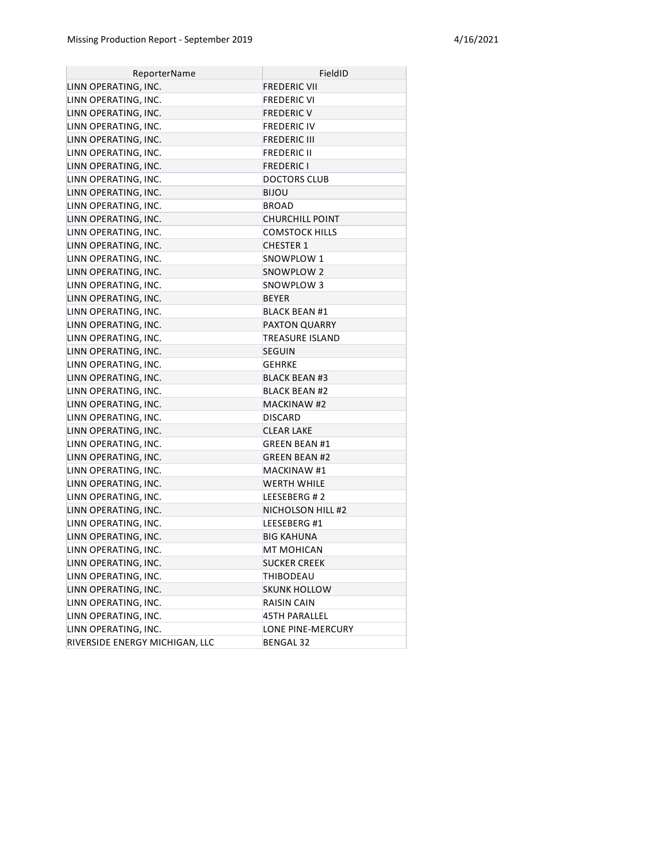| ReporterName                   | FieldID                |
|--------------------------------|------------------------|
| LINN OPERATING, INC.           | <b>FREDERIC VII</b>    |
| LINN OPERATING, INC.           | <b>FREDERIC VI</b>     |
| LINN OPERATING, INC.           | FREDERIC V             |
| LINN OPERATING, INC.           | <b>FREDERIC IV</b>     |
| LINN OPERATING, INC.           | FREDERIC III           |
| LINN OPERATING, INC.           | <b>FREDERIC II</b>     |
| LINN OPERATING, INC.           | <b>FREDERIC I</b>      |
| LINN OPERATING, INC.           | <b>DOCTORS CLUB</b>    |
| LINN OPERATING, INC.           | BIJOU                  |
| LINN OPERATING, INC.           | BROAD                  |
| LINN OPERATING, INC.           | <b>CHURCHILL POINT</b> |
| LINN OPERATING, INC.           | COMSTOCK HILLS         |
| LINN OPERATING, INC.           | <b>CHESTER 1</b>       |
| LINN OPERATING, INC.           | SNOWPLOW 1             |
| LINN OPERATING, INC.           | SNOWPLOW 2             |
| LINN OPERATING, INC.           | SNOWPLOW 3             |
| LINN OPERATING, INC.           | BEYER                  |
| LINN OPERATING, INC.           | <b>BLACK BEAN #1</b>   |
| LINN OPERATING, INC.           | <b>PAXTON QUARRY</b>   |
| LINN OPERATING, INC.           | TREASURE ISLAND        |
| LINN OPERATING, INC.           | <b>SEGUIN</b>          |
| LINN OPERATING, INC.           | <b>GEHRKE</b>          |
| LINN OPERATING, INC.           | <b>BLACK BEAN #3</b>   |
| LINN OPERATING, INC.           | <b>BLACK BEAN #2</b>   |
| LINN OPERATING, INC.           | <b>MACKINAW #2</b>     |
| LINN OPERATING, INC.           | <b>DISCARD</b>         |
| LINN OPERATING, INC.           | <b>CLEAR LAKE</b>      |
| LINN OPERATING, INC.           | <b>GREEN BEAN #1</b>   |
| LINN OPERATING, INC.           | <b>GREEN BEAN #2</b>   |
| LINN OPERATING, INC.           | <b>MACKINAW #1</b>     |
| LINN OPERATING, INC.           | WERTH WHILE            |
| LINN OPERATING, INC.           | LEESEBERG #2           |
| LINN OPERATING, INC.           | NICHOLSON HILL #2      |
| LINN OPERATING, INC.           | LEESEBERG #1           |
| LINN OPERATING, INC.           | <b>BIG KAHUNA</b>      |
| LINN OPERATING, INC.           | MT MOHICAN             |
| LINN OPERATING, INC.           | <b>SUCKER CREEK</b>    |
| LINN OPERATING, INC.           | THIBODEAU              |
| LINN OPERATING, INC.           | <b>SKUNK HOLLOW</b>    |
| LINN OPERATING, INC.           | <b>RAISIN CAIN</b>     |
| LINN OPERATING, INC.           | 45TH PARALLEL          |
| LINN OPERATING, INC.           | LONE PINE-MERCURY      |
| RIVERSIDE ENERGY MICHIGAN, LLC | <b>BENGAL 32</b>       |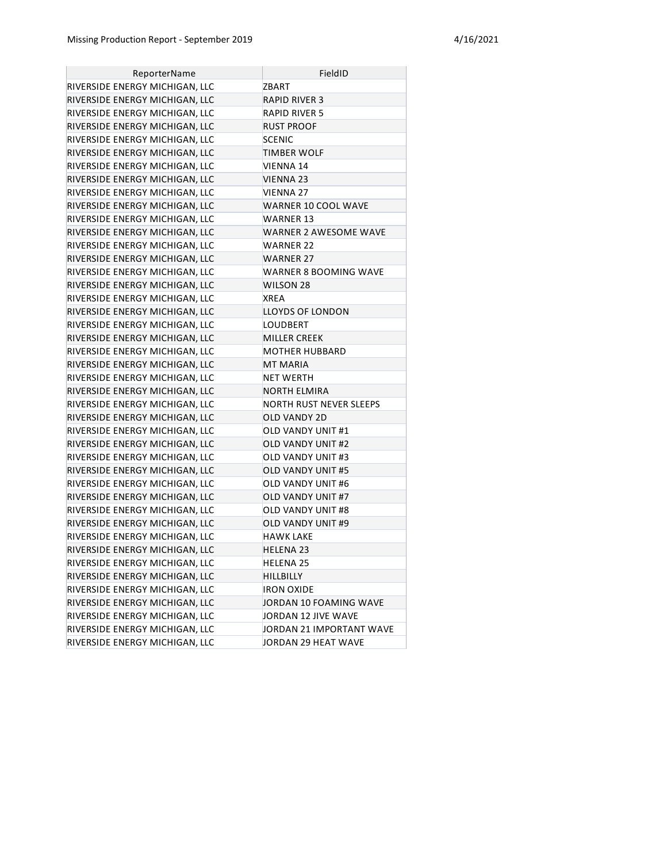| ReporterName                   | FieldID                  |
|--------------------------------|--------------------------|
| RIVERSIDE ENERGY MICHIGAN, LLC | ZBART                    |
| RIVERSIDE ENERGY MICHIGAN, LLC | <b>RAPID RIVER 3</b>     |
| RIVERSIDE ENERGY MICHIGAN, LLC | <b>RAPID RIVER 5</b>     |
| RIVERSIDE ENERGY MICHIGAN, LLC | RUST PROOF               |
| RIVERSIDE ENERGY MICHIGAN, LLC | <b>SCENIC</b>            |
| RIVERSIDE ENERGY MICHIGAN, LLC | TIMBER WOLF              |
| RIVERSIDE ENERGY MICHIGAN, LLC | <b>VIENNA 14</b>         |
| RIVERSIDE ENERGY MICHIGAN, LLC | VIENNA 23                |
| RIVERSIDE ENERGY MICHIGAN, LLC | <b>VIENNA 27</b>         |
| RIVERSIDE ENERGY MICHIGAN, LLC | WARNER 10 COOL WAVE      |
| RIVERSIDE ENERGY MICHIGAN, LLC | <b>WARNER 13</b>         |
| RIVERSIDE ENERGY MICHIGAN, LLC | WARNER 2 AWESOME WAVE    |
| RIVERSIDE ENERGY MICHIGAN, LLC | WARNER 22                |
| RIVERSIDE ENERGY MICHIGAN, LLC | WARNER 27                |
| RIVERSIDE ENERGY MICHIGAN, LLC | WARNER 8 BOOMING WAVE    |
| RIVERSIDE ENERGY MICHIGAN, LLC | WILSON 28                |
| RIVERSIDE ENERGY MICHIGAN, LLC | <b>XREA</b>              |
| RIVERSIDE ENERGY MICHIGAN, LLC | <b>LLOYDS OF LONDON</b>  |
| RIVERSIDE ENERGY MICHIGAN, LLC | LOUDBERT                 |
| RIVERSIDE ENERGY MICHIGAN, LLC | <b>MILLER CREEK</b>      |
| RIVERSIDE ENERGY MICHIGAN, LLC | MOTHER HUBBARD           |
| RIVERSIDE ENERGY MICHIGAN, LLC | <b>MT MARIA</b>          |
| RIVERSIDE ENERGY MICHIGAN, LLC | NET WERTH                |
| RIVERSIDE ENERGY MICHIGAN, LLC | <b>NORTH ELMIRA</b>      |
| RIVERSIDE ENERGY MICHIGAN, LLC | NORTH RUST NEVER SLEEPS  |
| RIVERSIDE ENERGY MICHIGAN, LLC | OLD VANDY 2D             |
| RIVERSIDE ENERGY MICHIGAN, LLC | OLD VANDY UNIT #1        |
| RIVERSIDE ENERGY MICHIGAN, LLC | <b>OLD VANDY UNIT #2</b> |
| RIVERSIDE ENERGY MICHIGAN, LLC | OLD VANDY UNIT #3        |
| RIVERSIDE ENERGY MICHIGAN, LLC | OLD VANDY UNIT #5        |
| RIVERSIDE ENERGY MICHIGAN, LLC | OLD VANDY UNIT #6        |
| RIVERSIDE ENERGY MICHIGAN, LLC | OLD VANDY UNIT #7        |
| RIVERSIDE ENERGY MICHIGAN, LLC | OLD VANDY UNIT #8        |
| RIVERSIDE ENERGY MICHIGAN, LLC | <b>OLD VANDY UNIT #9</b> |
| RIVERSIDE ENERGY MICHIGAN, LLC | <b>HAWK LAKE</b>         |
| RIVERSIDE ENERGY MICHIGAN, LLC | HELENA 23                |
| RIVERSIDE ENERGY MICHIGAN, LLC | <b>HELENA 25</b>         |
| RIVERSIDE ENERGY MICHIGAN, LLC | <b>HILLBILLY</b>         |
| RIVERSIDE ENERGY MICHIGAN, LLC | <b>IRON OXIDE</b>        |
| RIVERSIDE ENERGY MICHIGAN, LLC | JORDAN 10 FOAMING WAVE   |
| RIVERSIDE ENERGY MICHIGAN, LLC | JORDAN 12 JIVE WAVE      |
| RIVERSIDE ENERGY MICHIGAN, LLC | JORDAN 21 IMPORTANT WAVE |
| RIVERSIDE ENERGY MICHIGAN, LLC | JORDAN 29 HEAT WAVE      |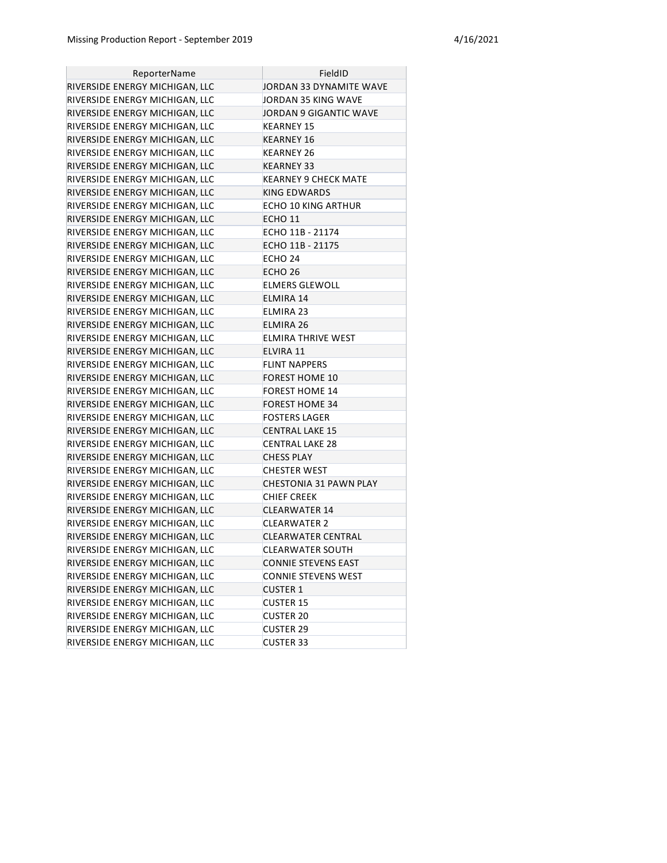| ReporterName                   | FieldID                       |
|--------------------------------|-------------------------------|
| RIVERSIDE ENERGY MICHIGAN, LLC | JORDAN 33 DYNAMITE WAVE       |
| RIVERSIDE ENERGY MICHIGAN, LLC | JORDAN 35 KING WAVE           |
| RIVERSIDE ENERGY MICHIGAN, LLC | JORDAN 9 GIGANTIC WAVE        |
| RIVERSIDE ENERGY MICHIGAN, LLC | <b>KEARNEY 15</b>             |
| RIVERSIDE ENERGY MICHIGAN, LLC | KEARNEY 16                    |
| RIVERSIDE ENERGY MICHIGAN, LLC | KEARNEY 26                    |
| RIVERSIDE ENERGY MICHIGAN, LLC | KEARNEY 33                    |
| RIVERSIDE ENERGY MICHIGAN, LLC | KEARNEY 9 CHECK MATE          |
| RIVERSIDE ENERGY MICHIGAN, LLC | <b>KING EDWARDS</b>           |
| RIVERSIDE ENERGY MICHIGAN, LLC | <b>ECHO 10 KING ARTHUR</b>    |
| RIVERSIDE ENERGY MICHIGAN, LLC | ECHO 11                       |
| RIVERSIDE ENERGY MICHIGAN, LLC | ECHO 11B - 21174              |
| RIVERSIDE ENERGY MICHIGAN, LLC | ECHO 11B - 21175              |
| RIVERSIDE ENERGY MICHIGAN, LLC | ECHO 24                       |
| RIVERSIDE ENERGY MICHIGAN, LLC | ECHO 26                       |
| RIVERSIDE ENERGY MICHIGAN, LLC | ELMERS GLEWOLL                |
| RIVERSIDE ENERGY MICHIGAN, LLC | ELMIRA 14                     |
| RIVERSIDE ENERGY MICHIGAN, LLC | ELMIRA 23                     |
| RIVERSIDE ENERGY MICHIGAN, LLC | ELMIRA 26                     |
| RIVERSIDE ENERGY MICHIGAN, LLC | ELMIRA THRIVE WEST            |
| RIVERSIDE ENERGY MICHIGAN, LLC | ELVIRA 11                     |
| RIVERSIDE ENERGY MICHIGAN, LLC | <b>FLINT NAPPERS</b>          |
| RIVERSIDE ENERGY MICHIGAN, LLC | FOREST HOME 10                |
| RIVERSIDE ENERGY MICHIGAN, LLC | <b>FOREST HOME 14</b>         |
| RIVERSIDE ENERGY MICHIGAN, LLC | <b>FOREST HOME 34</b>         |
| RIVERSIDE ENERGY MICHIGAN, LLC | <b>FOSTERS LAGER</b>          |
| RIVERSIDE ENERGY MICHIGAN, LLC | <b>CENTRAL LAKE 15</b>        |
| RIVERSIDE ENERGY MICHIGAN, LLC | <b>CENTRAL LAKE 28</b>        |
| RIVERSIDE ENERGY MICHIGAN, LLC | <b>CHESS PLAY</b>             |
| RIVERSIDE ENERGY MICHIGAN, LLC | <b>CHESTER WEST</b>           |
| RIVERSIDE ENERGY MICHIGAN, LLC | <b>CHESTONIA 31 PAWN PLAY</b> |
| RIVERSIDE ENERGY MICHIGAN, LLC | <b>CHIEF CREEK</b>            |
| RIVERSIDE ENERGY MICHIGAN, LLC | <b>CLEARWATER 14</b>          |
| RIVERSIDE ENERGY MICHIGAN, LLC | <b>CLEARWATER 2</b>           |
| RIVERSIDE ENERGY MICHIGAN, LLC | <b>CLEARWATER CENTRAL</b>     |
| RIVERSIDE ENERGY MICHIGAN, LLC | <b>CLEARWATER SOUTH</b>       |
| RIVERSIDE ENERGY MICHIGAN, LLC | <b>CONNIE STEVENS EAST</b>    |
| RIVERSIDE ENERGY MICHIGAN, LLC | CONNIE STEVENS WEST           |
| RIVERSIDE ENERGY MICHIGAN, LLC | <b>CUSTER 1</b>               |
| RIVERSIDE ENERGY MICHIGAN, LLC | <b>CUSTER 15</b>              |
| RIVERSIDE ENERGY MICHIGAN, LLC | <b>CUSTER 20</b>              |
| RIVERSIDE ENERGY MICHIGAN, LLC | <b>CUSTER 29</b>              |
| RIVERSIDE ENERGY MICHIGAN, LLC | <b>CUSTER 33</b>              |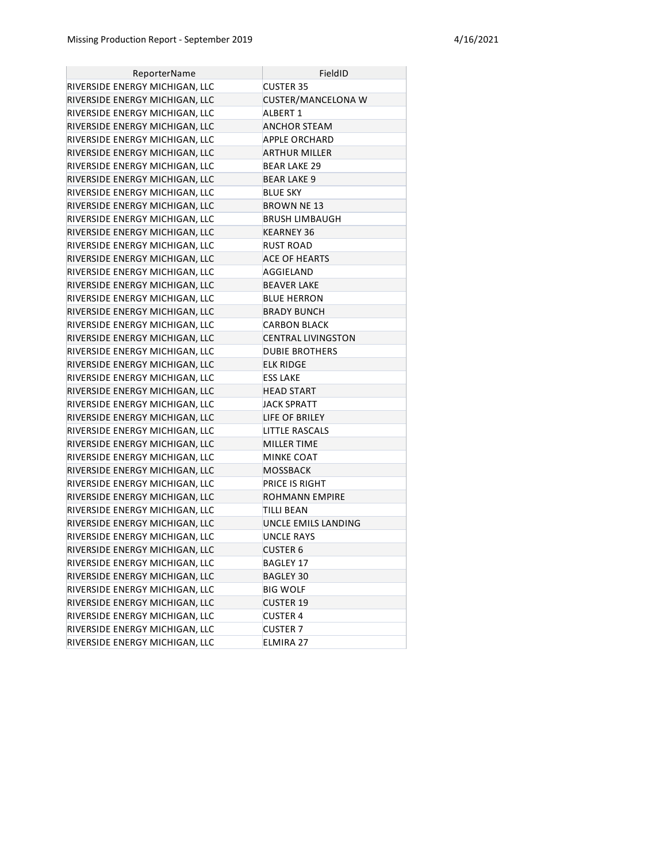| ReporterName                   | FieldID                   |
|--------------------------------|---------------------------|
| RIVERSIDE ENERGY MICHIGAN, LLC | <b>CUSTER 35</b>          |
| RIVERSIDE ENERGY MICHIGAN, LLC | <b>CUSTER/MANCELONA W</b> |
| RIVERSIDE ENERGY MICHIGAN, LLC | <b>ALBERT 1</b>           |
| RIVERSIDE ENERGY MICHIGAN, LLC | ANCHOR STEAM              |
| RIVERSIDE ENERGY MICHIGAN, LLC | <b>APPLE ORCHARD</b>      |
| RIVERSIDE ENERGY MICHIGAN, LLC | ARTHUR MILLER             |
| RIVERSIDE ENERGY MICHIGAN, LLC | <b>BEAR LAKE 29</b>       |
| RIVERSIDE ENERGY MICHIGAN, LLC | <b>BEAR LAKE 9</b>        |
| RIVERSIDE ENERGY MICHIGAN, LLC | <b>BLUE SKY</b>           |
| RIVERSIDE ENERGY MICHIGAN, LLC | <b>BROWN NE 13</b>        |
| RIVERSIDE ENERGY MICHIGAN, LLC | <b>BRUSH LIMBAUGH</b>     |
| RIVERSIDE ENERGY MICHIGAN, LLC | KEARNEY 36                |
| RIVERSIDE ENERGY MICHIGAN, LLC | RUST ROAD                 |
| RIVERSIDE ENERGY MICHIGAN, LLC | <b>ACE OF HEARTS</b>      |
| RIVERSIDE ENERGY MICHIGAN, LLC | AGGIELAND                 |
| RIVERSIDE ENERGY MICHIGAN, LLC | <b>BEAVER LAKE</b>        |
| RIVERSIDE ENERGY MICHIGAN, LLC | <b>BLUE HERRON</b>        |
| RIVERSIDE ENERGY MICHIGAN, LLC | <b>BRADY BUNCH</b>        |
| RIVERSIDE ENERGY MICHIGAN, LLC | <b>CARBON BLACK</b>       |
| RIVERSIDE ENERGY MICHIGAN, LLC | <b>CENTRAL LIVINGSTON</b> |
| RIVERSIDE ENERGY MICHIGAN, LLC | <b>DUBIE BROTHERS</b>     |
| RIVERSIDE ENERGY MICHIGAN, LLC | <b>ELK RIDGE</b>          |
| RIVERSIDE ENERGY MICHIGAN, LLC | <b>ESS LAKE</b>           |
| RIVERSIDE ENERGY MICHIGAN, LLC | <b>HEAD START</b>         |
| RIVERSIDE ENERGY MICHIGAN, LLC | <b>JACK SPRATT</b>        |
| RIVERSIDE ENERGY MICHIGAN, LLC | LIFE OF BRILEY            |
| RIVERSIDE ENERGY MICHIGAN, LLC | LITTLE RASCALS            |
| RIVERSIDE ENERGY MICHIGAN, LLC | MILLER TIME               |
| RIVERSIDE ENERGY MICHIGAN, LLC | <b>MINKE COAT</b>         |
| RIVERSIDE ENERGY MICHIGAN, LLC | MOSSBACK                  |
| RIVERSIDE ENERGY MICHIGAN, LLC | PRICE IS RIGHT            |
| RIVERSIDE ENERGY MICHIGAN, LLC | ROHMANN EMPIRE            |
| RIVERSIDE ENERGY MICHIGAN, LLC | TILLI BEAN                |
| RIVERSIDE ENERGY MICHIGAN, LLC | UNCLE EMILS LANDING       |
| RIVERSIDE ENERGY MICHIGAN, LLC | <b>UNCLE RAYS</b>         |
| RIVERSIDE ENERGY MICHIGAN, LLC | <b>CUSTER 6</b>           |
| RIVERSIDE ENERGY MICHIGAN, LLC | <b>BAGLEY 17</b>          |
| RIVERSIDE ENERGY MICHIGAN, LLC | BAGLEY 30                 |
| RIVERSIDE ENERGY MICHIGAN, LLC | <b>BIG WOLF</b>           |
| RIVERSIDE ENERGY MICHIGAN, LLC | <b>CUSTER 19</b>          |
| RIVERSIDE ENERGY MICHIGAN, LLC | <b>CUSTER 4</b>           |
| RIVERSIDE ENERGY MICHIGAN, LLC | <b>CUSTER 7</b>           |
| RIVERSIDE ENERGY MICHIGAN, LLC | ELMIRA 27                 |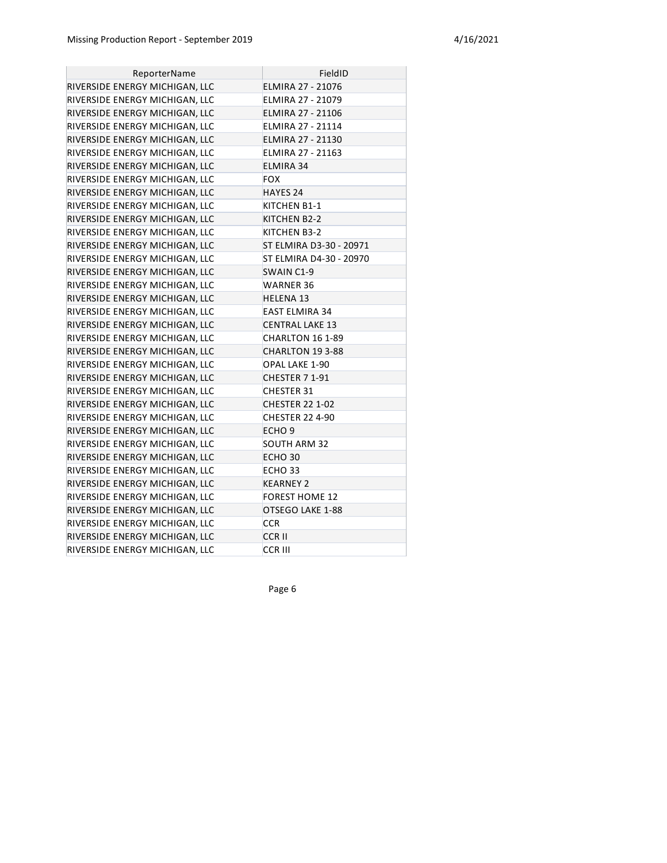| ReporterName                   | FieldID                  |
|--------------------------------|--------------------------|
| RIVERSIDE ENERGY MICHIGAN, LLC | ELMIRA 27 - 21076        |
| RIVERSIDE ENERGY MICHIGAN, LLC | ELMIRA 27 - 21079        |
| RIVERSIDE ENERGY MICHIGAN, LLC | ELMIRA 27 - 21106        |
| RIVERSIDE ENERGY MICHIGAN, LLC | ELMIRA 27 - 21114        |
| RIVERSIDE ENERGY MICHIGAN, LLC | ELMIRA 27 - 21130        |
| RIVERSIDE ENERGY MICHIGAN, LLC | <b>ELMIRA 27 - 21163</b> |
| RIVERSIDE ENERGY MICHIGAN, LLC | ELMIRA 34                |
| RIVERSIDE ENERGY MICHIGAN, LLC | FOX                      |
| RIVERSIDE ENERGY MICHIGAN, LLC | HAYES 24                 |
| RIVERSIDE ENERGY MICHIGAN, LLC | KITCHEN B1-1             |
| RIVERSIDE ENERGY MICHIGAN, LLC | KITCHEN B2-2             |
| RIVERSIDE ENERGY MICHIGAN, LLC | KITCHEN B3-2             |
| RIVERSIDE ENERGY MICHIGAN, LLC | ST ELMIRA D3-30 - 20971  |
| RIVERSIDE ENERGY MICHIGAN, LLC | ST ELMIRA D4-30 - 20970  |
| RIVERSIDE ENERGY MICHIGAN, LLC | SWAIN C1-9               |
| RIVERSIDE ENERGY MICHIGAN, LLC | WARNER 36                |
| RIVERSIDE ENERGY MICHIGAN, LLC | <b>HELENA 13</b>         |
| RIVERSIDE ENERGY MICHIGAN, LLC | <b>EAST ELMIRA 34</b>    |
| RIVERSIDE ENERGY MICHIGAN, LLC | <b>CENTRAL LAKE 13</b>   |
| RIVERSIDE ENERGY MICHIGAN, LLC | CHARLTON 16 1-89         |
| RIVERSIDE ENERGY MICHIGAN, LLC | CHARLTON 19 3-88         |
| RIVERSIDE ENERGY MICHIGAN, LLC | OPAL LAKE 1-90           |
| RIVERSIDE ENERGY MICHIGAN, LLC | CHESTER 7 1-91           |
| RIVERSIDE ENERGY MICHIGAN, LLC | <b>CHESTER 31</b>        |
| RIVERSIDE ENERGY MICHIGAN, LLC | <b>CHESTER 22 1-02</b>   |
| RIVERSIDE ENERGY MICHIGAN, LLC | <b>CHESTER 22 4-90</b>   |
| RIVERSIDE ENERGY MICHIGAN, LLC | ECHO <sub>9</sub>        |
| RIVERSIDE ENERGY MICHIGAN, LLC | <b>SOUTH ARM 32</b>      |
| RIVERSIDE ENERGY MICHIGAN, LLC | ECHO <sub>30</sub>       |
| RIVERSIDE ENERGY MICHIGAN, LLC | ECHO 33                  |
| RIVERSIDE ENERGY MICHIGAN, LLC | <b>KEARNEY 2</b>         |
| RIVERSIDE ENERGY MICHIGAN, LLC | <b>FOREST HOME 12</b>    |
| RIVERSIDE ENERGY MICHIGAN, LLC | OTSEGO LAKE 1-88         |
| RIVERSIDE ENERGY MICHIGAN, LLC | <b>CCR</b>               |
| RIVERSIDE ENERGY MICHIGAN, LLC | <b>CCRII</b>             |
| RIVERSIDE ENERGY MICHIGAN, LLC | <b>CCR III</b>           |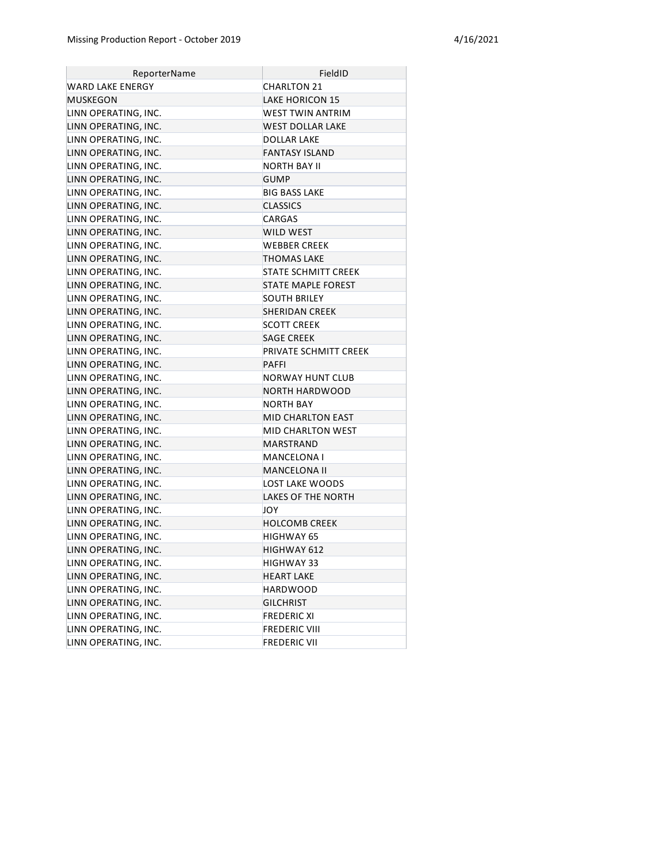| ReporterName         | FieldID                   |
|----------------------|---------------------------|
| WARD LAKE ENERGY     | CHARLTON 21               |
| MUSKEGON             | <b>LAKE HORICON 15</b>    |
| LINN OPERATING, INC. | WEST TWIN ANTRIM          |
| LINN OPERATING, INC. | WEST DOLLAR LAKE          |
| LINN OPERATING, INC. | <b>DOLLAR LAKE</b>        |
| LINN OPERATING, INC. | <b>FANTASY ISLAND</b>     |
| LINN OPERATING, INC. | NORTH BAY II              |
| LINN OPERATING, INC. | <b>GUMP</b>               |
| LINN OPERATING, INC. | <b>BIG BASS LAKE</b>      |
| LINN OPERATING, INC. | <b>CLASSICS</b>           |
| LINN OPERATING, INC. | CARGAS                    |
| LINN OPERATING, INC. | WILD WEST                 |
| LINN OPERATING, INC. | WEBBER CREEK              |
| LINN OPERATING, INC. | <b>THOMAS LAKE</b>        |
| LINN OPERATING, INC. | STATE SCHMITT CREEK       |
| LINN OPERATING, INC. | <b>STATE MAPLE FOREST</b> |
| LINN OPERATING, INC. | <b>SOUTH BRILEY</b>       |
| LINN OPERATING, INC. | <b>SHERIDAN CREEK</b>     |
| LINN OPERATING, INC. | <b>SCOTT CREEK</b>        |
| LINN OPERATING, INC. | <b>SAGE CREEK</b>         |
| LINN OPERATING, INC. | PRIVATE SCHMITT CREEK     |
| LINN OPERATING, INC. | <b>PAFFI</b>              |
| LINN OPERATING, INC. | NORWAY HUNT CLUB          |
| LINN OPERATING, INC. | <b>NORTH HARDWOOD</b>     |
| LINN OPERATING, INC. | <b>NORTH BAY</b>          |
| LINN OPERATING, INC. | MID CHARLTON EAST         |
| LINN OPERATING, INC. | MID CHARLTON WEST         |
| LINN OPERATING, INC. | MARSTRAND                 |
| LINN OPERATING, INC. | MANCELONA I               |
| LINN OPERATING, INC. | MANCELONA II              |
| LINN OPERATING, INC. | LOST LAKE WOODS           |
| LINN OPERATING, INC. | LAKES OF THE NORTH        |
| LINN OPERATING, INC. | JOY                       |
| LINN OPERATING, INC. | <b>HOLCOMB CREEK</b>      |
| LINN OPERATING, INC. | HIGHWAY 65                |
| LINN OPERATING, INC. | HIGHWAY 612               |
| LINN OPERATING, INC. | <b>HIGHWAY 33</b>         |
| LINN OPERATING, INC. | <b>HEART LAKE</b>         |
| LINN OPERATING, INC. | <b>HARDWOOD</b>           |
| LINN OPERATING, INC. | <b>GILCHRIST</b>          |
| LINN OPERATING, INC. | <b>FREDERIC XI</b>        |
| LINN OPERATING, INC. | <b>FREDERIC VIII</b>      |
| LINN OPERATING, INC. | <b>FREDERIC VII</b>       |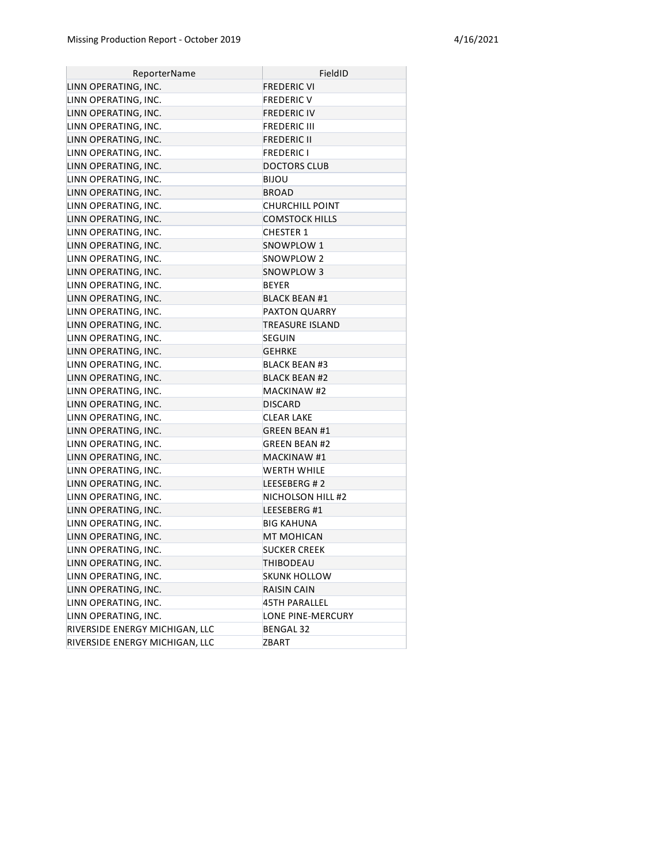| ReporterName                   | FieldID               |
|--------------------------------|-----------------------|
| LINN OPERATING, INC.           | <b>FREDERIC VI</b>    |
| LINN OPERATING, INC.           | <b>FREDERIC V</b>     |
| LINN OPERATING, INC.           | FREDERIC IV           |
| LINN OPERATING, INC.           | <b>FREDERIC III</b>   |
| LINN OPERATING, INC.           | <b>FREDERIC II</b>    |
| LINN OPERATING, INC.           | <b>FREDERIC I</b>     |
| LINN OPERATING, INC.           | <b>DOCTORS CLUB</b>   |
| LINN OPERATING, INC.           | BIJOU                 |
| LINN OPERATING, INC.           | BROAD                 |
| LINN OPERATING, INC.           | CHURCHILL POINT       |
| LINN OPERATING, INC.           | <b>COMSTOCK HILLS</b> |
| LINN OPERATING, INC.           | <b>CHESTER 1</b>      |
| LINN OPERATING, INC.           | SNOWPLOW 1            |
| LINN OPERATING, INC.           | SNOWPLOW 2            |
| LINN OPERATING, INC.           | SNOWPLOW 3            |
| LINN OPERATING, INC.           | <b>BEYER</b>          |
| LINN OPERATING, INC.           | <b>BLACK BEAN #1</b>  |
| LINN OPERATING, INC.           | PAXTON QUARRY         |
| LINN OPERATING, INC.           | TREASURE ISLAND       |
| LINN OPERATING, INC.           | <b>SEGUIN</b>         |
| LINN OPERATING, INC.           | <b>GEHRKE</b>         |
| LINN OPERATING, INC.           | <b>BLACK BEAN #3</b>  |
| LINN OPERATING, INC.           | <b>BLACK BEAN #2</b>  |
| LINN OPERATING, INC.           | <b>MACKINAW #2</b>    |
| LINN OPERATING, INC.           | DISCARD               |
| LINN OPERATING, INC.           | <b>CLEAR LAKE</b>     |
| LINN OPERATING, INC.           | <b>GREEN BEAN #1</b>  |
| LINN OPERATING, INC.           | <b>GREEN BEAN #2</b>  |
| LINN OPERATING, INC.           | <b>MACKINAW #1</b>    |
| LINN OPERATING, INC.           | WERTH WHILE           |
| LINN OPERATING, INC.           | LEESEBERG #2          |
| LINN OPERATING, INC.           | NICHOLSON HILL #2     |
| LINN OPERATING, INC.           | LEESEBERG #1          |
| LINN OPERATING, INC.           | <b>BIG KAHUNA</b>     |
| LINN OPERATING, INC.           | <b>MT MOHICAN</b>     |
| LINN OPERATING, INC.           | SUCKER CREEK          |
| LINN OPERATING, INC.           | THIBODEAU             |
| LINN OPERATING, INC.           | <b>SKUNK HOLLOW</b>   |
| LINN OPERATING, INC.           | RAISIN CAIN           |
| LINN OPERATING, INC.           | <b>45TH PARALLEL</b>  |
| LINN OPERATING, INC.           | LONE PINE-MERCURY     |
| RIVERSIDE ENERGY MICHIGAN, LLC | <b>BENGAL 32</b>      |
| RIVERSIDE ENERGY MICHIGAN, LLC | ZBART                 |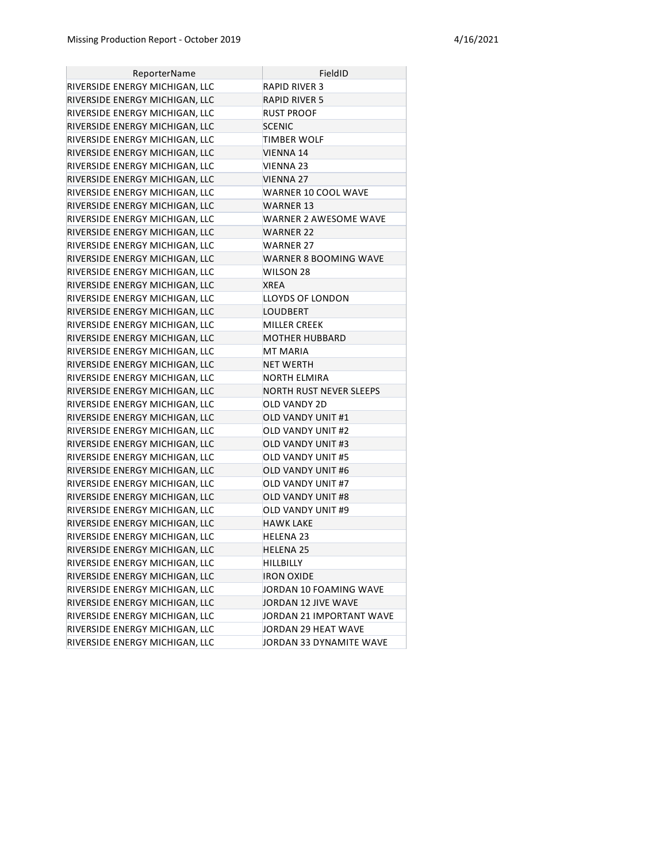| <b>ReporterName</b>            | FieldID                      |
|--------------------------------|------------------------------|
| RIVERSIDE ENERGY MICHIGAN, LLC | RAPID RIVER 3                |
| RIVERSIDE ENERGY MICHIGAN, LLC | <b>RAPID RIVER 5</b>         |
| RIVERSIDE ENERGY MICHIGAN, LLC | RUST PROOF                   |
| RIVERSIDE ENERGY MICHIGAN, LLC | <b>SCENIC</b>                |
| RIVERSIDE ENERGY MICHIGAN, LLC | TIMBER WOLF                  |
| RIVERSIDE ENERGY MICHIGAN, LLC | VIENNA 14                    |
| RIVERSIDE ENERGY MICHIGAN, LLC | <b>VIENNA 23</b>             |
| RIVERSIDE ENERGY MICHIGAN, LLC | <b>VIENNA 27</b>             |
| RIVERSIDE ENERGY MICHIGAN, LLC | WARNER 10 COOL WAVE          |
| RIVERSIDE ENERGY MICHIGAN, LLC | WARNER 13                    |
| RIVERSIDE ENERGY MICHIGAN, LLC | WARNER 2 AWESOME WAVE        |
| RIVERSIDE ENERGY MICHIGAN, LLC | <b>WARNER 22</b>             |
| RIVERSIDE ENERGY MICHIGAN, LLC | WARNER 27                    |
| RIVERSIDE ENERGY MICHIGAN, LLC | <b>WARNER 8 BOOMING WAVE</b> |
| RIVERSIDE ENERGY MICHIGAN, LLC | WILSON 28                    |
| RIVERSIDE ENERGY MICHIGAN, LLC | <b>XREA</b>                  |
| RIVERSIDE ENERGY MICHIGAN, LLC | LLOYDS OF LONDON             |
| RIVERSIDE ENERGY MICHIGAN, LLC | LOUDBERT                     |
| RIVERSIDE ENERGY MICHIGAN, LLC | MILLER CREEK                 |
| RIVERSIDE ENERGY MICHIGAN, LLC | <b>MOTHER HUBBARD</b>        |
| RIVERSIDE ENERGY MICHIGAN, LLC | MT MARIA                     |
| RIVERSIDE ENERGY MICHIGAN, LLC | <b>NET WERTH</b>             |
| RIVERSIDE ENERGY MICHIGAN, LLC | NORTH ELMIRA                 |
| RIVERSIDE ENERGY MICHIGAN, LLC | NORTH RUST NEVER SLEEPS      |
| RIVERSIDE ENERGY MICHIGAN, LLC | OLD VANDY 2D                 |
| RIVERSIDE ENERGY MICHIGAN, LLC | OLD VANDY UNIT #1            |
| RIVERSIDE ENERGY MICHIGAN, LLC | <b>OLD VANDY UNIT #2</b>     |
| RIVERSIDE ENERGY MICHIGAN, LLC | <b>OLD VANDY UNIT #3</b>     |
| RIVERSIDE ENERGY MICHIGAN, LLC | <b>OLD VANDY UNIT #5</b>     |
| RIVERSIDE ENERGY MICHIGAN, LLC | OLD VANDY UNIT #6            |
| RIVERSIDE ENERGY MICHIGAN, LLC | OLD VANDY UNIT #7            |
| RIVERSIDE ENERGY MICHIGAN, LLC | OLD VANDY UNIT #8            |
| RIVERSIDE ENERGY MICHIGAN, LLC | OLD VANDY UNIT #9            |
| RIVERSIDE ENERGY MICHIGAN, LLC | <b>HAWK LAKE</b>             |
| RIVERSIDE ENERGY MICHIGAN, LLC | <b>HELENA 23</b>             |
| RIVERSIDE ENERGY MICHIGAN, LLC | HELENA 25                    |
| RIVERSIDE ENERGY MICHIGAN, LLC | <b>HILLBILLY</b>             |
| RIVERSIDE ENERGY MICHIGAN, LLC | <b>IRON OXIDE</b>            |
| RIVERSIDE ENERGY MICHIGAN, LLC | JORDAN 10 FOAMING WAVE       |
| RIVERSIDE ENERGY MICHIGAN, LLC | JORDAN 12 JIVE WAVE          |
| RIVERSIDE ENERGY MICHIGAN, LLC | JORDAN 21 IMPORTANT WAVE     |
| RIVERSIDE ENERGY MICHIGAN, LLC | JORDAN 29 HEAT WAVE          |
| RIVERSIDE ENERGY MICHIGAN, LLC | JORDAN 33 DYNAMITE WAVE      |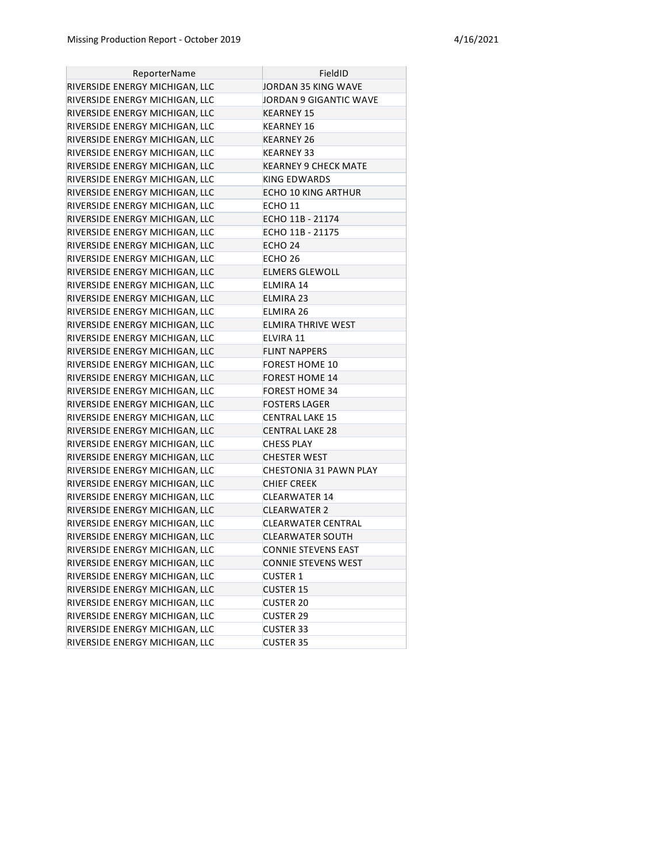| ReporterName                   | FieldID                    |
|--------------------------------|----------------------------|
| RIVERSIDE ENERGY MICHIGAN, LLC | JORDAN 35 KING WAVE        |
| RIVERSIDE ENERGY MICHIGAN, LLC | JORDAN 9 GIGANTIC WAVE     |
| RIVERSIDE ENERGY MICHIGAN, LLC | KEARNEY 15                 |
| RIVERSIDE ENERGY MICHIGAN, LLC | KEARNEY 16                 |
| RIVERSIDE ENERGY MICHIGAN, LLC | <b>KEARNEY 26</b>          |
| RIVERSIDE ENERGY MICHIGAN, LLC | KEARNEY 33                 |
| RIVERSIDE ENERGY MICHIGAN, LLC | KEARNEY 9 CHECK MATE       |
| RIVERSIDE ENERGY MICHIGAN, LLC | KING EDWARDS               |
| RIVERSIDE ENERGY MICHIGAN, LLC | ECHO 10 KING ARTHUR        |
| RIVERSIDE ENERGY MICHIGAN, LLC | ECHO 11                    |
| RIVERSIDE ENERGY MICHIGAN, LLC | ECHO 11B - 21174           |
| RIVERSIDE ENERGY MICHIGAN, LLC | ECHO 11B - 21175           |
| RIVERSIDE ENERGY MICHIGAN, LLC | ECHO 24                    |
| RIVERSIDE ENERGY MICHIGAN, LLC | ECHO 26                    |
| RIVERSIDE ENERGY MICHIGAN, LLC | <b>ELMERS GLEWOLL</b>      |
| RIVERSIDE ENERGY MICHIGAN, LLC | ELMIRA 14                  |
| RIVERSIDE ENERGY MICHIGAN, LLC | ELMIRA 23                  |
| RIVERSIDE ENERGY MICHIGAN, LLC | ELMIRA 26                  |
| RIVERSIDE ENERGY MICHIGAN, LLC | <b>ELMIRA THRIVE WEST</b>  |
| RIVERSIDE ENERGY MICHIGAN, LLC | ELVIRA 11                  |
| RIVERSIDE ENERGY MICHIGAN, LLC | <b>FLINT NAPPERS</b>       |
| RIVERSIDE ENERGY MICHIGAN, LLC | FOREST HOME 10             |
| RIVERSIDE ENERGY MICHIGAN, LLC | <b>FOREST HOME 14</b>      |
| RIVERSIDE ENERGY MICHIGAN, LLC | <b>FOREST HOME 34</b>      |
| RIVERSIDE ENERGY MICHIGAN, LLC | <b>FOSTERS LAGER</b>       |
| RIVERSIDE ENERGY MICHIGAN, LLC | CENTRAL LAKE 15            |
| RIVERSIDE ENERGY MICHIGAN, LLC | <b>CENTRAL LAKE 28</b>     |
| RIVERSIDE ENERGY MICHIGAN, LLC | <b>CHESS PLAY</b>          |
| RIVERSIDE ENERGY MICHIGAN, LLC | <b>CHESTER WEST</b>        |
| RIVERSIDE ENERGY MICHIGAN, LLC | CHESTONIA 31 PAWN PLAY     |
| RIVERSIDE ENERGY MICHIGAN, LLC | <b>CHIEF CREEK</b>         |
| RIVERSIDE ENERGY MICHIGAN, LLC | CLEARWATER 14              |
| RIVERSIDE ENERGY MICHIGAN, LLC | <b>CLEARWATER 2</b>        |
| RIVERSIDE ENERGY MICHIGAN, LLC | CLEARWATER CENTRAL         |
| RIVERSIDE ENERGY MICHIGAN, LLC | <b>CLEARWATER SOUTH</b>    |
| RIVERSIDE ENERGY MICHIGAN, LLC | <b>CONNIE STEVENS EAST</b> |
| RIVERSIDE ENERGY MICHIGAN, LLC | <b>CONNIE STEVENS WEST</b> |
| RIVERSIDE ENERGY MICHIGAN, LLC | <b>CUSTER 1</b>            |
| RIVERSIDE ENERGY MICHIGAN, LLC | <b>CUSTER 15</b>           |
| RIVERSIDE ENERGY MICHIGAN, LLC | <b>CUSTER 20</b>           |
| RIVERSIDE ENERGY MICHIGAN, LLC | <b>CUSTER 29</b>           |
| RIVERSIDE ENERGY MICHIGAN, LLC | <b>CUSTER 33</b>           |
| RIVERSIDE ENERGY MICHIGAN, LLC | <b>CUSTER 35</b>           |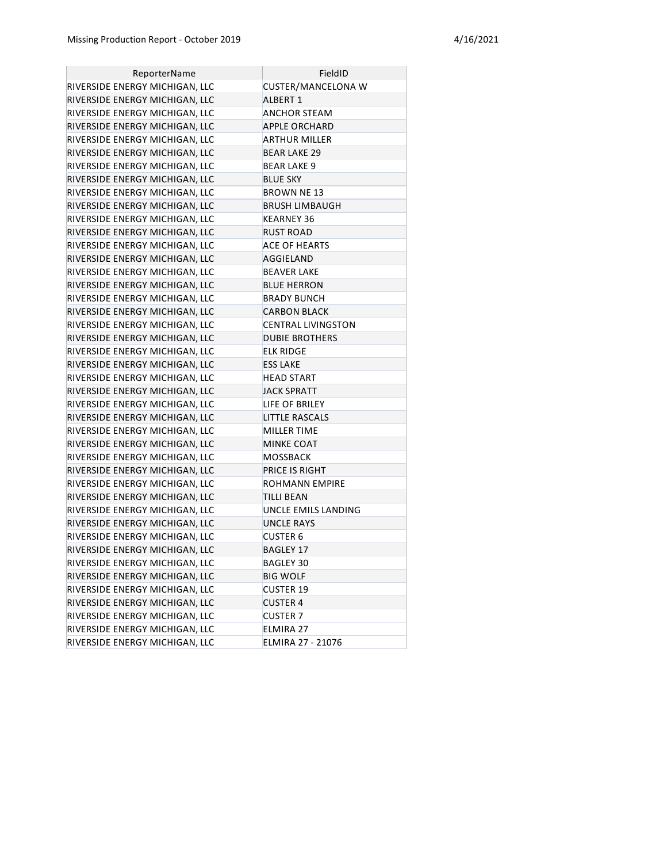| ReporterName                   | FieldID                   |
|--------------------------------|---------------------------|
| RIVERSIDE ENERGY MICHIGAN, LLC | <b>CUSTER/MANCELONA W</b> |
| RIVERSIDE ENERGY MICHIGAN, LLC | <b>ALBERT 1</b>           |
| RIVERSIDE ENERGY MICHIGAN, LLC | <b>ANCHOR STEAM</b>       |
| RIVERSIDE ENERGY MICHIGAN, LLC | <b>APPLE ORCHARD</b>      |
| RIVERSIDE ENERGY MICHIGAN, LLC | <b>ARTHUR MILLER</b>      |
| RIVERSIDE ENERGY MICHIGAN, LLC | BEAR LAKE 29              |
| RIVERSIDE ENERGY MICHIGAN, LLC | <b>BEAR LAKE 9</b>        |
| RIVERSIDE ENERGY MICHIGAN, LLC | <b>BLUE SKY</b>           |
| RIVERSIDE ENERGY MICHIGAN, LLC | <b>BROWN NE 13</b>        |
| RIVERSIDE ENERGY MICHIGAN, LLC | BRUSH LIMBAUGH            |
| RIVERSIDE ENERGY MICHIGAN, LLC | KEARNEY 36                |
| RIVERSIDE ENERGY MICHIGAN, LLC | RUST ROAD                 |
| RIVERSIDE ENERGY MICHIGAN, LLC | ACE OF HEARTS             |
| RIVERSIDE ENERGY MICHIGAN, LLC | AGGIELAND                 |
| RIVERSIDE ENERGY MICHIGAN, LLC | BEAVER LAKE               |
| RIVERSIDE ENERGY MICHIGAN, LLC | <b>BLUE HERRON</b>        |
| RIVERSIDE ENERGY MICHIGAN, LLC | <b>BRADY BUNCH</b>        |
| RIVERSIDE ENERGY MICHIGAN, LLC | <b>CARBON BLACK</b>       |
| RIVERSIDE ENERGY MICHIGAN, LLC | <b>CENTRAL LIVINGSTON</b> |
| RIVERSIDE ENERGY MICHIGAN, LLC | <b>DUBIE BROTHERS</b>     |
| RIVERSIDE ENERGY MICHIGAN, LLC | <b>ELK RIDGE</b>          |
| RIVERSIDE ENERGY MICHIGAN, LLC | <b>ESS LAKE</b>           |
| RIVERSIDE ENERGY MICHIGAN, LLC | HEAD START                |
| RIVERSIDE ENERGY MICHIGAN, LLC | <b>JACK SPRATT</b>        |
| RIVERSIDE ENERGY MICHIGAN, LLC | LIFE OF BRILEY            |
| RIVERSIDE ENERGY MICHIGAN, LLC | LITTLE RASCALS            |
| RIVERSIDE ENERGY MICHIGAN, LLC | MILLER TIME               |
| RIVERSIDE ENERGY MICHIGAN, LLC | MINKE COAT                |
| RIVERSIDE ENERGY MICHIGAN, LLC | <b>MOSSBACK</b>           |
| RIVERSIDE ENERGY MICHIGAN, LLC | PRICE IS RIGHT            |
| RIVERSIDE ENERGY MICHIGAN, LLC | ROHMANN EMPIRE            |
| RIVERSIDE ENERGY MICHIGAN, LLC | TILLI BEAN                |
| RIVERSIDE ENERGY MICHIGAN, LLC | UNCLE EMILS LANDING       |
| RIVERSIDE ENERGY MICHIGAN, LLC | UNCLE RAYS                |
| RIVERSIDE ENERGY MICHIGAN, LLC | CUSTER 6                  |
| RIVERSIDE ENERGY MICHIGAN, LLC | BAGLEY 17                 |
| RIVERSIDE ENERGY MICHIGAN, LLC | <b>BAGLEY 30</b>          |
| RIVERSIDE ENERGY MICHIGAN, LLC | <b>BIG WOLF</b>           |
| RIVERSIDE ENERGY MICHIGAN, LLC | <b>CUSTER 19</b>          |
| RIVERSIDE ENERGY MICHIGAN, LLC | <b>CUSTER 4</b>           |
| RIVERSIDE ENERGY MICHIGAN, LLC | <b>CUSTER 7</b>           |
| RIVERSIDE ENERGY MICHIGAN, LLC | ELMIRA 27                 |
| RIVERSIDE ENERGY MICHIGAN, LLC | ELMIRA 27 - 21076         |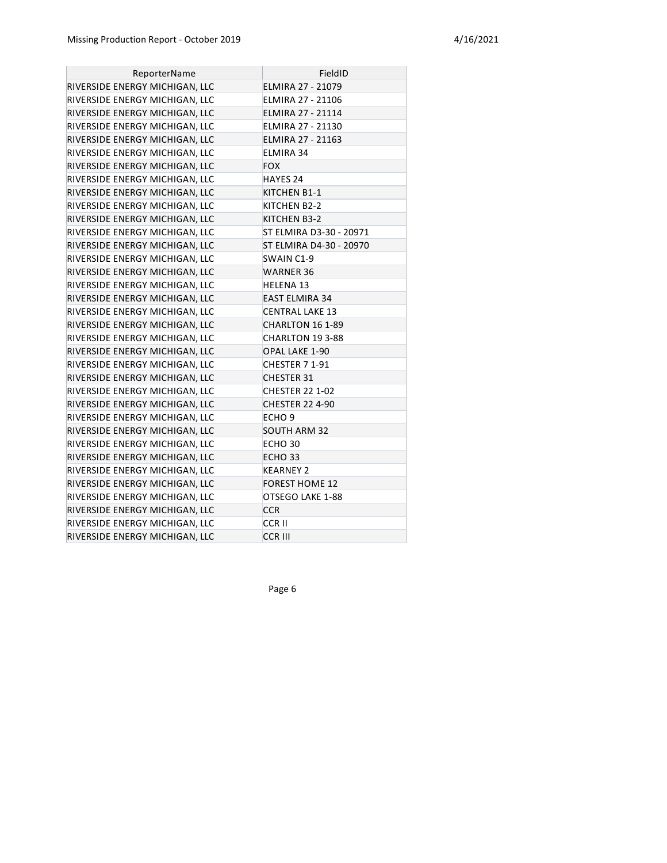| ReporterName                   | FieldID                  |
|--------------------------------|--------------------------|
| RIVERSIDE ENERGY MICHIGAN, LLC | <b>ELMIRA 27 - 21079</b> |
| RIVERSIDE ENERGY MICHIGAN, LLC | ELMIRA 27 - 21106        |
| RIVERSIDE ENERGY MICHIGAN, LLC | ELMIRA 27 - 21114        |
| RIVERSIDE ENERGY MICHIGAN, LLC | ELMIRA 27 - 21130        |
| RIVERSIDE ENERGY MICHIGAN, LLC | ELMIRA 27 - 21163        |
| RIVERSIDE ENERGY MICHIGAN, LLC | <b>ELMIRA 34</b>         |
| RIVERSIDE ENERGY MICHIGAN, LLC | <b>FOX</b>               |
| RIVERSIDE ENERGY MICHIGAN, LLC | HAYES 24                 |
| RIVERSIDE ENERGY MICHIGAN, LLC | KITCHEN B1-1             |
| RIVERSIDE ENERGY MICHIGAN, LLC | KITCHEN B2-2             |
| RIVERSIDE ENERGY MICHIGAN, LLC | KITCHEN B3-2             |
| RIVERSIDE ENERGY MICHIGAN, LLC | ST ELMIRA D3-30 - 20971  |
| RIVERSIDE ENERGY MICHIGAN, LLC | ST ELMIRA D4-30 - 20970  |
| RIVERSIDE ENERGY MICHIGAN, LLC | SWAIN C1-9               |
| RIVERSIDE ENERGY MICHIGAN, LLC | <b>WARNER 36</b>         |
| RIVERSIDE ENERGY MICHIGAN, LLC | HELENA 13                |
| RIVERSIDE ENERGY MICHIGAN, LLC | <b>EAST ELMIRA 34</b>    |
| RIVERSIDE ENERGY MICHIGAN, LLC | <b>CENTRAL LAKE 13</b>   |
| RIVERSIDE ENERGY MICHIGAN, LLC | CHARLTON 16 1-89         |
| RIVERSIDE ENERGY MICHIGAN, LLC | CHARLTON 19 3-88         |
| RIVERSIDE ENERGY MICHIGAN, LLC | OPAL LAKE 1-90           |
| RIVERSIDE ENERGY MICHIGAN, LLC | CHESTER 7 1-91           |
| RIVERSIDE ENERGY MICHIGAN, LLC | <b>CHESTER 31</b>        |
| RIVERSIDE ENERGY MICHIGAN, LLC | <b>CHESTER 22 1-02</b>   |
| RIVERSIDE ENERGY MICHIGAN, LLC | <b>CHESTER 22 4-90</b>   |
| RIVERSIDE ENERGY MICHIGAN, LLC | ECHO <sub>9</sub>        |
| RIVERSIDE ENERGY MICHIGAN, LLC | <b>SOUTH ARM 32</b>      |
| RIVERSIDE ENERGY MICHIGAN, LLC | ECHO <sub>30</sub>       |
| RIVERSIDE ENERGY MICHIGAN, LLC | ECHO <sub>33</sub>       |
| RIVERSIDE ENERGY MICHIGAN, LLC | <b>KEARNEY 2</b>         |
| RIVERSIDE ENERGY MICHIGAN, LLC | <b>FOREST HOME 12</b>    |
| RIVERSIDE ENERGY MICHIGAN, LLC | OTSEGO LAKE 1-88         |
| RIVERSIDE ENERGY MICHIGAN, LLC | <b>CCR</b>               |
| RIVERSIDE ENERGY MICHIGAN, LLC | <b>CCRII</b>             |
| RIVERSIDE ENERGY MICHIGAN, LLC | <b>CCR III</b>           |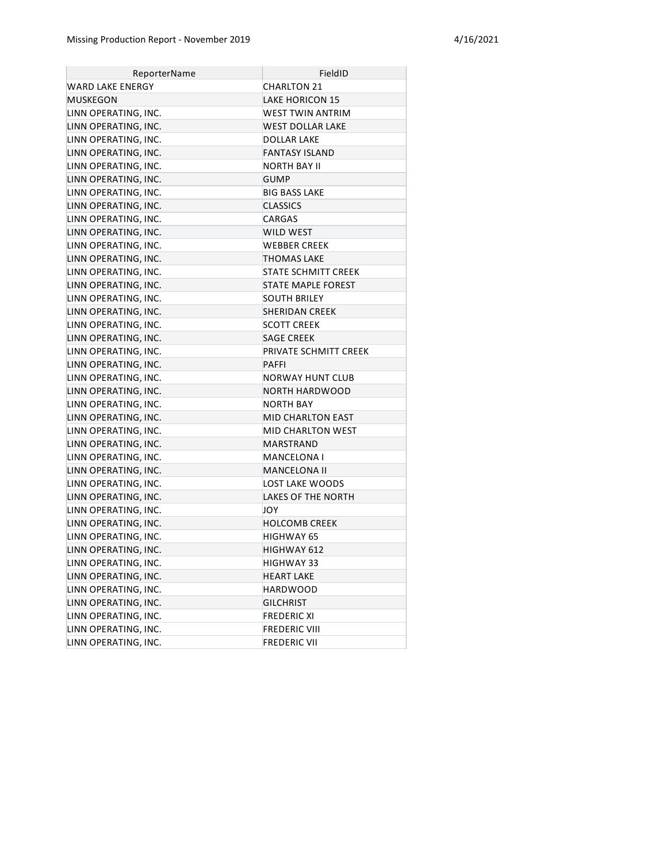| ReporterName         | FieldID                   |
|----------------------|---------------------------|
| WARD LAKE ENERGY     | CHARLTON 21               |
| MUSKEGON             | <b>LAKE HORICON 15</b>    |
| LINN OPERATING, INC. | WEST TWIN ANTRIM          |
| LINN OPERATING, INC. | WEST DOLLAR LAKE          |
| LINN OPERATING, INC. | <b>DOLLAR LAKE</b>        |
| LINN OPERATING, INC. | <b>FANTASY ISLAND</b>     |
| LINN OPERATING, INC. | NORTH BAY II              |
| LINN OPERATING, INC. | <b>GUMP</b>               |
| LINN OPERATING, INC. | <b>BIG BASS LAKE</b>      |
| LINN OPERATING, INC. | <b>CLASSICS</b>           |
| LINN OPERATING, INC. | CARGAS                    |
| LINN OPERATING, INC. | WILD WEST                 |
| LINN OPERATING, INC. | WEBBER CREEK              |
| LINN OPERATING, INC. | <b>THOMAS LAKE</b>        |
| LINN OPERATING, INC. | STATE SCHMITT CREEK       |
| LINN OPERATING, INC. | <b>STATE MAPLE FOREST</b> |
| LINN OPERATING, INC. | <b>SOUTH BRILEY</b>       |
| LINN OPERATING, INC. | <b>SHERIDAN CREEK</b>     |
| LINN OPERATING, INC. | <b>SCOTT CREEK</b>        |
| LINN OPERATING, INC. | <b>SAGE CREEK</b>         |
| LINN OPERATING, INC. | PRIVATE SCHMITT CREEK     |
| LINN OPERATING, INC. | <b>PAFFI</b>              |
| LINN OPERATING, INC. | NORWAY HUNT CLUB          |
| LINN OPERATING, INC. | <b>NORTH HARDWOOD</b>     |
| LINN OPERATING, INC. | <b>NORTH BAY</b>          |
| LINN OPERATING, INC. | MID CHARLTON EAST         |
| LINN OPERATING, INC. | MID CHARLTON WEST         |
| LINN OPERATING, INC. | MARSTRAND                 |
| LINN OPERATING, INC. | MANCELONA I               |
| LINN OPERATING, INC. | MANCELONA II              |
| LINN OPERATING, INC. | LOST LAKE WOODS           |
| LINN OPERATING, INC. | LAKES OF THE NORTH        |
| LINN OPERATING, INC. | JOY                       |
| LINN OPERATING, INC. | <b>HOLCOMB CREEK</b>      |
| LINN OPERATING, INC. | HIGHWAY 65                |
| LINN OPERATING, INC. | HIGHWAY 612               |
| LINN OPERATING, INC. | <b>HIGHWAY 33</b>         |
| LINN OPERATING, INC. | <b>HEART LAKE</b>         |
| LINN OPERATING, INC. | <b>HARDWOOD</b>           |
| LINN OPERATING, INC. | <b>GILCHRIST</b>          |
| LINN OPERATING, INC. | <b>FREDERIC XI</b>        |
| LINN OPERATING, INC. | <b>FREDERIC VIII</b>      |
| LINN OPERATING, INC. | <b>FREDERIC VII</b>       |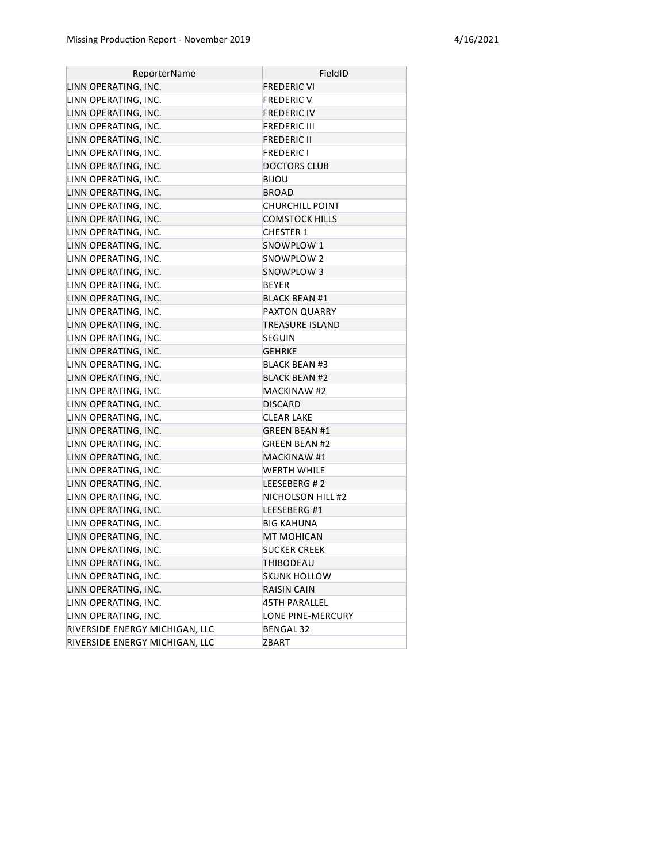| ReporterName                   | FieldID               |
|--------------------------------|-----------------------|
| LINN OPERATING, INC.           | FREDERIC VI           |
| LINN OPERATING, INC.           | FREDERIC V            |
| LINN OPERATING, INC.           | FREDERIC IV           |
| LINN OPERATING, INC.           | FREDERIC III          |
| LINN OPERATING, INC.           | <b>FREDERIC II</b>    |
| LINN OPERATING, INC.           | <b>FREDERIC I</b>     |
| LINN OPERATING, INC.           | <b>DOCTORS CLUB</b>   |
| LINN OPERATING, INC.           | BIJOU                 |
| LINN OPERATING, INC.           | <b>BROAD</b>          |
| LINN OPERATING, INC.           | CHURCHILL POINT       |
| LINN OPERATING, INC.           | <b>COMSTOCK HILLS</b> |
| LINN OPERATING, INC.           | <b>CHESTER 1</b>      |
| LINN OPERATING, INC.           | SNOWPLOW 1            |
| LINN OPERATING, INC.           | SNOWPLOW 2            |
| LINN OPERATING, INC.           | SNOWPLOW 3            |
| LINN OPERATING, INC.           | BEYER                 |
| LINN OPERATING, INC.           | <b>BLACK BEAN #1</b>  |
| LINN OPERATING, INC.           | PAXTON QUARRY         |
| LINN OPERATING, INC.           | TREASURE ISLAND       |
| LINN OPERATING, INC.           | SEGUIN                |
| LINN OPERATING, INC.           | <b>GEHRKE</b>         |
| LINN OPERATING, INC.           | <b>BLACK BEAN #3</b>  |
| LINN OPERATING, INC.           | <b>BLACK BEAN #2</b>  |
| LINN OPERATING, INC.           | <b>MACKINAW #2</b>    |
| LINN OPERATING, INC.           | <b>DISCARD</b>        |
| LINN OPERATING, INC.           | <b>CLEAR LAKE</b>     |
| LINN OPERATING, INC.           | <b>GREEN BEAN #1</b>  |
| LINN OPERATING, INC.           | <b>GREEN BEAN #2</b>  |
| LINN OPERATING, INC.           | MACKINAW #1           |
| LINN OPERATING, INC.           | WERTH WHILE           |
| LINN OPERATING, INC.           | LEESEBERG #2          |
| LINN OPERATING, INC.           | NICHOLSON HILL #2     |
| LINN OPERATING, INC.           | LEESEBERG #1          |
| LINN OPERATING, INC.           | <b>BIG KAHUNA</b>     |
| LINN OPERATING, INC.           | <b>MT MOHICAN</b>     |
| LINN OPERATING, INC.           | <b>SUCKER CREEK</b>   |
| LINN OPERATING, INC.           | THIBODEAU             |
| LINN OPERATING, INC.           | <b>SKUNK HOLLOW</b>   |
| LINN OPERATING, INC.           | RAISIN CAIN           |
| LINN OPERATING, INC.           | <b>45TH PARALLEL</b>  |
| LINN OPERATING, INC.           | LONE PINE-MERCURY     |
| RIVERSIDE ENERGY MICHIGAN, LLC | <b>BENGAL 32</b>      |
| RIVERSIDE ENERGY MICHIGAN, LLC | ZBART                 |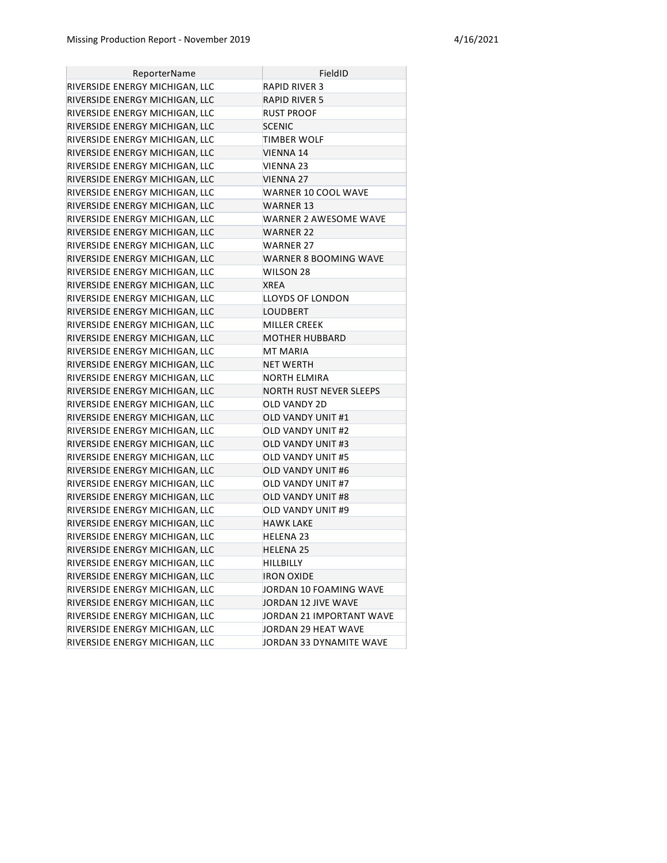| ReporterName                   | FieldID                  |
|--------------------------------|--------------------------|
| RIVERSIDE ENERGY MICHIGAN, LLC | <b>RAPID RIVER 3</b>     |
| RIVERSIDE ENERGY MICHIGAN, LLC | <b>RAPID RIVER 5</b>     |
| RIVERSIDE ENERGY MICHIGAN, LLC | RUST PROOF               |
| RIVERSIDE ENERGY MICHIGAN, LLC | <b>SCENIC</b>            |
| RIVERSIDE ENERGY MICHIGAN, LLC | TIMBER WOLF              |
| RIVERSIDE ENERGY MICHIGAN, LLC | VIENNA 14                |
| RIVERSIDE ENERGY MICHIGAN, LLC | VIENNA 23                |
| RIVERSIDE ENERGY MICHIGAN, LLC | <b>VIENNA 27</b>         |
| RIVERSIDE ENERGY MICHIGAN, LLC | WARNER 10 COOL WAVE      |
| RIVERSIDE ENERGY MICHIGAN, LLC | <b>WARNER 13</b>         |
| RIVERSIDE ENERGY MICHIGAN, LLC | WARNER 2 AWESOME WAVE    |
| RIVERSIDE ENERGY MICHIGAN, LLC | WARNER 22                |
| RIVERSIDE ENERGY MICHIGAN, LLC | WARNER 27                |
| RIVERSIDE ENERGY MICHIGAN, LLC | WARNER 8 BOOMING WAVE    |
| RIVERSIDE ENERGY MICHIGAN, LLC | WILSON 28                |
| RIVERSIDE ENERGY MICHIGAN, LLC | <b>XREA</b>              |
| RIVERSIDE ENERGY MICHIGAN, LLC | LLOYDS OF LONDON         |
| RIVERSIDE ENERGY MICHIGAN, LLC | LOUDBERT                 |
| RIVERSIDE ENERGY MICHIGAN, LLC | <b>MILLER CREEK</b>      |
| RIVERSIDE ENERGY MICHIGAN, LLC | <b>MOTHER HUBBARD</b>    |
| RIVERSIDE ENERGY MICHIGAN, LLC | MT MARIA                 |
| RIVERSIDE ENERGY MICHIGAN, LLC | NET WERTH                |
| RIVERSIDE ENERGY MICHIGAN, LLC | NORTH ELMIRA             |
| RIVERSIDE ENERGY MICHIGAN, LLC | NORTH RUST NEVER SLEEPS  |
| RIVERSIDE ENERGY MICHIGAN, LLC | OLD VANDY 2D             |
| RIVERSIDE ENERGY MICHIGAN, LLC | OLD VANDY UNIT #1        |
| RIVERSIDE ENERGY MICHIGAN, LLC | OLD VANDY UNIT #2        |
| RIVERSIDE ENERGY MICHIGAN, LLC | <b>OLD VANDY UNIT #3</b> |
| RIVERSIDE ENERGY MICHIGAN, LLC | <b>OLD VANDY UNIT #5</b> |
| RIVERSIDE ENERGY MICHIGAN, LLC | <b>OLD VANDY UNIT #6</b> |
| RIVERSIDE ENERGY MICHIGAN, LLC | OLD VANDY UNIT #7        |
| RIVERSIDE ENERGY MICHIGAN, LLC | <b>OLD VANDY UNIT #8</b> |
| RIVERSIDE ENERGY MICHIGAN, LLC | OLD VANDY UNIT #9        |
| RIVERSIDE ENERGY MICHIGAN, LLC | <b>HAWK LAKE</b>         |
| RIVERSIDE ENERGY MICHIGAN, LLC | HELENA 23                |
| RIVERSIDE ENERGY MICHIGAN, LLC | HELENA 25                |
| RIVERSIDE ENERGY MICHIGAN, LLC | <b>HILLBILLY</b>         |
| RIVERSIDE ENERGY MICHIGAN, LLC | <b>IRON OXIDE</b>        |
| RIVERSIDE ENERGY MICHIGAN, LLC | JORDAN 10 FOAMING WAVE   |
| RIVERSIDE ENERGY MICHIGAN, LLC | JORDAN 12 JIVE WAVE      |
| RIVERSIDE ENERGY MICHIGAN, LLC | JORDAN 21 IMPORTANT WAVE |
| RIVERSIDE ENERGY MICHIGAN, LLC | JORDAN 29 HEAT WAVE      |
| RIVERSIDE ENERGY MICHIGAN, LLC | JORDAN 33 DYNAMITE WAVE  |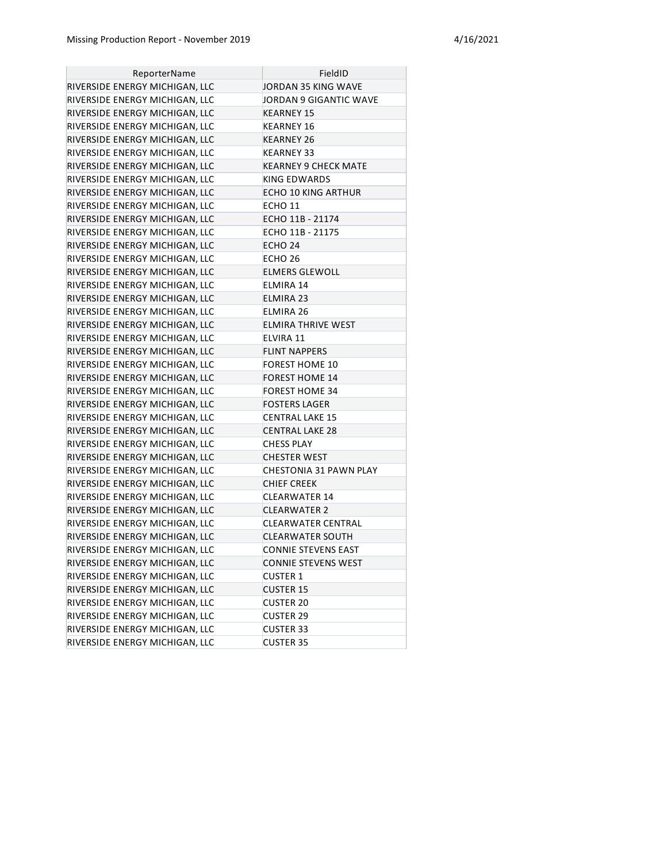| ReporterName                   | FieldID                    |
|--------------------------------|----------------------------|
| RIVERSIDE ENERGY MICHIGAN, LLC | JORDAN 35 KING WAVE        |
| RIVERSIDE ENERGY MICHIGAN, LLC | JORDAN 9 GIGANTIC WAVE     |
| RIVERSIDE ENERGY MICHIGAN, LLC | KEARNEY 15                 |
| RIVERSIDE ENERGY MICHIGAN, LLC | KEARNEY 16                 |
| RIVERSIDE ENERGY MICHIGAN, LLC | KEARNEY 26                 |
| RIVERSIDE ENERGY MICHIGAN, LLC | KEARNEY 33                 |
| RIVERSIDE ENERGY MICHIGAN, LLC | KEARNEY 9 CHECK MATE       |
| RIVERSIDE ENERGY MICHIGAN, LLC | KING EDWARDS               |
| RIVERSIDE ENERGY MICHIGAN, LLC | <b>ECHO 10 KING ARTHUR</b> |
| RIVERSIDE ENERGY MICHIGAN, LLC | ECHO 11                    |
| RIVERSIDE ENERGY MICHIGAN, LLC | ECHO 11B - 21174           |
| RIVERSIDE ENERGY MICHIGAN, LLC | ECHO 11B - 21175           |
| RIVERSIDE ENERGY MICHIGAN, LLC | ECHO 24                    |
| RIVERSIDE ENERGY MICHIGAN, LLC | ECHO 26                    |
| RIVERSIDE ENERGY MICHIGAN, LLC | <b>ELMERS GLEWOLL</b>      |
| RIVERSIDE ENERGY MICHIGAN, LLC | ELMIRA 14                  |
| RIVERSIDE ENERGY MICHIGAN, LLC | <b>ELMIRA 23</b>           |
| RIVERSIDE ENERGY MICHIGAN, LLC | ELMIRA 26                  |
| RIVERSIDE ENERGY MICHIGAN, LLC | ELMIRA THRIVE WEST         |
| RIVERSIDE ENERGY MICHIGAN, LLC | ELVIRA 11                  |
| RIVERSIDE ENERGY MICHIGAN, LLC | <b>FLINT NAPPERS</b>       |
| RIVERSIDE ENERGY MICHIGAN, LLC | FOREST HOME 10             |
| RIVERSIDE ENERGY MICHIGAN, LLC | <b>FOREST HOME 14</b>      |
| RIVERSIDE ENERGY MICHIGAN, LLC | <b>FOREST HOME 34</b>      |
| RIVERSIDE ENERGY MICHIGAN, LLC | <b>FOSTERS LAGER</b>       |
| RIVERSIDE ENERGY MICHIGAN, LLC | CENTRAL LAKE 15            |
| RIVERSIDE ENERGY MICHIGAN, LLC | <b>CENTRAL LAKE 28</b>     |
| RIVERSIDE ENERGY MICHIGAN, LLC | <b>CHESS PLAY</b>          |
| RIVERSIDE ENERGY MICHIGAN, LLC | <b>CHESTER WEST</b>        |
| RIVERSIDE ENERGY MICHIGAN, LLC | CHESTONIA 31 PAWN PLAY     |
| RIVERSIDE ENERGY MICHIGAN, LLC | <b>CHIEF CREEK</b>         |
| RIVERSIDE ENERGY MICHIGAN, LLC | CLEARWATER 14              |
| RIVERSIDE ENERGY MICHIGAN, LLC | <b>CLEARWATER 2</b>        |
| RIVERSIDE ENERGY MICHIGAN, LLC | CLEARWATER CENTRAL         |
| RIVERSIDE ENERGY MICHIGAN, LLC | <b>CLEARWATER SOUTH</b>    |
| RIVERSIDE ENERGY MICHIGAN, LLC | <b>CONNIE STEVENS EAST</b> |
| RIVERSIDE ENERGY MICHIGAN, LLC | <b>CONNIE STEVENS WEST</b> |
| RIVERSIDE ENERGY MICHIGAN, LLC | <b>CUSTER 1</b>            |
| RIVERSIDE ENERGY MICHIGAN, LLC | <b>CUSTER 15</b>           |
| RIVERSIDE ENERGY MICHIGAN, LLC | <b>CUSTER 20</b>           |
| RIVERSIDE ENERGY MICHIGAN, LLC | <b>CUSTER 29</b>           |
| RIVERSIDE ENERGY MICHIGAN, LLC | <b>CUSTER 33</b>           |
| RIVERSIDE ENERGY MICHIGAN, LLC | <b>CUSTER 35</b>           |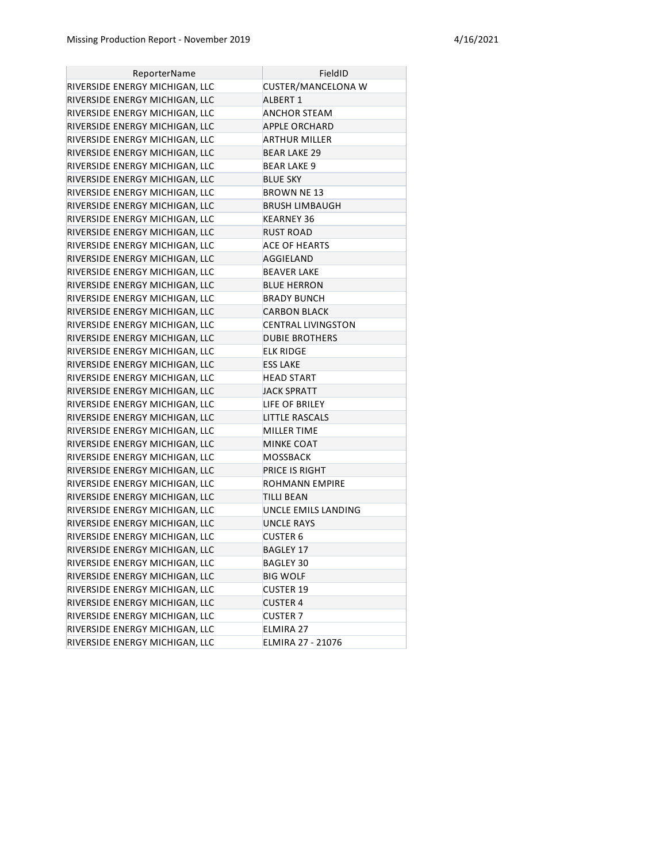| ReporterName                   | FieldID                   |
|--------------------------------|---------------------------|
| RIVERSIDE ENERGY MICHIGAN, LLC | CUSTER/MANCELONA W        |
| RIVERSIDE ENERGY MICHIGAN, LLC | <b>ALBERT 1</b>           |
| RIVERSIDE ENERGY MICHIGAN, LLC | ANCHOR STEAM              |
| RIVERSIDE ENERGY MICHIGAN, LLC | <b>APPLE ORCHARD</b>      |
| RIVERSIDE ENERGY MICHIGAN, LLC | <b>ARTHUR MILLER</b>      |
| RIVERSIDE ENERGY MICHIGAN, LLC | <b>BEAR LAKE 29</b>       |
| RIVERSIDE ENERGY MICHIGAN, LLC | <b>BEAR LAKE 9</b>        |
| RIVERSIDE ENERGY MICHIGAN, LLC | <b>BLUE SKY</b>           |
| RIVERSIDE ENERGY MICHIGAN, LLC | <b>BROWN NE 13</b>        |
| RIVERSIDE ENERGY MICHIGAN, LLC | <b>BRUSH LIMBAUGH</b>     |
| RIVERSIDE ENERGY MICHIGAN, LLC | <b>KEARNEY 36</b>         |
| RIVERSIDE ENERGY MICHIGAN, LLC | RUST ROAD                 |
| RIVERSIDE ENERGY MICHIGAN, LLC | ACE OF HEARTS             |
| RIVERSIDE ENERGY MICHIGAN, LLC | AGGIELAND                 |
| RIVERSIDE ENERGY MICHIGAN, LLC | <b>BEAVER LAKE</b>        |
| RIVERSIDE ENERGY MICHIGAN, LLC | <b>BLUE HERRON</b>        |
| RIVERSIDE ENERGY MICHIGAN, LLC | <b>BRADY BUNCH</b>        |
| RIVERSIDE ENERGY MICHIGAN, LLC | <b>CARBON BLACK</b>       |
| RIVERSIDE ENERGY MICHIGAN, LLC | <b>CENTRAL LIVINGSTON</b> |
| RIVERSIDE ENERGY MICHIGAN, LLC | <b>DUBIE BROTHERS</b>     |
| RIVERSIDE ENERGY MICHIGAN, LLC | <b>ELK RIDGE</b>          |
| RIVERSIDE ENERGY MICHIGAN, LLC | <b>ESS LAKE</b>           |
| RIVERSIDE ENERGY MICHIGAN, LLC | <b>HEAD START</b>         |
| RIVERSIDE ENERGY MICHIGAN, LLC | <b>JACK SPRATT</b>        |
| RIVERSIDE ENERGY MICHIGAN, LLC | LIFE OF BRILEY            |
| RIVERSIDE ENERGY MICHIGAN, LLC | <b>LITTLE RASCALS</b>     |
| RIVERSIDE ENERGY MICHIGAN, LLC | MILLER TIME               |
| RIVERSIDE ENERGY MICHIGAN, LLC | <b>MINKE COAT</b>         |
| RIVERSIDE ENERGY MICHIGAN, LLC | <b>MOSSBACK</b>           |
| RIVERSIDE ENERGY MICHIGAN, LLC | PRICE IS RIGHT            |
| RIVERSIDE ENERGY MICHIGAN, LLC | ROHMANN EMPIRE            |
| RIVERSIDE ENERGY MICHIGAN, LLC | <b>TILLI BEAN</b>         |
| RIVERSIDE ENERGY MICHIGAN, LLC | UNCLE EMILS LANDING       |
| RIVERSIDE ENERGY MICHIGAN, LLC | <b>UNCLE RAYS</b>         |
| RIVERSIDE ENERGY MICHIGAN, LLC | <b>CUSTER 6</b>           |
| RIVERSIDE ENERGY MICHIGAN, LLC | BAGLEY 17                 |
| RIVERSIDE ENERGY MICHIGAN, LLC | BAGLEY 30                 |
| RIVERSIDE ENERGY MICHIGAN, LLC | <b>BIG WOLF</b>           |
| RIVERSIDE ENERGY MICHIGAN, LLC | <b>CUSTER 19</b>          |
| RIVERSIDE ENERGY MICHIGAN, LLC | <b>CUSTER 4</b>           |
| RIVERSIDE ENERGY MICHIGAN, LLC | <b>CUSTER 7</b>           |
| RIVERSIDE ENERGY MICHIGAN, LLC | ELMIRA 27                 |
| RIVERSIDE ENERGY MICHIGAN, LLC | ELMIRA 27 - 21076         |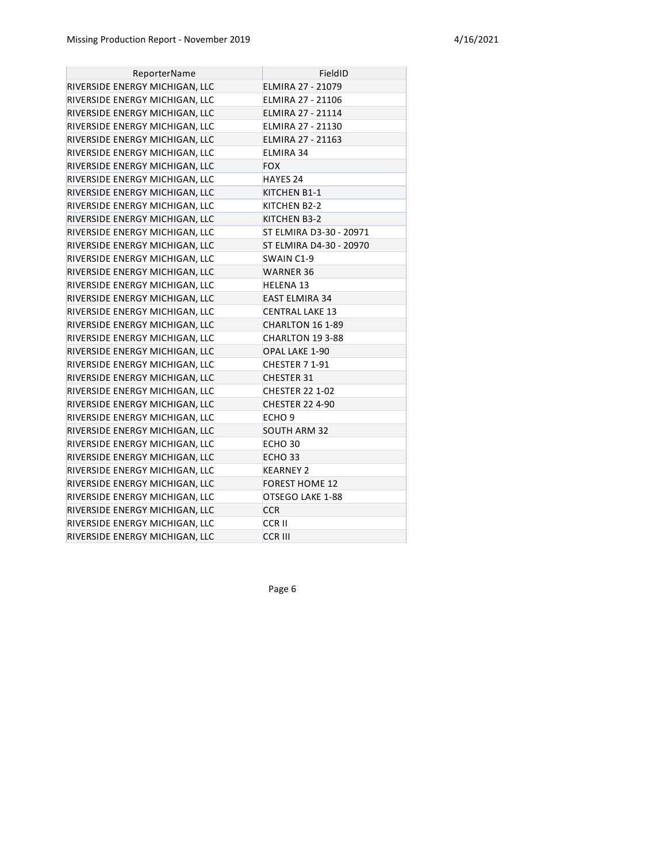| ReporterName                   | FieldID                  |
|--------------------------------|--------------------------|
| RIVERSIDE ENERGY MICHIGAN, LLC | <b>ELMIRA 27 - 21079</b> |
| RIVERSIDE ENERGY MICHIGAN, LLC | ELMIRA 27 - 21106        |
| RIVERSIDE ENERGY MICHIGAN, LLC | ELMIRA 27 - 21114        |
| RIVERSIDE ENERGY MICHIGAN, LLC | ELMIRA 27 - 21130        |
| RIVERSIDE ENERGY MICHIGAN, LLC | <b>ELMIRA 27 - 21163</b> |
| RIVERSIDE ENERGY MICHIGAN, LLC | <b>ELMIRA 34</b>         |
| RIVERSIDE ENERGY MICHIGAN, LLC | <b>FOX</b>               |
| RIVERSIDE ENERGY MICHIGAN, LLC | <b>HAYES 24</b>          |
| RIVERSIDE ENERGY MICHIGAN, LLC | KITCHEN B1-1             |
| RIVERSIDE ENERGY MICHIGAN, LLC | KITCHEN B2-2             |
| RIVERSIDE ENERGY MICHIGAN, LLC | KITCHEN B3-2             |
| RIVERSIDE ENERGY MICHIGAN, LLC | ST ELMIRA D3-30 - 20971  |
| RIVERSIDE ENERGY MICHIGAN, LLC | ST ELMIRA D4-30 - 20970  |
| RIVERSIDE ENERGY MICHIGAN, LLC | SWAIN C1-9               |
| RIVERSIDE ENERGY MICHIGAN, LLC | WARNER 36                |
| RIVERSIDE ENERGY MICHIGAN, LLC | <b>HELENA 13</b>         |
| RIVERSIDE ENERGY MICHIGAN, LLC | <b>EAST ELMIRA 34</b>    |
| RIVERSIDE ENERGY MICHIGAN, LLC | <b>CENTRAL LAKE 13</b>   |
| RIVERSIDE ENERGY MICHIGAN, LLC | CHARLTON 16 1-89         |
| RIVERSIDE ENERGY MICHIGAN, LLC | CHARLTON 19 3-88         |
| RIVERSIDE ENERGY MICHIGAN, LLC | <b>OPAL LAKE 1-90</b>    |
| RIVERSIDE ENERGY MICHIGAN, LLC | CHESTER 7 1-91           |
| RIVERSIDE ENERGY MICHIGAN, LLC | <b>CHESTER 31</b>        |
| RIVERSIDE ENERGY MICHIGAN, LLC | <b>CHESTER 22 1-02</b>   |
| RIVERSIDE ENERGY MICHIGAN, LLC | <b>CHESTER 22 4-90</b>   |
| RIVERSIDE ENERGY MICHIGAN, LLC | ECHO <sub>9</sub>        |
| RIVERSIDE ENERGY MICHIGAN, LLC | <b>SOUTH ARM 32</b>      |
| RIVERSIDE ENERGY MICHIGAN, LLC | ECHO <sub>30</sub>       |
| RIVERSIDE ENERGY MICHIGAN, LLC | ECHO <sub>33</sub>       |
| RIVERSIDE ENERGY MICHIGAN, LLC | <b>KEARNEY 2</b>         |
| RIVERSIDE ENERGY MICHIGAN, LLC | <b>FOREST HOME 12</b>    |
| RIVERSIDE ENERGY MICHIGAN, LLC | OTSEGO LAKE 1-88         |
| RIVERSIDE ENERGY MICHIGAN, LLC | <b>CCR</b>               |
| RIVERSIDE ENERGY MICHIGAN, LLC | <b>CCRII</b>             |
| RIVERSIDE ENERGY MICHIGAN, LLC | <b>CCR III</b>           |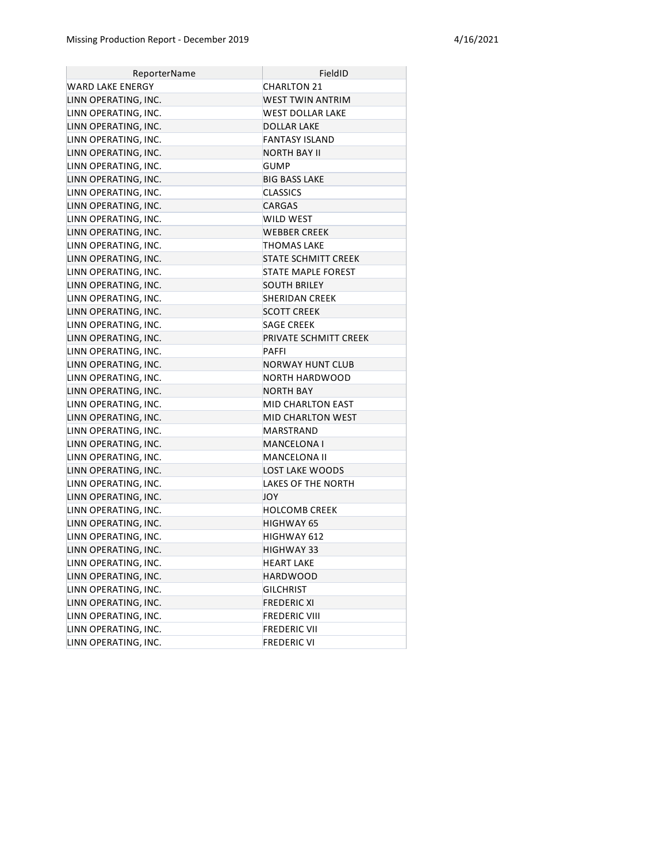| ReporterName         | FieldID                    |
|----------------------|----------------------------|
| WARD LAKE ENERGY     | <b>CHARLTON 21</b>         |
| LINN OPERATING, INC. | <b>WEST TWIN ANTRIM</b>    |
| LINN OPERATING, INC. | WEST DOLLAR LAKE           |
| LINN OPERATING, INC. | <b>DOLLAR LAKE</b>         |
| LINN OPERATING, INC. | <b>FANTASY ISLAND</b>      |
| LINN OPERATING, INC. | NORTH BAY II               |
| LINN OPERATING, INC. | <b>GUMP</b>                |
| LINN OPERATING, INC. | <b>BIG BASS LAKE</b>       |
| LINN OPERATING, INC. | <b>CLASSICS</b>            |
| LINN OPERATING, INC. | <b>CARGAS</b>              |
| LINN OPERATING, INC. | WILD WEST                  |
| LINN OPERATING, INC. | <b>WEBBER CREEK</b>        |
| LINN OPERATING, INC. | THOMAS LAKE                |
| LINN OPERATING, INC. | <b>STATE SCHMITT CREEK</b> |
| LINN OPERATING, INC. | STATE MAPLE FOREST         |
| LINN OPERATING, INC. | <b>SOUTH BRILEY</b>        |
| LINN OPERATING, INC. | <b>SHERIDAN CREEK</b>      |
| LINN OPERATING, INC. | <b>SCOTT CREEK</b>         |
| LINN OPERATING, INC. | <b>SAGE CREEK</b>          |
| LINN OPERATING, INC. | PRIVATE SCHMITT CREEK      |
| LINN OPERATING, INC. | <b>PAFFI</b>               |
| LINN OPERATING, INC. | <b>NORWAY HUNT CLUB</b>    |
| LINN OPERATING, INC. | NORTH HARDWOOD             |
| LINN OPERATING, INC. | <b>NORTH BAY</b>           |
| LINN OPERATING, INC. | MID CHARLTON EAST          |
| LINN OPERATING, INC. | <b>MID CHARLTON WEST</b>   |
| LINN OPERATING, INC. | MARSTRAND                  |
| LINN OPERATING, INC. | MANCELONA I                |
| LINN OPERATING, INC. | MANCELONA II               |
| LINN OPERATING, INC. | LOST LAKE WOODS            |
| LINN OPERATING, INC. | LAKES OF THE NORTH         |
| LINN OPERATING, INC. | JOY                        |
| LINN OPERATING, INC. | <b>HOLCOMB CREEK</b>       |
| LINN OPERATING, INC. | <b>HIGHWAY 65</b>          |
| LINN OPERATING, INC. | HIGHWAY 612                |
| LINN OPERATING, INC. | HIGHWAY 33                 |
| LINN OPERATING, INC. | HEART LAKE                 |
| LINN OPERATING, INC. | HARDWOOD                   |
| LINN OPERATING, INC. | <b>GILCHRIST</b>           |
| LINN OPERATING, INC. | <b>FREDERIC XI</b>         |
| LINN OPERATING, INC. | <b>FREDERIC VIII</b>       |
| LINN OPERATING, INC. | <b>FREDERIC VII</b>        |
| LINN OPERATING, INC. | <b>FREDERIC VI</b>         |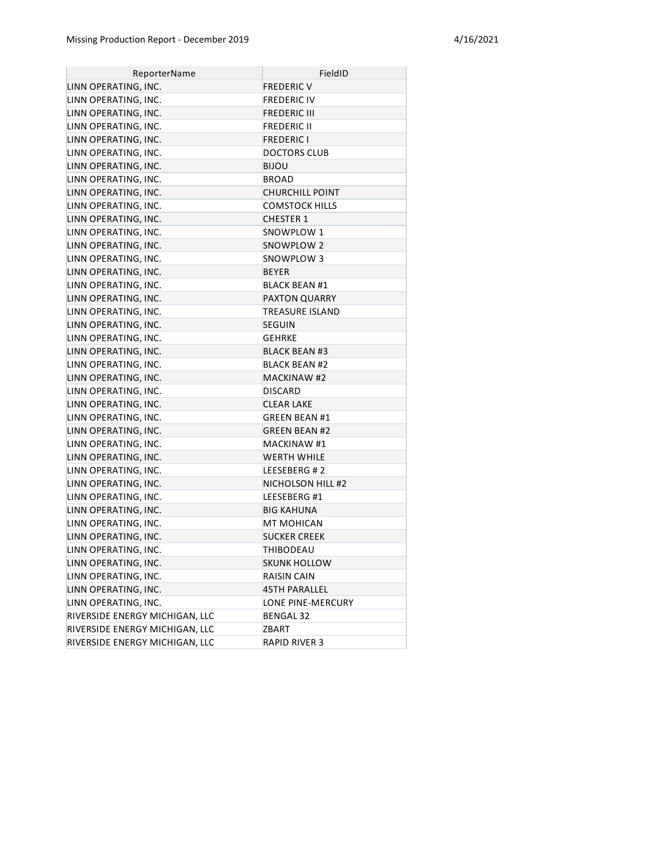| ReporterName                   | FieldID                |
|--------------------------------|------------------------|
| LINN OPERATING, INC.           | <b>FREDERIC V</b>      |
| LINN OPERATING, INC.           | <b>FREDERIC IV</b>     |
| LINN OPERATING, INC.           | FREDERIC III           |
| LINN OPERATING, INC.           | <b>FREDERIC II</b>     |
| LINN OPERATING, INC.           | <b>FREDERIC I</b>      |
| LINN OPERATING, INC.           | <b>DOCTORS CLUB</b>    |
| LINN OPERATING, INC.           | BIJOU                  |
| LINN OPERATING, INC.           | <b>BROAD</b>           |
| LINN OPERATING, INC.           | <b>CHURCHILL POINT</b> |
| LINN OPERATING, INC.           | <b>COMSTOCK HILLS</b>  |
| LINN OPERATING, INC.           | CHESTER 1              |
| LINN OPERATING, INC.           | SNOWPLOW 1             |
| LINN OPERATING, INC.           | SNOWPLOW 2             |
| LINN OPERATING, INC.           | SNOWPLOW 3             |
| LINN OPERATING, INC.           | BEYER                  |
| LINN OPERATING, INC.           | <b>BLACK BEAN #1</b>   |
| LINN OPERATING, INC.           | <b>PAXTON QUARRY</b>   |
| LINN OPERATING, INC.           | TREASURE ISLAND        |
| LINN OPERATING, INC.           | <b>SEGUIN</b>          |
| LINN OPERATING, INC.           | <b>GEHRKE</b>          |
| LINN OPERATING, INC.           | <b>BLACK BEAN #3</b>   |
| LINN OPERATING, INC.           | <b>BLACK BEAN #2</b>   |
| LINN OPERATING, INC.           | <b>MACKINAW #2</b>     |
| LINN OPERATING, INC.           | <b>DISCARD</b>         |
| LINN OPERATING, INC.           | <b>CLEAR LAKE</b>      |
| LINN OPERATING, INC.           | <b>GREEN BEAN #1</b>   |
| LINN OPERATING, INC.           | <b>GREEN BEAN #2</b>   |
| LINN OPERATING, INC.           | <b>MACKINAW #1</b>     |
| LINN OPERATING, INC.           | <b>WERTH WHILE</b>     |
| LINN OPERATING, INC.           | LEESEBERG #2           |
| LINN OPERATING, INC.           | NICHOLSON HILL #2      |
| LINN OPERATING, INC.           | LEESEBERG #1           |
| LINN OPERATING, INC.           | BIG KAHUNA             |
| LINN OPERATING, INC.           | MT MOHICAN             |
| LINN OPERATING, INC.           | <b>SUCKER CREEK</b>    |
| LINN OPERATING, INC.           | THIBODEAU              |
| LINN OPERATING, INC.           | <b>SKUNK HOLLOW</b>    |
| LINN OPERATING, INC.           | RAISIN CAIN            |
| LINN OPERATING, INC.           | <b>45TH PARALLEL</b>   |
| LINN OPERATING, INC.           | LONE PINE-MERCURY      |
| RIVERSIDE ENERGY MICHIGAN, LLC | BENGAL 32              |
| RIVERSIDE ENERGY MICHIGAN, LLC | ZBART                  |
| RIVERSIDE ENERGY MICHIGAN, LLC | <b>RAPID RIVER 3</b>   |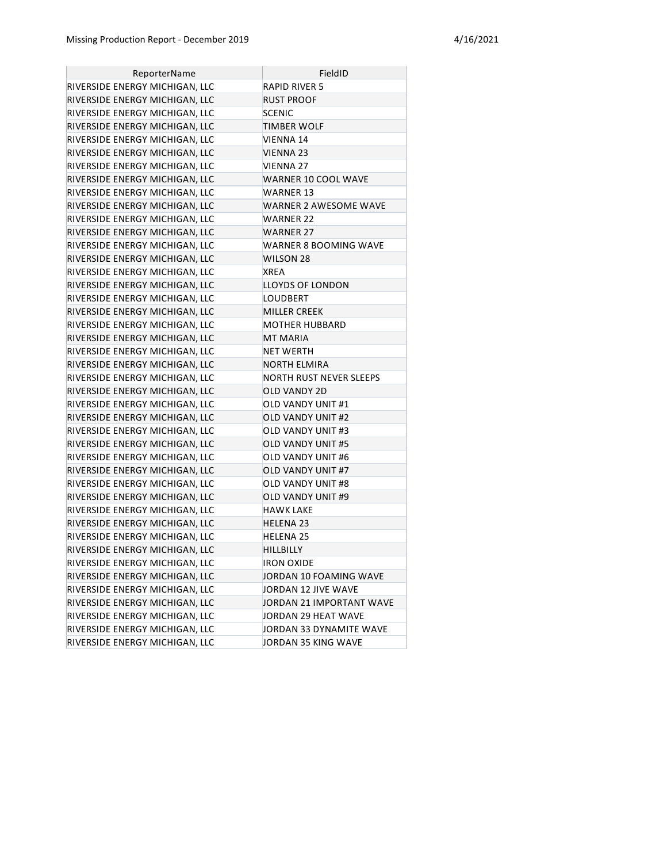| ReporterName                   | FieldID                        |
|--------------------------------|--------------------------------|
| RIVERSIDE ENERGY MICHIGAN, LLC | <b>RAPID RIVER 5</b>           |
| RIVERSIDE ENERGY MICHIGAN, LLC | RUST PROOF                     |
| RIVERSIDE ENERGY MICHIGAN, LLC | <b>SCENIC</b>                  |
| RIVERSIDE ENERGY MICHIGAN, LLC | TIMBER WOLF                    |
| RIVERSIDE ENERGY MICHIGAN, LLC | VIENNA 14                      |
| RIVERSIDE ENERGY MICHIGAN, LLC | VIENNA 23                      |
| RIVERSIDE ENERGY MICHIGAN, LLC | VIENNA 27                      |
| RIVERSIDE ENERGY MICHIGAN, LLC | <b>WARNER 10 COOL WAVE</b>     |
| RIVERSIDE ENERGY MICHIGAN, LLC | <b>WARNER 13</b>               |
| RIVERSIDE ENERGY MICHIGAN, LLC | WARNER 2 AWESOME WAVE          |
| RIVERSIDE ENERGY MICHIGAN, LLC | WARNER 22                      |
| RIVERSIDE ENERGY MICHIGAN, LLC | WARNER 27                      |
| RIVERSIDE ENERGY MICHIGAN, LLC | WARNER 8 BOOMING WAVE          |
| RIVERSIDE ENERGY MICHIGAN, LLC | WILSON 28                      |
| RIVERSIDE ENERGY MICHIGAN, LLC | <b>XREA</b>                    |
| RIVERSIDE ENERGY MICHIGAN, LLC | <b>LLOYDS OF LONDON</b>        |
| RIVERSIDE ENERGY MICHIGAN, LLC | <b>LOUDBERT</b>                |
| RIVERSIDE ENERGY MICHIGAN, LLC | <b>MILLER CREEK</b>            |
| RIVERSIDE ENERGY MICHIGAN, LLC | <b>MOTHER HUBBARD</b>          |
| RIVERSIDE ENERGY MICHIGAN, LLC | <b>MT MARIA</b>                |
| RIVERSIDE ENERGY MICHIGAN, LLC | NET WERTH                      |
| RIVERSIDE ENERGY MICHIGAN, LLC | NORTH ELMIRA                   |
| RIVERSIDE ENERGY MICHIGAN, LLC | <b>NORTH RUST NEVER SLEEPS</b> |
| RIVERSIDE ENERGY MICHIGAN, LLC | <b>OLD VANDY 2D</b>            |
| RIVERSIDE ENERGY MICHIGAN, LLC | OLD VANDY UNIT #1              |
| RIVERSIDE ENERGY MICHIGAN, LLC | OLD VANDY UNIT #2              |
| RIVERSIDE ENERGY MICHIGAN, LLC | OLD VANDY UNIT #3              |
| RIVERSIDE ENERGY MICHIGAN, LLC | <b>OLD VANDY UNIT #5</b>       |
| RIVERSIDE ENERGY MICHIGAN, LLC | OLD VANDY UNIT #6              |
| RIVERSIDE ENERGY MICHIGAN, LLC | <b>OLD VANDY UNIT #7</b>       |
| RIVERSIDE ENERGY MICHIGAN, LLC | <b>OLD VANDY UNIT #8</b>       |
| RIVERSIDE ENERGY MICHIGAN, LLC | <b>OLD VANDY UNIT #9</b>       |
| RIVERSIDE ENERGY MICHIGAN, LLC | <b>HAWK LAKE</b>               |
| RIVERSIDE ENERGY MICHIGAN, LLC | <b>HELENA 23</b>               |
| RIVERSIDE ENERGY MICHIGAN, LLC | <b>HELENA 25</b>               |
| RIVERSIDE ENERGY MICHIGAN, LLC | HILLBILLY                      |
| RIVERSIDE ENERGY MICHIGAN, LLC | <b>IRON OXIDE</b>              |
| RIVERSIDE ENERGY MICHIGAN, LLC | JORDAN 10 FOAMING WAVE         |
| RIVERSIDE ENERGY MICHIGAN, LLC | JORDAN 12 JIVE WAVE            |
| RIVERSIDE ENERGY MICHIGAN, LLC | JORDAN 21 IMPORTANT WAVE       |
| RIVERSIDE ENERGY MICHIGAN, LLC | JORDAN 29 HEAT WAVE            |
| RIVERSIDE ENERGY MICHIGAN, LLC | JORDAN 33 DYNAMITE WAVE        |
| RIVERSIDE ENERGY MICHIGAN, LLC | JORDAN 35 KING WAVE            |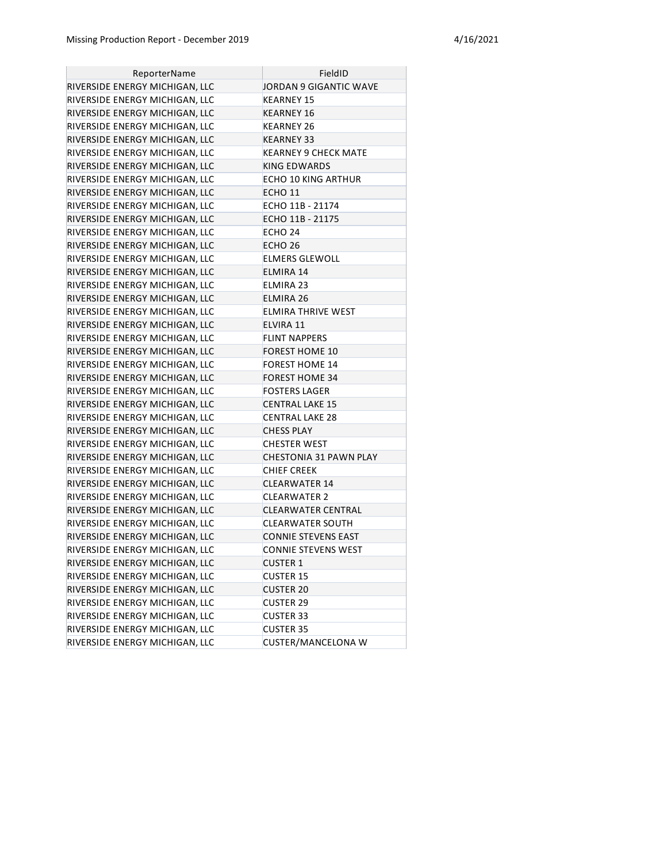| ReporterName                   | FieldID                       |
|--------------------------------|-------------------------------|
| RIVERSIDE ENERGY MICHIGAN, LLC | JORDAN 9 GIGANTIC WAVE        |
| RIVERSIDE ENERGY MICHIGAN, LLC | KEARNEY 15                    |
| RIVERSIDE ENERGY MICHIGAN, LLC | KEARNEY 16                    |
| RIVERSIDE ENERGY MICHIGAN, LLC | KEARNEY 26                    |
| RIVERSIDE ENERGY MICHIGAN, LLC | KEARNEY 33                    |
| RIVERSIDE ENERGY MICHIGAN, LLC | KEARNEY 9 CHECK MATE          |
| RIVERSIDE ENERGY MICHIGAN, LLC | KING EDWARDS                  |
| RIVERSIDE ENERGY MICHIGAN, LLC | ECHO 10 KING ARTHUR           |
| RIVERSIDE ENERGY MICHIGAN, LLC | ECHO 11                       |
| RIVERSIDE ENERGY MICHIGAN, LLC | ECHO 11B - 21174              |
| RIVERSIDE ENERGY MICHIGAN, LLC | ECHO 11B - 21175              |
| RIVERSIDE ENERGY MICHIGAN, LLC | ECHO 24                       |
| RIVERSIDE ENERGY MICHIGAN, LLC | ECHO 26                       |
| RIVERSIDE ENERGY MICHIGAN, LLC | ELMERS GLEWOLL                |
| RIVERSIDE ENERGY MICHIGAN, LLC | ELMIRA 14                     |
| RIVERSIDE ENERGY MICHIGAN, LLC | <b>ELMIRA 23</b>              |
| RIVERSIDE ENERGY MICHIGAN, LLC | ELMIRA 26                     |
| RIVERSIDE ENERGY MICHIGAN, LLC | ELMIRA THRIVE WEST            |
| RIVERSIDE ENERGY MICHIGAN, LLC | ELVIRA 11                     |
| RIVERSIDE ENERGY MICHIGAN, LLC | FLINT NAPPERS                 |
| RIVERSIDE ENERGY MICHIGAN, LLC | <b>FOREST HOME 10</b>         |
| RIVERSIDE ENERGY MICHIGAN, LLC | FOREST HOME 14                |
| RIVERSIDE ENERGY MICHIGAN, LLC | <b>FOREST HOME 34</b>         |
| RIVERSIDE ENERGY MICHIGAN, LLC | <b>FOSTERS LAGER</b>          |
| RIVERSIDE ENERGY MICHIGAN, LLC | <b>CENTRAL LAKE 15</b>        |
| RIVERSIDE ENERGY MICHIGAN, LLC | CENTRAL LAKE 28               |
| RIVERSIDE ENERGY MICHIGAN, LLC | <b>CHESS PLAY</b>             |
| RIVERSIDE ENERGY MICHIGAN, LLC | <b>CHESTER WEST</b>           |
| RIVERSIDE ENERGY MICHIGAN, LLC | <b>CHESTONIA 31 PAWN PLAY</b> |
| RIVERSIDE ENERGY MICHIGAN, LLC | <b>CHIEF CREEK</b>            |
| RIVERSIDE ENERGY MICHIGAN, LLC | <b>CLEARWATER 14</b>          |
| RIVERSIDE ENERGY MICHIGAN, LLC | <b>CLEARWATER 2</b>           |
| RIVERSIDE ENERGY MICHIGAN, LLC | <b>CLEARWATER CENTRAL</b>     |
| RIVERSIDE ENERGY MICHIGAN, LLC | CLEARWATER SOUTH              |
| RIVERSIDE ENERGY MICHIGAN, LLC | <b>CONNIE STEVENS EAST</b>    |
| RIVERSIDE ENERGY MICHIGAN, LLC | <b>CONNIE STEVENS WEST</b>    |
| RIVERSIDE ENERGY MICHIGAN, LLC | <b>CUSTER 1</b>               |
| RIVERSIDE ENERGY MICHIGAN, LLC | <b>CUSTER 15</b>              |
| RIVERSIDE ENERGY MICHIGAN, LLC | <b>CUSTER 20</b>              |
| RIVERSIDE ENERGY MICHIGAN, LLC | <b>CUSTER 29</b>              |
| RIVERSIDE ENERGY MICHIGAN, LLC | <b>CUSTER 33</b>              |
| RIVERSIDE ENERGY MICHIGAN, LLC | <b>CUSTER 35</b>              |
| RIVERSIDE ENERGY MICHIGAN, LLC | CUSTER/MANCELONA W            |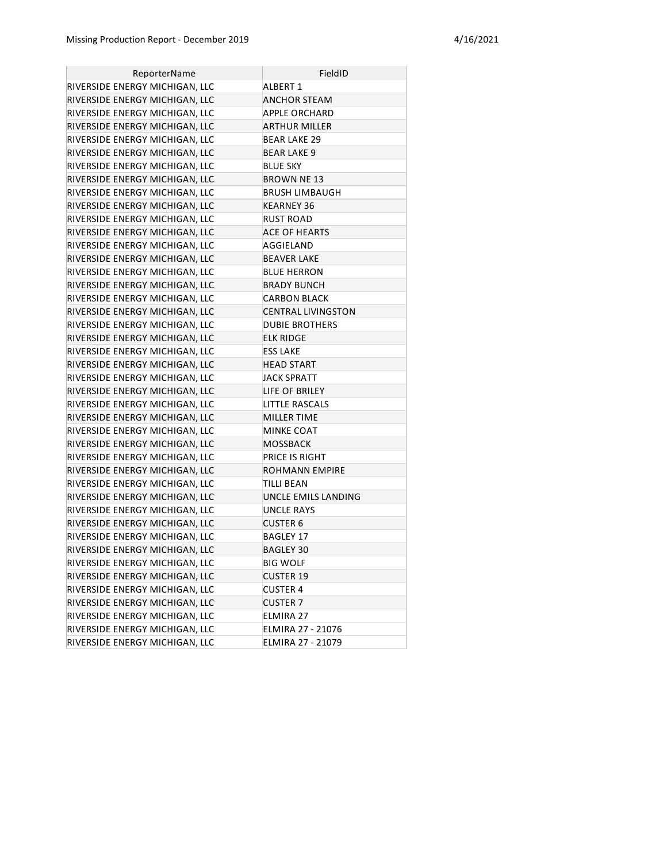| ReporterName                   | FieldID                   |
|--------------------------------|---------------------------|
| RIVERSIDE ENERGY MICHIGAN, LLC | <b>ALBERT 1</b>           |
| RIVERSIDE ENERGY MICHIGAN, LLC | <b>ANCHOR STEAM</b>       |
| RIVERSIDE ENERGY MICHIGAN, LLC | APPLE ORCHARD             |
| RIVERSIDE ENERGY MICHIGAN, LLC | ARTHUR MILLER             |
| RIVERSIDE ENERGY MICHIGAN, LLC | <b>BEAR LAKE 29</b>       |
| RIVERSIDE ENERGY MICHIGAN, LLC | <b>BEAR LAKE 9</b>        |
| RIVERSIDE ENERGY MICHIGAN, LLC | <b>BLUE SKY</b>           |
| RIVERSIDE ENERGY MICHIGAN, LLC | <b>BROWN NE 13</b>        |
| RIVERSIDE ENERGY MICHIGAN, LLC | <b>BRUSH LIMBAUGH</b>     |
| RIVERSIDE ENERGY MICHIGAN, LLC | <b>KEARNEY 36</b>         |
| RIVERSIDE ENERGY MICHIGAN, LLC | <b>RUST ROAD</b>          |
| RIVERSIDE ENERGY MICHIGAN, LLC | <b>ACE OF HEARTS</b>      |
| RIVERSIDE ENERGY MICHIGAN, LLC | AGGIELAND                 |
| RIVERSIDE ENERGY MICHIGAN, LLC | <b>BEAVER LAKE</b>        |
| RIVERSIDE ENERGY MICHIGAN, LLC | <b>BLUE HERRON</b>        |
| RIVERSIDE ENERGY MICHIGAN, LLC | <b>BRADY BUNCH</b>        |
| RIVERSIDE ENERGY MICHIGAN, LLC | <b>CARBON BLACK</b>       |
| RIVERSIDE ENERGY MICHIGAN, LLC | <b>CENTRAL LIVINGSTON</b> |
| RIVERSIDE ENERGY MICHIGAN, LLC | <b>DUBIE BROTHERS</b>     |
| RIVERSIDE ENERGY MICHIGAN, LLC | <b>ELK RIDGE</b>          |
| RIVERSIDE ENERGY MICHIGAN, LLC | <b>ESS LAKE</b>           |
| RIVERSIDE ENERGY MICHIGAN, LLC | HEAD START                |
| RIVERSIDE ENERGY MICHIGAN, LLC | <b>JACK SPRATT</b>        |
| RIVERSIDE ENERGY MICHIGAN, LLC | LIFE OF BRILEY            |
| RIVERSIDE ENERGY MICHIGAN, LLC | LITTLE RASCALS            |
| RIVERSIDE ENERGY MICHIGAN, LLC | MILLER TIME               |
| RIVERSIDE ENERGY MICHIGAN, LLC | <b>MINKE COAT</b>         |
| RIVERSIDE ENERGY MICHIGAN, LLC | MOSSBACK                  |
| RIVERSIDE ENERGY MICHIGAN, LLC | <b>PRICE IS RIGHT</b>     |
| RIVERSIDE ENERGY MICHIGAN, LLC | ROHMANN EMPIRE            |
| RIVERSIDE ENERGY MICHIGAN, LLC | TILLI BEAN                |
| RIVERSIDE ENERGY MICHIGAN, LLC | UNCLE EMILS LANDING       |
| RIVERSIDE ENERGY MICHIGAN, LLC | <b>UNCLE RAYS</b>         |
| RIVERSIDE ENERGY MICHIGAN, LLC | <b>CUSTER 6</b>           |
| RIVERSIDE ENERGY MICHIGAN, LLC | <b>BAGLEY 17</b>          |
| RIVERSIDE ENERGY MICHIGAN, LLC | <b>BAGLEY 30</b>          |
| RIVERSIDE ENERGY MICHIGAN, LLC | <b>BIG WOLF</b>           |
| RIVERSIDE ENERGY MICHIGAN, LLC | <b>CUSTER 19</b>          |
| RIVERSIDE ENERGY MICHIGAN, LLC | <b>CUSTER 4</b>           |
| RIVERSIDE ENERGY MICHIGAN, LLC | <b>CUSTER 7</b>           |
| RIVERSIDE ENERGY MICHIGAN, LLC | ELMIRA 27                 |
| RIVERSIDE ENERGY MICHIGAN, LLC | ELMIRA 27 - 21076         |
| RIVERSIDE ENERGY MICHIGAN, LLC | ELMIRA 27 - 21079         |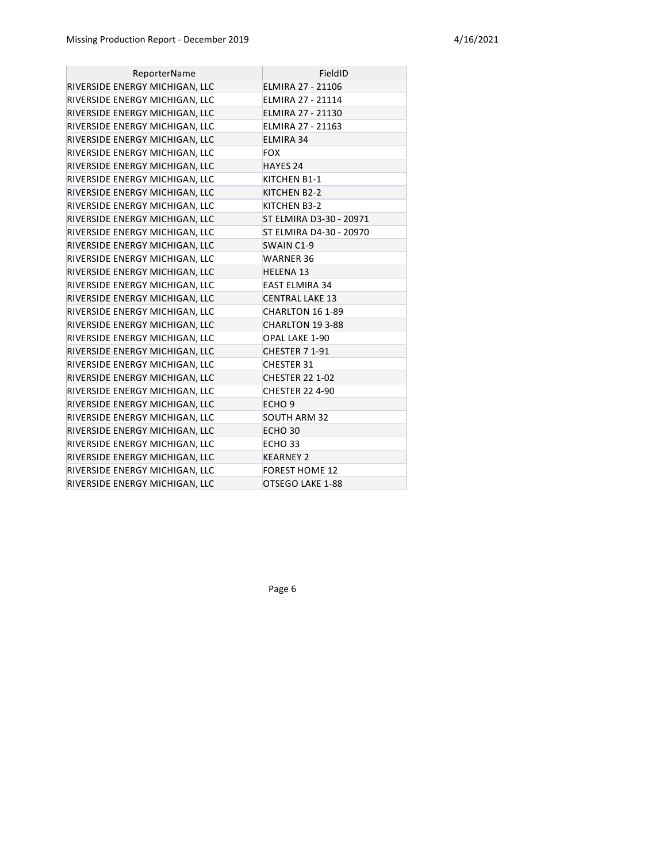| ReporterName                   | FieldID                  |
|--------------------------------|--------------------------|
| RIVERSIDE ENERGY MICHIGAN, LLC | <b>ELMIRA 27 - 21106</b> |
| RIVERSIDE ENERGY MICHIGAN, LLC | ELMIRA 27 - 21114        |
| RIVERSIDE ENERGY MICHIGAN, LLC | ELMIRA 27 - 21130        |
| RIVERSIDE ENERGY MICHIGAN, LLC | ELMIRA 27 - 21163        |
| RIVERSIDE ENERGY MICHIGAN, LLC | ELMIRA 34                |
| RIVERSIDE ENERGY MICHIGAN, LLC | <b>FOX</b>               |
| RIVERSIDE ENERGY MICHIGAN, LLC | HAYES 24                 |
| RIVERSIDE ENERGY MICHIGAN, LLC | KITCHEN B1-1             |
| RIVERSIDE ENERGY MICHIGAN, LLC | KITCHEN B2-2             |
| RIVERSIDE ENERGY MICHIGAN, LLC | KITCHEN B3-2             |
| RIVERSIDE ENERGY MICHIGAN, LLC | ST ELMIRA D3-30 - 20971  |
| RIVERSIDE ENERGY MICHIGAN, LLC | ST ELMIRA D4-30 - 20970  |
| RIVERSIDE ENERGY MICHIGAN, LLC | SWAIN C1-9               |
| RIVERSIDE ENERGY MICHIGAN, LLC | <b>WARNER 36</b>         |
| RIVERSIDE ENERGY MICHIGAN, LLC | <b>HELENA 13</b>         |
| RIVERSIDE ENERGY MICHIGAN, LLC | <b>EAST ELMIRA 34</b>    |
| RIVERSIDE ENERGY MICHIGAN, LLC | <b>CENTRAL LAKE 13</b>   |
| RIVERSIDE ENERGY MICHIGAN, LLC | CHARLTON 16 1-89         |
| RIVERSIDE ENERGY MICHIGAN, LLC | CHARLTON 19 3-88         |
| RIVERSIDE ENERGY MICHIGAN, LLC | OPAL LAKE 1-90           |
| RIVERSIDE ENERGY MICHIGAN, LLC | CHESTER 7 1-91           |
| RIVERSIDE ENERGY MICHIGAN, LLC | <b>CHESTER 31</b>        |
| RIVERSIDE ENERGY MICHIGAN, LLC | <b>CHESTER 22 1-02</b>   |
| RIVERSIDE ENERGY MICHIGAN, LLC | <b>CHESTER 22 4-90</b>   |
| RIVERSIDE ENERGY MICHIGAN, LLC | ECHO <sub>9</sub>        |
| RIVERSIDE ENERGY MICHIGAN, LLC | <b>SOUTH ARM 32</b>      |
| RIVERSIDE ENERGY MICHIGAN, LLC | ECHO <sub>30</sub>       |
| RIVERSIDE ENERGY MICHIGAN, LLC | ECHO <sub>33</sub>       |
| RIVERSIDE ENERGY MICHIGAN, LLC | <b>KEARNEY 2</b>         |
| RIVERSIDE ENERGY MICHIGAN, LLC | <b>FOREST HOME 12</b>    |
| RIVERSIDE ENERGY MICHIGAN, LLC | OTSEGO LAKE 1-88         |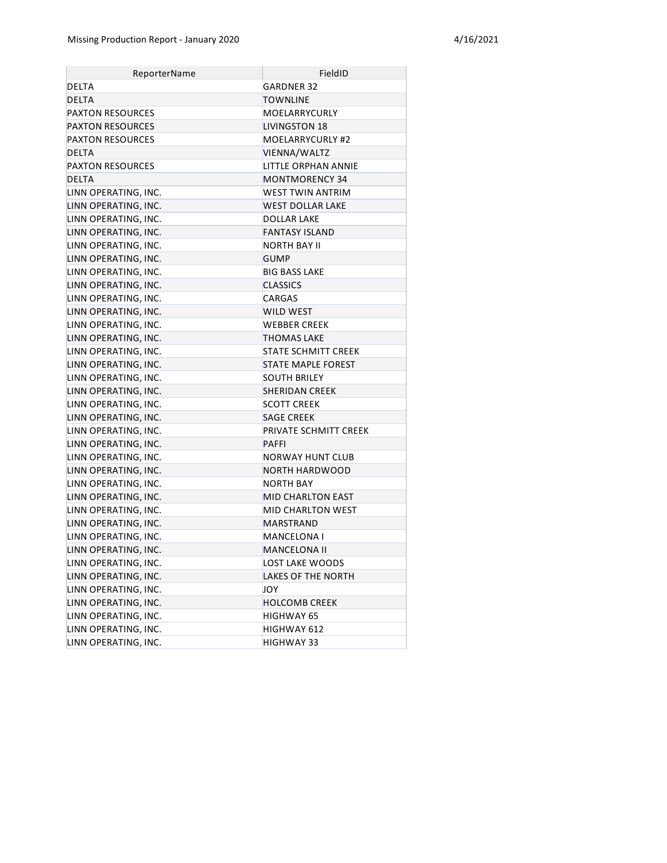| ReporterName            | FieldID                   |
|-------------------------|---------------------------|
| <b>DELTA</b>            | GARDNER 32                |
| DELTA                   | TOWNLINE                  |
| <b>PAXTON RESOURCES</b> | MOELARRYCURLY             |
| <b>PAXTON RESOURCES</b> | <b>LIVINGSTON 18</b>      |
| <b>PAXTON RESOURCES</b> | MOELARRYCURLY #2          |
| DELTA                   | VIENNA/WALTZ              |
| <b>PAXTON RESOURCES</b> | LITTLE ORPHAN ANNIE       |
| <b>DELTA</b>            | <b>MONTMORENCY 34</b>     |
| LINN OPERATING, INC.    | WEST TWIN ANTRIM          |
| LINN OPERATING, INC.    | <b>WEST DOLLAR LAKE</b>   |
| LINN OPERATING, INC.    | DOLLAR LAKE               |
| LINN OPERATING, INC.    | <b>FANTASY ISLAND</b>     |
| LINN OPERATING, INC.    | <b>NORTH BAY II</b>       |
| LINN OPERATING, INC.    | <b>GUMP</b>               |
| LINN OPERATING, INC.    | BIG BASS LAKE             |
| LINN OPERATING, INC.    | <b>CLASSICS</b>           |
| LINN OPERATING, INC.    | CARGAS                    |
| LINN OPERATING, INC.    | WILD WEST                 |
| LINN OPERATING, INC.    | <b>WEBBER CREEK</b>       |
| LINN OPERATING, INC.    | <b>THOMAS LAKE</b>        |
| LINN OPERATING, INC.    | STATE SCHMITT CREEK       |
| LINN OPERATING, INC.    | <b>STATE MAPLE FOREST</b> |
| LINN OPERATING, INC.    | <b>SOUTH BRILEY</b>       |
| LINN OPERATING, INC.    | <b>SHERIDAN CREEK</b>     |
| LINN OPERATING, INC.    | <b>SCOTT CREEK</b>        |
| LINN OPERATING, INC.    | <b>SAGE CREEK</b>         |
| LINN OPERATING, INC.    | PRIVATE SCHMITT CREEK     |
| LINN OPERATING, INC.    | <b>PAFFI</b>              |
| LINN OPERATING, INC.    | NORWAY HUNT CLUB          |
| LINN OPERATING, INC.    | NORTH HARDWOOD            |
| LINN OPERATING, INC.    | <b>NORTH BAY</b>          |
| LINN OPERATING, INC.    | <b>MID CHARLTON EAST</b>  |
| LINN OPERATING, INC.    | MID CHARLTON WEST         |
| LINN OPERATING, INC.    | MARSTRAND                 |
| LINN OPERATING, INC.    | <b>MANCELONA I</b>        |
| LINN OPERATING, INC.    | <b>MANCELONA II</b>       |
| LINN OPERATING, INC.    | LOST LAKE WOODS           |
| LINN OPERATING, INC.    | LAKES OF THE NORTH        |
| LINN OPERATING, INC.    | JOY                       |
| LINN OPERATING, INC.    | <b>HOLCOMB CREEK</b>      |
| LINN OPERATING, INC.    | HIGHWAY 65                |
| LINN OPERATING, INC.    | HIGHWAY 612               |
| LINN OPERATING, INC.    | <b>HIGHWAY 33</b>         |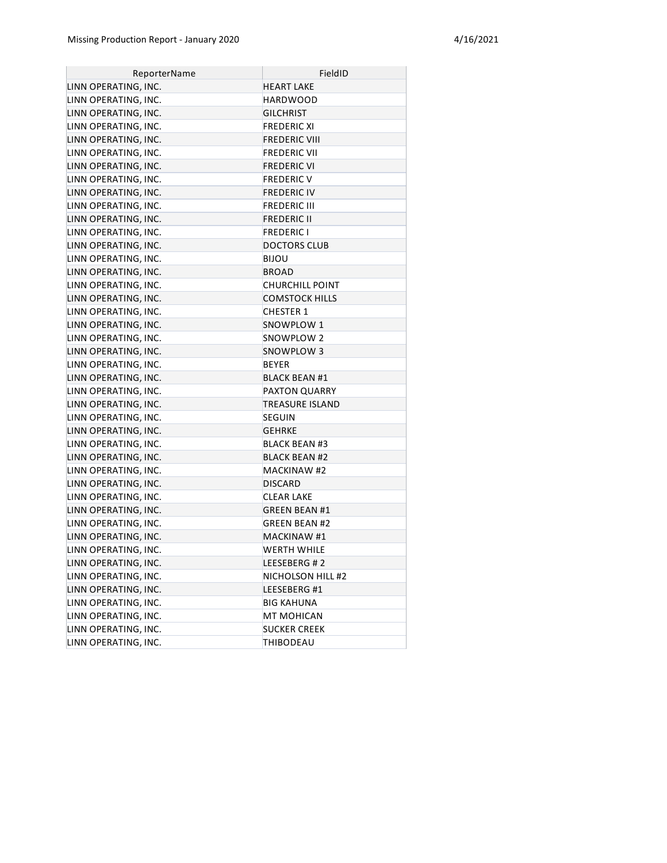| ReporterName         | FieldID                |
|----------------------|------------------------|
| LINN OPERATING, INC. | <b>HEART LAKE</b>      |
| LINN OPERATING, INC. | <b>HARDWOOD</b>        |
| LINN OPERATING, INC. | <b>GILCHRIST</b>       |
| LINN OPERATING, INC. | <b>FREDERIC XI</b>     |
| LINN OPERATING, INC. | <b>FREDERIC VIII</b>   |
| LINN OPERATING, INC. | <b>FREDERIC VII</b>    |
| LINN OPERATING, INC. | <b>FREDERIC VI</b>     |
| LINN OPERATING, INC. | <b>FREDERIC V</b>      |
| LINN OPERATING, INC. | <b>FREDERIC IV</b>     |
| LINN OPERATING, INC. | <b>FREDERIC III</b>    |
| LINN OPERATING, INC. | <b>FREDERIC II</b>     |
| LINN OPERATING, INC. | <b>FREDERIC I</b>      |
| LINN OPERATING, INC. | <b>DOCTORS CLUB</b>    |
| LINN OPERATING, INC. | <b>BIJOU</b>           |
| LINN OPERATING, INC. | <b>BROAD</b>           |
| LINN OPERATING, INC. | <b>CHURCHILL POINT</b> |
| LINN OPERATING, INC. | <b>COMSTOCK HILLS</b>  |
| LINN OPERATING, INC. | <b>CHESTER 1</b>       |
| LINN OPERATING, INC. | SNOWPLOW 1             |
| LINN OPERATING, INC. | SNOWPLOW 2             |
| LINN OPERATING, INC. | SNOWPLOW 3             |
| LINN OPERATING, INC. | <b>BEYER</b>           |
| LINN OPERATING, INC. | <b>BLACK BEAN #1</b>   |
| LINN OPERATING, INC. | PAXTON QUARRY          |
| LINN OPERATING, INC. | TREASURE ISLAND        |
| LINN OPERATING, INC. | SEGUIN                 |
| LINN OPERATING, INC. | <b>GEHRKE</b>          |
| LINN OPERATING, INC. | <b>BLACK BEAN #3</b>   |
| LINN OPERATING, INC. | <b>BLACK BEAN #2</b>   |
| LINN OPERATING, INC. | <b>MACKINAW #2</b>     |
| LINN OPERATING, INC. | <b>DISCARD</b>         |
| LINN OPERATING, INC. | <b>CLEAR LAKE</b>      |
| LINN OPERATING, INC. | <b>GREEN BEAN #1</b>   |
| LINN OPERATING, INC. | <b>GREEN BEAN #2</b>   |
| LINN OPERATING, INC. | <b>MACKINAW #1</b>     |
| LINN OPERATING, INC. | WERTH WHILE            |
| LINN OPERATING, INC. | LEESEBERG #2           |
| LINN OPERATING, INC. | NICHOLSON HILL #2      |
| LINN OPERATING, INC. | LEESEBERG #1           |
| LINN OPERATING, INC. | <b>BIG KAHUNA</b>      |
| LINN OPERATING, INC. | MT MOHICAN             |
| LINN OPERATING, INC. | <b>SUCKER CREEK</b>    |
| LINN OPERATING, INC. | <b>THIBODEAU</b>       |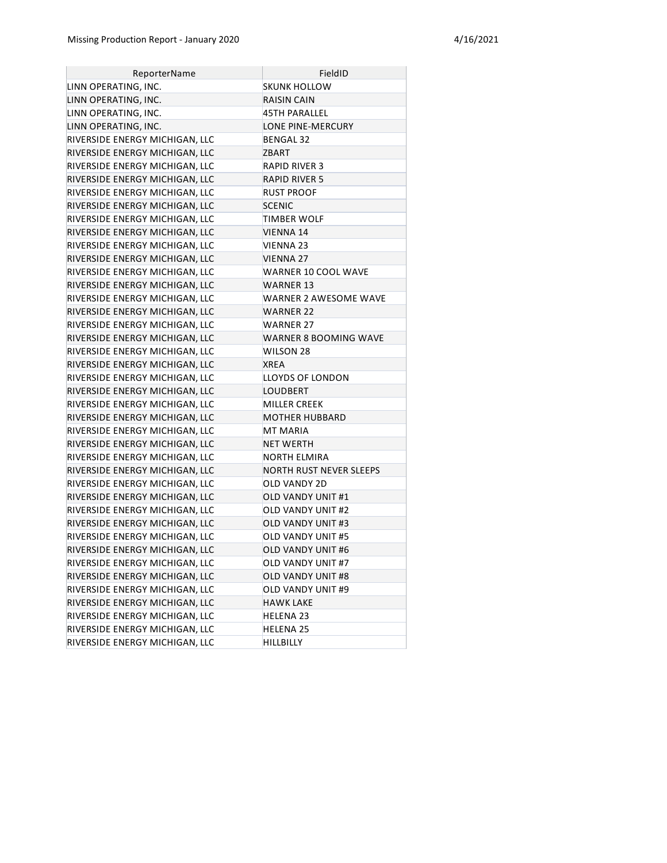| ReporterName                   | FieldID                      |
|--------------------------------|------------------------------|
| LINN OPERATING, INC.           | SKUNK HOLLOW                 |
| LINN OPERATING, INC.           | RAISIN CAIN                  |
| LINN OPERATING, INC.           | 45TH PARALLEL                |
| LINN OPERATING, INC.           | LONE PINE-MERCURY            |
| RIVERSIDE ENERGY MICHIGAN, LLC | <b>BENGAL 32</b>             |
| RIVERSIDE ENERGY MICHIGAN, LLC | <b>ZBART</b>                 |
| RIVERSIDE ENERGY MICHIGAN, LLC | RAPID RIVER 3                |
| RIVERSIDE ENERGY MICHIGAN, LLC | <b>RAPID RIVER 5</b>         |
| RIVERSIDE ENERGY MICHIGAN, LLC | <b>RUST PROOF</b>            |
| RIVERSIDE ENERGY MICHIGAN, LLC | <b>SCENIC</b>                |
| RIVERSIDE ENERGY MICHIGAN, LLC | TIMBER WOLF                  |
| RIVERSIDE ENERGY MICHIGAN, LLC | VIENNA 14                    |
| RIVERSIDE ENERGY MICHIGAN, LLC | VIENNA 23                    |
| RIVERSIDE ENERGY MICHIGAN, LLC | VIENNA 27                    |
| RIVERSIDE ENERGY MICHIGAN, LLC | WARNER 10 COOL WAVE          |
| RIVERSIDE ENERGY MICHIGAN, LLC | WARNER 13                    |
| RIVERSIDE ENERGY MICHIGAN, LLC | WARNER 2 AWESOME WAVE        |
| RIVERSIDE ENERGY MICHIGAN, LLC | <b>WARNER 22</b>             |
| RIVERSIDE ENERGY MICHIGAN, LLC | <b>WARNER 27</b>             |
| RIVERSIDE ENERGY MICHIGAN, LLC | <b>WARNER 8 BOOMING WAVE</b> |
| RIVERSIDE ENERGY MICHIGAN, LLC | WILSON 28                    |
| RIVERSIDE ENERGY MICHIGAN, LLC | <b>XREA</b>                  |
| RIVERSIDE ENERGY MICHIGAN, LLC | LLOYDS OF LONDON             |
| RIVERSIDE ENERGY MICHIGAN, LLC | LOUDBERT                     |
| RIVERSIDE ENERGY MICHIGAN, LLC | <b>MILLER CREEK</b>          |
| RIVERSIDE ENERGY MICHIGAN, LLC | MOTHER HUBBARD               |
| RIVERSIDE ENERGY MICHIGAN, LLC | <b>MT MARIA</b>              |
| RIVERSIDE ENERGY MICHIGAN, LLC | <b>NET WERTH</b>             |
| RIVERSIDE ENERGY MICHIGAN, LLC | NORTH ELMIRA                 |
| RIVERSIDE ENERGY MICHIGAN, LLC | NORTH RUST NEVER SLEEPS      |
| RIVERSIDE ENERGY MICHIGAN, LLC | OLD VANDY 2D                 |
| RIVERSIDE ENERGY MICHIGAN, LLC | OLD VANDY UNIT #1            |
| RIVERSIDE ENERGY MICHIGAN, LLC | <b>OLD VANDY UNIT #2</b>     |
| RIVERSIDE ENERGY MICHIGAN, LLC | <b>OLD VANDY UNIT #3</b>     |
| RIVERSIDE ENERGY MICHIGAN, LLC | <b>OLD VANDY UNIT #5</b>     |
| RIVERSIDE ENERGY MICHIGAN, LLC | OLD VANDY UNIT #6            |
| RIVERSIDE ENERGY MICHIGAN, LLC | OLD VANDY UNIT #7            |
| RIVERSIDE ENERGY MICHIGAN, LLC | OLD VANDY UNIT #8            |
| RIVERSIDE ENERGY MICHIGAN, LLC | OLD VANDY UNIT #9            |
| RIVERSIDE ENERGY MICHIGAN, LLC | <b>HAWK LAKE</b>             |
| RIVERSIDE ENERGY MICHIGAN, LLC | <b>HELENA 23</b>             |
| RIVERSIDE ENERGY MICHIGAN, LLC | <b>HELENA 25</b>             |
| RIVERSIDE ENERGY MICHIGAN, LLC | HILLBILLY                    |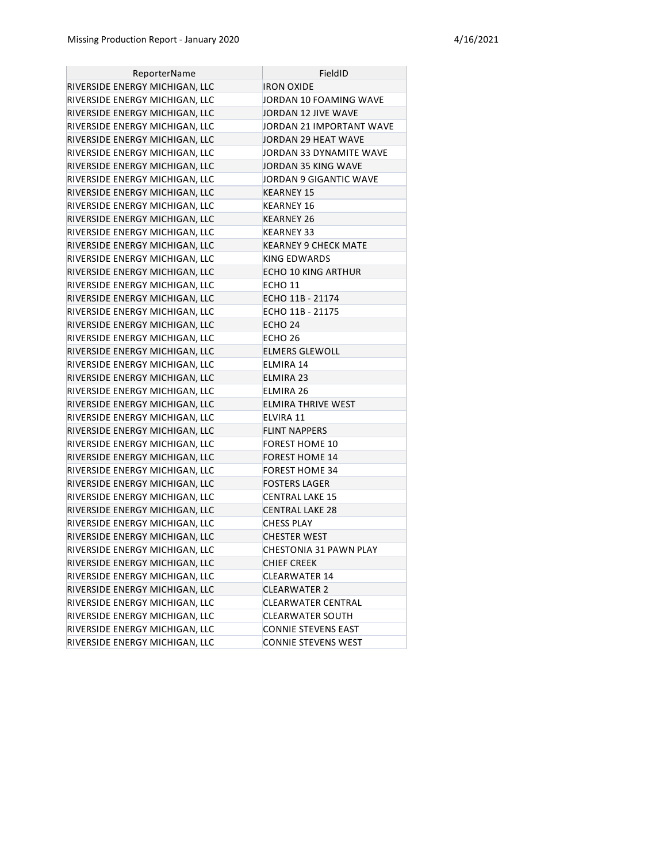| ReporterName                   | FieldID                    |
|--------------------------------|----------------------------|
| RIVERSIDE ENERGY MICHIGAN, LLC | <b>IRON OXIDE</b>          |
| RIVERSIDE ENERGY MICHIGAN, LLC | JORDAN 10 FOAMING WAVE     |
| RIVERSIDE ENERGY MICHIGAN, LLC | JORDAN 12 JIVE WAVE        |
| RIVERSIDE ENERGY MICHIGAN, LLC | JORDAN 21 IMPORTANT WAVE   |
| RIVERSIDE ENERGY MICHIGAN, LLC | JORDAN 29 HEAT WAVE        |
| RIVERSIDE ENERGY MICHIGAN, LLC | JORDAN 33 DYNAMITE WAVE    |
| RIVERSIDE ENERGY MICHIGAN, LLC | JORDAN 35 KING WAVE        |
| RIVERSIDE ENERGY MICHIGAN, LLC | JORDAN 9 GIGANTIC WAVE     |
| RIVERSIDE ENERGY MICHIGAN, LLC | KEARNEY 15                 |
| RIVERSIDE ENERGY MICHIGAN, LLC | KEARNEY 16                 |
| RIVERSIDE ENERGY MICHIGAN, LLC | <b>KEARNEY 26</b>          |
| RIVERSIDE ENERGY MICHIGAN, LLC | KEARNEY 33                 |
| RIVERSIDE ENERGY MICHIGAN, LLC | KEARNEY 9 CHECK MATE       |
| RIVERSIDE ENERGY MICHIGAN, LLC | <b>KING EDWARDS</b>        |
| RIVERSIDE ENERGY MICHIGAN, LLC | ECHO 10 KING ARTHUR        |
| RIVERSIDE ENERGY MICHIGAN, LLC | ECHO 11                    |
| RIVERSIDE ENERGY MICHIGAN, LLC | ECHO 11B - 21174           |
| RIVERSIDE ENERGY MICHIGAN, LLC | ECHO 11B - 21175           |
| RIVERSIDE ENERGY MICHIGAN, LLC | ECHO <sub>24</sub>         |
| RIVERSIDE ENERGY MICHIGAN, LLC | ECHO 26                    |
| RIVERSIDE ENERGY MICHIGAN, LLC | <b>ELMERS GLEWOLL</b>      |
| RIVERSIDE ENERGY MICHIGAN, LLC | ELMIRA 14                  |
| RIVERSIDE ENERGY MICHIGAN, LLC | ELMIRA 23                  |
| RIVERSIDE ENERGY MICHIGAN, LLC | ELMIRA 26                  |
| RIVERSIDE ENERGY MICHIGAN, LLC | ELMIRA THRIVE WEST         |
| RIVERSIDE ENERGY MICHIGAN, LLC | ELVIRA 11                  |
| RIVERSIDE ENERGY MICHIGAN, LLC | <b>FLINT NAPPERS</b>       |
| RIVERSIDE ENERGY MICHIGAN, LLC | <b>FOREST HOME 10</b>      |
| RIVERSIDE ENERGY MICHIGAN, LLC | <b>FOREST HOME 14</b>      |
| RIVERSIDE ENERGY MICHIGAN, LLC | <b>FOREST HOME 34</b>      |
| RIVERSIDE ENERGY MICHIGAN, LLC | <b>FOSTERS LAGER</b>       |
| RIVERSIDE ENERGY MICHIGAN, LLC | <b>CENTRAL LAKE 15</b>     |
| RIVERSIDE ENERGY MICHIGAN, LLC | <b>CENTRAL LAKE 28</b>     |
| RIVERSIDE ENERGY MICHIGAN, LLC | <b>CHESS PLAY</b>          |
| RIVERSIDE ENERGY MICHIGAN, LLC | <b>CHESTER WEST</b>        |
| RIVERSIDE ENERGY MICHIGAN, LLC | CHESTONIA 31 PAWN PLAY     |
| RIVERSIDE ENERGY MICHIGAN, LLC | <b>CHIEF CREEK</b>         |
| RIVERSIDE ENERGY MICHIGAN, LLC | <b>CLEARWATER 14</b>       |
| RIVERSIDE ENERGY MICHIGAN, LLC | <b>CLEARWATER 2</b>        |
| RIVERSIDE ENERGY MICHIGAN, LLC | CLEARWATER CENTRAL         |
| RIVERSIDE ENERGY MICHIGAN, LLC | CLEARWATER SOUTH           |
| RIVERSIDE ENERGY MICHIGAN, LLC | <b>CONNIE STEVENS EAST</b> |
| RIVERSIDE ENERGY MICHIGAN, LLC | <b>CONNIE STEVENS WEST</b> |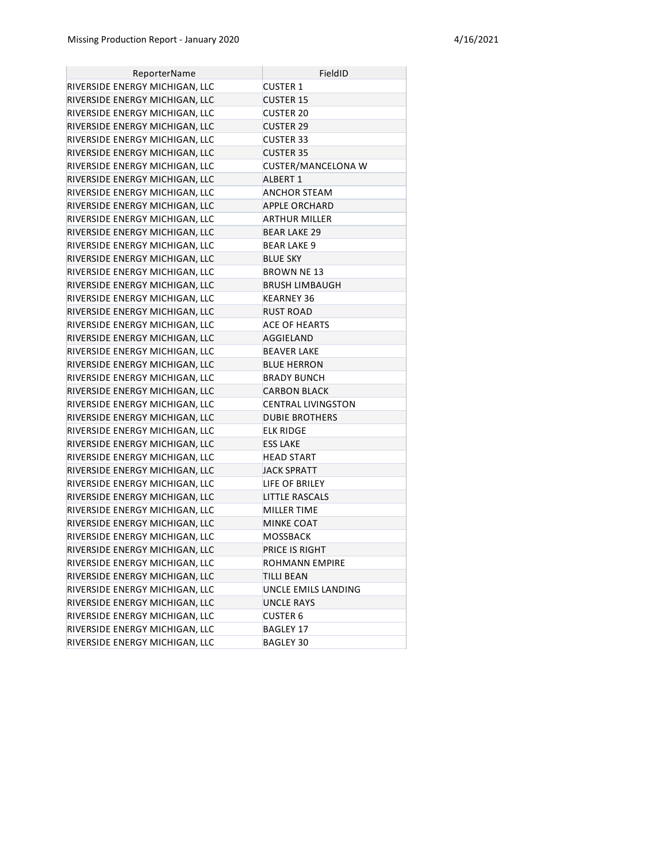| ReporterName                   | FieldID                   |
|--------------------------------|---------------------------|
| RIVERSIDE ENERGY MICHIGAN, LLC | <b>CUSTER 1</b>           |
| RIVERSIDE ENERGY MICHIGAN, LLC | <b>CUSTER 15</b>          |
| RIVERSIDE ENERGY MICHIGAN, LLC | <b>CUSTER 20</b>          |
| RIVERSIDE ENERGY MICHIGAN, LLC | <b>CUSTER 29</b>          |
| RIVERSIDE ENERGY MICHIGAN, LLC | <b>CUSTER 33</b>          |
| RIVERSIDE ENERGY MICHIGAN, LLC | <b>CUSTER 35</b>          |
| RIVERSIDE ENERGY MICHIGAN, LLC | CUSTER/MANCELONA W        |
| RIVERSIDE ENERGY MICHIGAN, LLC | <b>ALBERT 1</b>           |
| RIVERSIDE ENERGY MICHIGAN, LLC | <b>ANCHOR STEAM</b>       |
| RIVERSIDE ENERGY MICHIGAN, LLC | <b>APPLE ORCHARD</b>      |
| RIVERSIDE ENERGY MICHIGAN, LLC | ARTHUR MILLER             |
| RIVERSIDE ENERGY MICHIGAN, LLC | <b>BEAR LAKE 29</b>       |
| RIVERSIDE ENERGY MICHIGAN, LLC | <b>BEAR LAKE 9</b>        |
| RIVERSIDE ENERGY MICHIGAN, LLC | <b>BLUE SKY</b>           |
| RIVERSIDE ENERGY MICHIGAN, LLC | <b>BROWN NE 13</b>        |
| RIVERSIDE ENERGY MICHIGAN, LLC | <b>BRUSH LIMBAUGH</b>     |
| RIVERSIDE ENERGY MICHIGAN, LLC | KEARNEY 36                |
| RIVERSIDE ENERGY MICHIGAN, LLC | RUST ROAD                 |
| RIVERSIDE ENERGY MICHIGAN, LLC | <b>ACE OF HEARTS</b>      |
| RIVERSIDE ENERGY MICHIGAN, LLC | AGGIELAND                 |
| RIVERSIDE ENERGY MICHIGAN, LLC | <b>BEAVER LAKE</b>        |
| RIVERSIDE ENERGY MICHIGAN, LLC | <b>BLUE HERRON</b>        |
| RIVERSIDE ENERGY MICHIGAN, LLC | <b>BRADY BUNCH</b>        |
| RIVERSIDE ENERGY MICHIGAN, LLC | <b>CARBON BLACK</b>       |
| RIVERSIDE ENERGY MICHIGAN, LLC | <b>CENTRAL LIVINGSTON</b> |
| RIVERSIDE ENERGY MICHIGAN, LLC | <b>DUBIE BROTHERS</b>     |
| RIVERSIDE ENERGY MICHIGAN, LLC | ELK RIDGE                 |
| RIVERSIDE ENERGY MICHIGAN, LLC | <b>ESS LAKE</b>           |
| RIVERSIDE ENERGY MICHIGAN, LLC | <b>HEAD START</b>         |
| RIVERSIDE ENERGY MICHIGAN, LLC | <b>JACK SPRATT</b>        |
| RIVERSIDE ENERGY MICHIGAN, LLC | LIFE OF BRILEY            |
| RIVERSIDE ENERGY MICHIGAN, LLC | <b>LITTLE RASCALS</b>     |
| RIVERSIDE ENERGY MICHIGAN, LLC | <b>MILLER TIME</b>        |
| RIVERSIDE ENERGY MICHIGAN, LLC | <b>MINKE COAT</b>         |
| RIVERSIDE ENERGY MICHIGAN, LLC | <b>MOSSBACK</b>           |
| RIVERSIDE ENERGY MICHIGAN, LLC | PRICE IS RIGHT            |
| RIVERSIDE ENERGY MICHIGAN, LLC | ROHMANN EMPIRE            |
| RIVERSIDE ENERGY MICHIGAN, LLC | <b>TILLI BEAN</b>         |
| RIVERSIDE ENERGY MICHIGAN, LLC | UNCLE EMILS LANDING       |
| RIVERSIDE ENERGY MICHIGAN, LLC | <b>UNCLE RAYS</b>         |
| RIVERSIDE ENERGY MICHIGAN, LLC | <b>CUSTER 6</b>           |
| RIVERSIDE ENERGY MICHIGAN, LLC | <b>BAGLEY 17</b>          |
| RIVERSIDE ENERGY MICHIGAN, LLC | BAGLEY 30                 |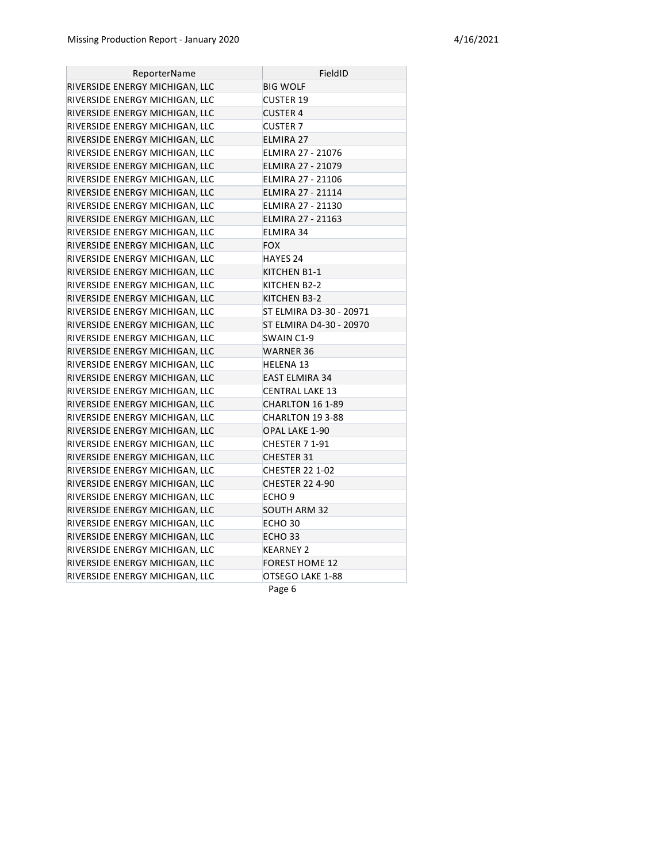| ReporterName                   | FieldID                 |
|--------------------------------|-------------------------|
| RIVERSIDE ENERGY MICHIGAN, LLC | <b>BIG WOLF</b>         |
| RIVERSIDE ENERGY MICHIGAN, LLC | <b>CUSTER 19</b>        |
| RIVERSIDE ENERGY MICHIGAN, LLC | <b>CUSTER 4</b>         |
| RIVERSIDE ENERGY MICHIGAN, LLC | <b>CUSTER 7</b>         |
| RIVERSIDE ENERGY MICHIGAN, LLC | <b>ELMIRA 27</b>        |
| RIVERSIDE ENERGY MICHIGAN, LLC | ELMIRA 27 - 21076       |
| RIVERSIDE ENERGY MICHIGAN, LLC | ELMIRA 27 - 21079       |
| RIVERSIDE ENERGY MICHIGAN, LLC | ELMIRA 27 - 21106       |
| RIVERSIDE ENERGY MICHIGAN, LLC | ELMIRA 27 - 21114       |
| RIVERSIDE ENERGY MICHIGAN, LLC | ELMIRA 27 - 21130       |
| RIVERSIDE ENERGY MICHIGAN, LLC | ELMIRA 27 - 21163       |
| RIVERSIDE ENERGY MICHIGAN, LLC | ELMIRA 34               |
| RIVERSIDE ENERGY MICHIGAN, LLC | <b>FOX</b>              |
| RIVERSIDE ENERGY MICHIGAN, LLC | <b>HAYES 24</b>         |
| RIVERSIDE ENERGY MICHIGAN, LLC | KITCHEN B1-1            |
| RIVERSIDE ENERGY MICHIGAN, LLC | KITCHEN B2-2            |
| RIVERSIDE ENERGY MICHIGAN, LLC | KITCHEN B3-2            |
| RIVERSIDE ENERGY MICHIGAN, LLC | ST ELMIRA D3-30 - 20971 |
| RIVERSIDE ENERGY MICHIGAN, LLC | ST ELMIRA D4-30 - 20970 |
| RIVERSIDE ENERGY MICHIGAN, LLC | SWAIN C1-9              |
| RIVERSIDE ENERGY MICHIGAN, LLC | <b>WARNER 36</b>        |
| RIVERSIDE ENERGY MICHIGAN, LLC | <b>HELENA 13</b>        |
| RIVERSIDE ENERGY MICHIGAN, LLC | <b>EAST ELMIRA 34</b>   |
| RIVERSIDE ENERGY MICHIGAN, LLC | <b>CENTRAL LAKE 13</b>  |
| RIVERSIDE ENERGY MICHIGAN, LLC | CHARLTON 16 1-89        |
| RIVERSIDE ENERGY MICHIGAN, LLC | CHARLTON 19 3-88        |
| RIVERSIDE ENERGY MICHIGAN, LLC | <b>OPAL LAKE 1-90</b>   |
| RIVERSIDE ENERGY MICHIGAN, LLC | CHESTER 7 1-91          |
| RIVERSIDE ENERGY MICHIGAN, LLC | <b>CHESTER 31</b>       |
| RIVERSIDE ENERGY MICHIGAN, LLC | <b>CHESTER 22 1-02</b>  |
| RIVERSIDE ENERGY MICHIGAN, LLC | <b>CHESTER 22 4-90</b>  |
| RIVERSIDE ENERGY MICHIGAN, LLC | ECHO <sub>9</sub>       |
| RIVERSIDE ENERGY MICHIGAN, LLC | <b>SOUTH ARM 32</b>     |
| RIVERSIDE ENERGY MICHIGAN, LLC | ECHO <sub>30</sub>      |
| RIVERSIDE ENERGY MICHIGAN, LLC | ECHO <sub>33</sub>      |
| RIVERSIDE ENERGY MICHIGAN, LLC | <b>KEARNEY 2</b>        |
| RIVERSIDE ENERGY MICHIGAN, LLC | <b>FOREST HOME 12</b>   |
| RIVERSIDE ENERGY MICHIGAN, LLC | OTSEGO LAKE 1-88        |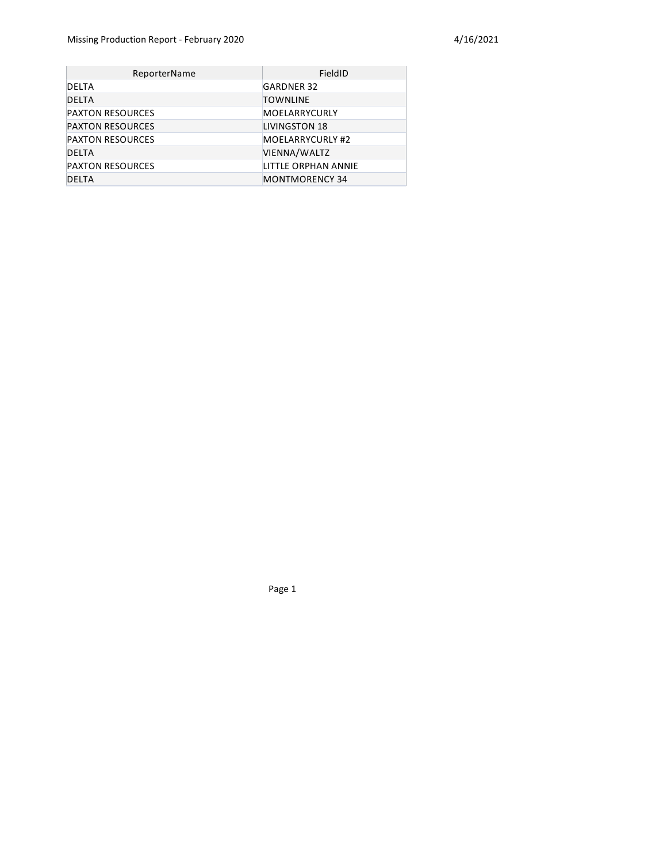| ReporterName            | FieldID               |
|-------------------------|-----------------------|
| DELTA                   | <b>GARDNER 32</b>     |
| <b>DELTA</b>            | <b>TOWNLINE</b>       |
| <b>PAXTON RESOURCES</b> | MOELARRYCURLY         |
| <b>PAXTON RESOURCES</b> | LIVINGSTON 18         |
| <b>PAXTON RESOURCES</b> | MOELARRYCURLY #2      |
| <b>DELTA</b>            | VIENNA/WALTZ          |
| <b>PAXTON RESOURCES</b> | LITTLE ORPHAN ANNIE   |
| <b>DELTA</b>            | <b>MONTMORENCY 34</b> |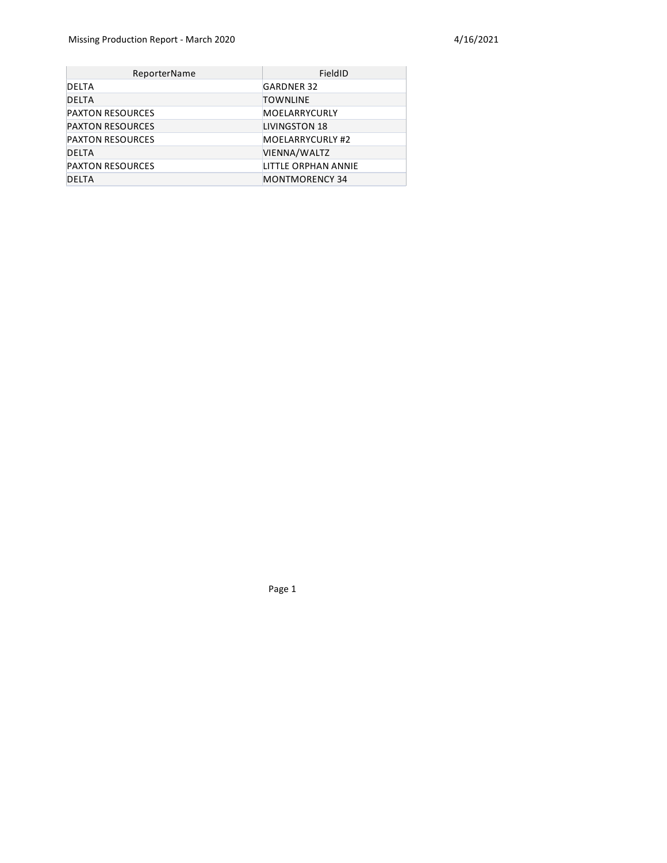| <b>ReporterName</b>     | FieldID               |
|-------------------------|-----------------------|
| DELTA                   | <b>GARDNER 32</b>     |
| <b>DELTA</b>            | <b>TOWNLINE</b>       |
| <b>PAXTON RESOURCES</b> | MOELARRYCURLY         |
| <b>PAXTON RESOURCES</b> | <b>LIVINGSTON 18</b>  |
| <b>PAXTON RESOURCES</b> | MOELARRYCURLY #2      |
| <b>DELTA</b>            | VIENNA/WALTZ          |
| <b>PAXTON RESOURCES</b> | LITTLE ORPHAN ANNIE   |
| <b>DELTA</b>            | <b>MONTMORENCY 34</b> |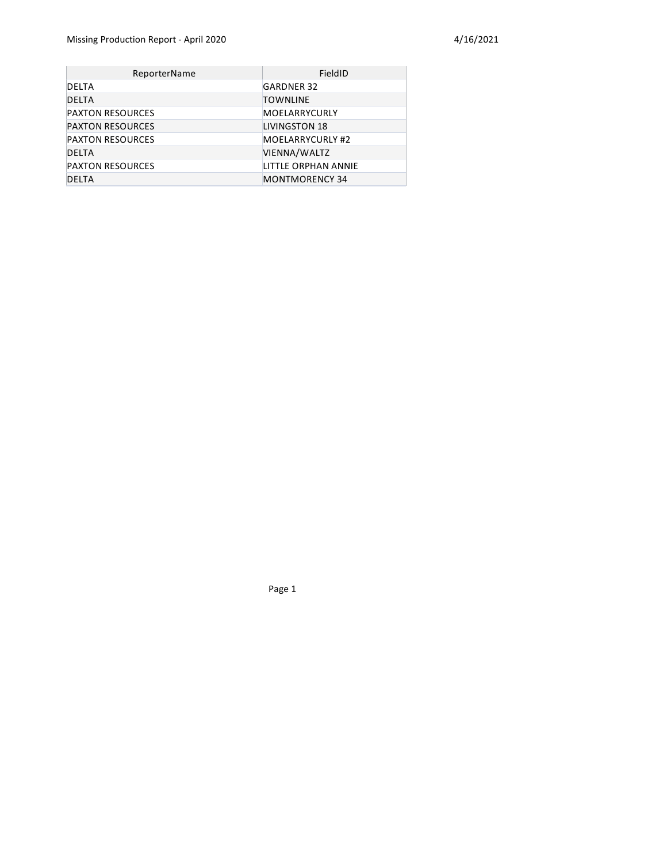| <b>ReporterName</b>     | FieldID               |
|-------------------------|-----------------------|
| DELTA                   | <b>GARDNER 32</b>     |
| <b>DELTA</b>            | <b>TOWNLINE</b>       |
| <b>PAXTON RESOURCES</b> | MOELARRYCURLY         |
| <b>PAXTON RESOURCES</b> | <b>LIVINGSTON 18</b>  |
| <b>PAXTON RESOURCES</b> | MOELARRYCURLY #2      |
| <b>DELTA</b>            | VIENNA/WALTZ          |
| <b>PAXTON RESOURCES</b> | LITTLE ORPHAN ANNIE   |
| <b>DELTA</b>            | <b>MONTMORENCY 34</b> |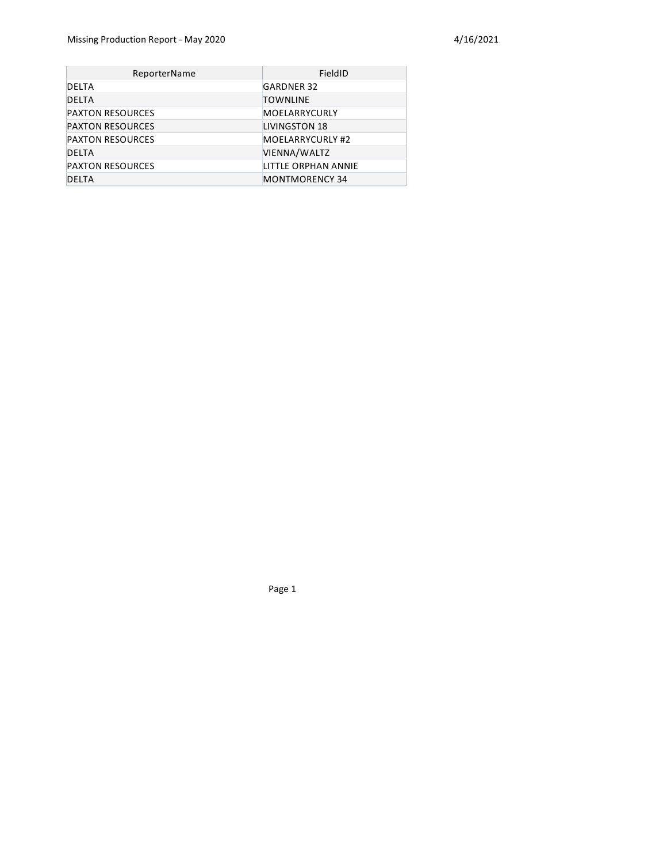| ReporterName            | FieldID               |
|-------------------------|-----------------------|
| DELTA                   | <b>GARDNER 32</b>     |
| <b>DELTA</b>            | <b>TOWNLINE</b>       |
| <b>PAXTON RESOURCES</b> | MOELARRYCURLY         |
| <b>PAXTON RESOURCES</b> | <b>LIVINGSTON 18</b>  |
| <b>PAXTON RESOURCES</b> | MOELARRYCURLY #2      |
| <b>DELTA</b>            | VIENNA/WALTZ          |
| <b>PAXTON RESOURCES</b> | LITTLE ORPHAN ANNIE   |
| <b>DELTA</b>            | <b>MONTMORENCY 34</b> |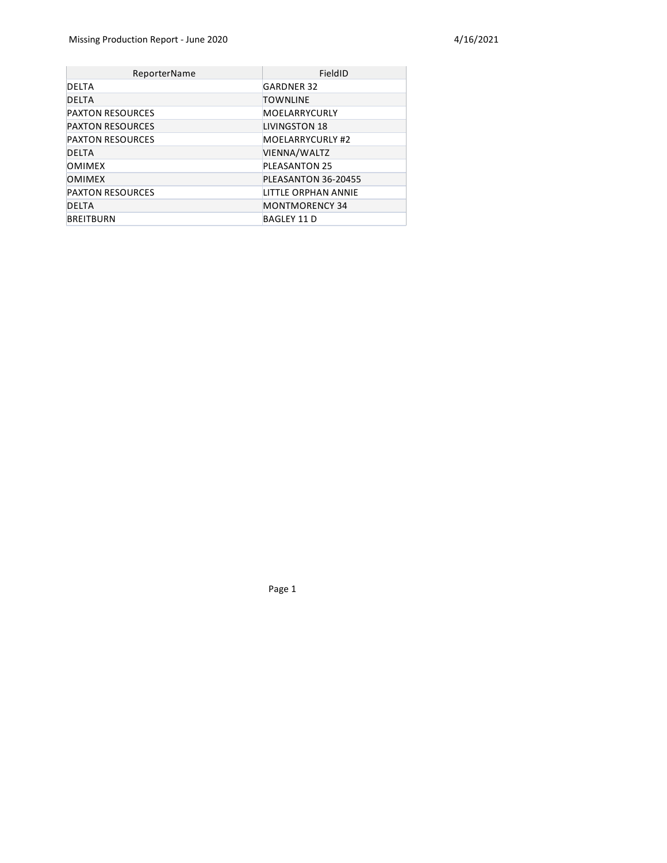| ReporterName            | FieldID                 |
|-------------------------|-------------------------|
| DELTA                   | <b>GARDNER 32</b>       |
| <b>DELTA</b>            | <b>TOWNLINE</b>         |
| <b>PAXTON RESOURCES</b> | MOELARRYCURLY           |
| <b>PAXTON RESOURCES</b> | LIVINGSTON 18           |
| <b>PAXTON RESOURCES</b> | <b>MOELARRYCURLY #2</b> |
| <b>DELTA</b>            | VIENNA/WALTZ            |
| <b>OMIMEX</b>           | <b>PLEASANTON 25</b>    |
| <b>OMIMEX</b>           | PLEASANTON 36-20455     |
| <b>PAXTON RESOURCES</b> | LITTLE ORPHAN ANNIE     |
| <b>DELTA</b>            | <b>MONTMORENCY 34</b>   |
| <b>BREITBURN</b>        | <b>BAGLEY 11 D</b>      |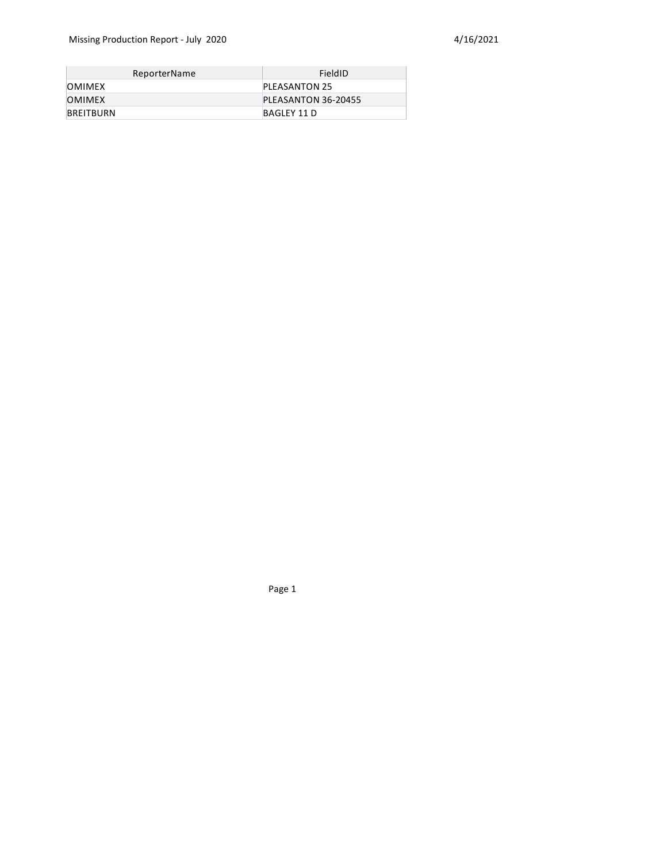| ReporterName  | FieldID             |
|---------------|---------------------|
| <b>OMIMEX</b> | PLEASANTON 25       |
| <b>OMIMEX</b> | PLEASANTON 36-20455 |
| BREITBURN     | BAGLEY 11 D         |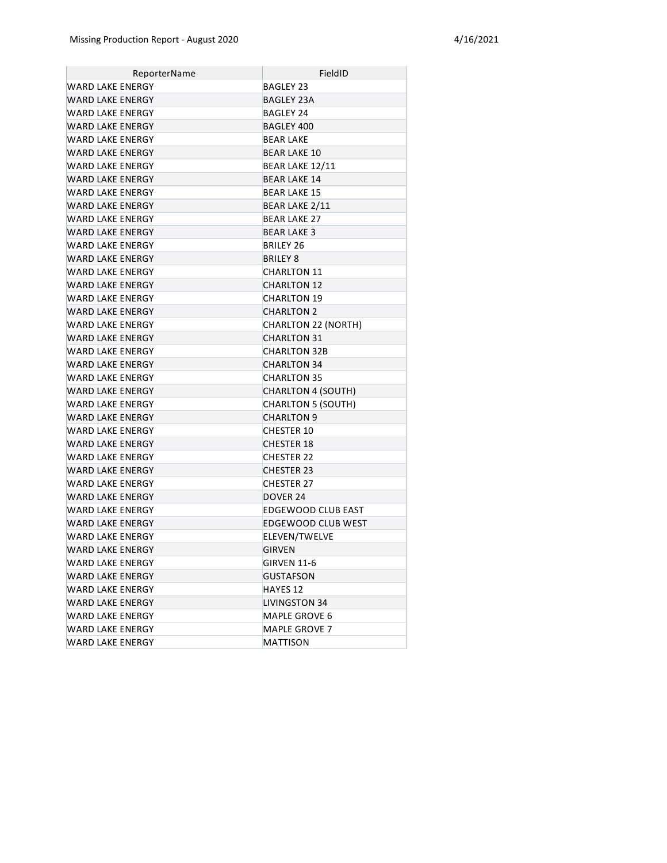| ReporterName            | FieldID                    |
|-------------------------|----------------------------|
| WARD LAKE ENERGY        | <b>BAGLEY 23</b>           |
| WARD LAKE ENERGY        | BAGLEY 23A                 |
| WARD LAKE ENERGY        | BAGLEY 24                  |
| <b>WARD LAKE ENERGY</b> | BAGLEY 400                 |
| WARD LAKE ENERGY        | <b>BEAR LAKE</b>           |
| WARD LAKE ENERGY        | <b>BEAR LAKE 10</b>        |
| WARD LAKE ENERGY        | BEAR LAKE 12/11            |
| WARD LAKE ENERGY        | <b>BEAR LAKE 14</b>        |
| WARD LAKE ENERGY        | <b>BEAR LAKE 15</b>        |
| WARD LAKE ENERGY        | <b>BEAR LAKE 2/11</b>      |
| WARD LAKE ENERGY        | <b>BEAR LAKE 27</b>        |
| WARD LAKE ENERGY        | <b>BEAR LAKE 3</b>         |
| WARD LAKE ENERGY        | BRILEY 26                  |
| WARD LAKE ENERGY        | <b>BRILEY 8</b>            |
| WARD LAKE ENERGY        | <b>CHARLTON 11</b>         |
| WARD LAKE ENERGY        | <b>CHARLTON 12</b>         |
| WARD LAKE ENERGY        | <b>CHARLTON 19</b>         |
| WARD LAKE ENERGY        | <b>CHARLTON 2</b>          |
| WARD LAKE ENERGY        | <b>CHARLTON 22 (NORTH)</b> |
| WARD LAKE ENERGY        | <b>CHARLTON 31</b>         |
| WARD LAKE ENERGY        | <b>CHARLTON 32B</b>        |
| WARD LAKE ENERGY        | <b>CHARLTON 34</b>         |
| WARD LAKE ENERGY        | <b>CHARLTON 35</b>         |
| WARD LAKE ENERGY        | <b>CHARLTON 4 (SOUTH)</b>  |
| WARD LAKE ENERGY        | <b>CHARLTON 5 (SOUTH)</b>  |
| WARD LAKE ENERGY        | <b>CHARLTON 9</b>          |
| WARD LAKE ENERGY        | <b>CHESTER 10</b>          |
| <b>WARD LAKE ENERGY</b> | <b>CHESTER 18</b>          |
| WARD LAKE ENERGY        | <b>CHESTER 22</b>          |
| <b>WARD LAKE ENERGY</b> | <b>CHESTER 23</b>          |
| WARD LAKE ENERGY        | <b>CHESTER 27</b>          |
| <b>WARD LAKE ENERGY</b> | DOVER 24                   |
| WARD LAKE ENERGY        | EDGEWOOD CLUB EAST         |
| WARD LAKE ENERGY        | <b>EDGEWOOD CLUB WEST</b>  |
| <b>WARD LAKE ENERGY</b> | ELEVEN/TWELVE              |
| WARD LAKE ENERGY        | <b>GIRVEN</b>              |
| WARD LAKE ENERGY        | <b>GIRVEN 11-6</b>         |
| WARD LAKE ENERGY        | <b>GUSTAFSON</b>           |
| <b>WARD LAKE ENERGY</b> | HAYES 12                   |
| <b>WARD LAKE ENERGY</b> | <b>LIVINGSTON 34</b>       |
| WARD LAKE ENERGY        | MAPLE GROVE 6              |
| <b>WARD LAKE ENERGY</b> | MAPLE GROVE 7              |
| <b>WARD LAKE ENERGY</b> | MATTISON                   |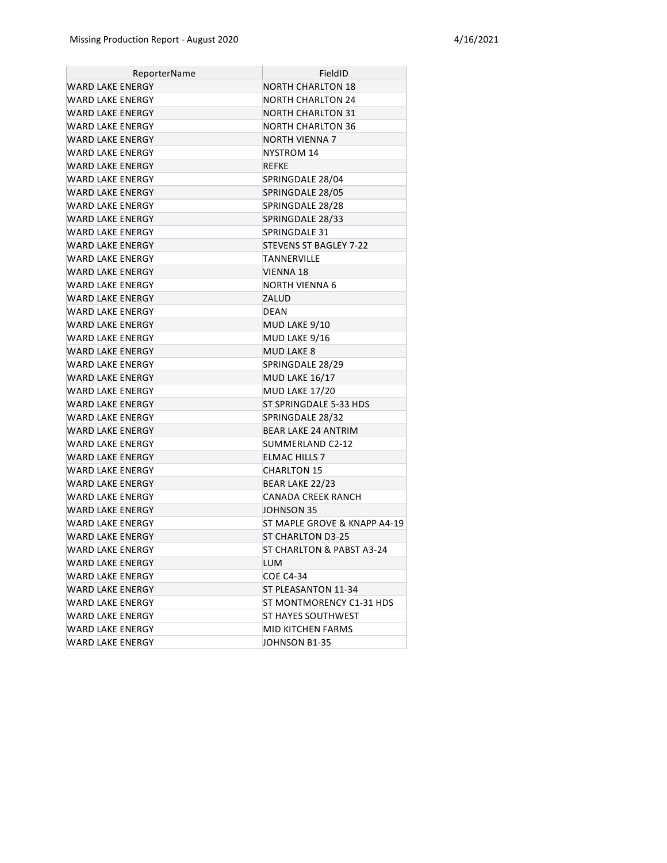| ReporterName            | FieldID                      |
|-------------------------|------------------------------|
| WARD LAKE ENERGY        | <b>NORTH CHARLTON 18</b>     |
| WARD LAKE ENERGY        | <b>NORTH CHARLTON 24</b>     |
| WARD LAKE ENERGY        | <b>NORTH CHARLTON 31</b>     |
| WARD LAKE ENERGY        | NORTH CHARLTON 36            |
| WARD LAKE ENERGY        | NORTH VIENNA 7               |
| WARD LAKE ENERGY        | NYSTROM 14                   |
| <b>WARD LAKE ENERGY</b> | <b>REFKE</b>                 |
| <b>WARD LAKE ENERGY</b> | SPRINGDALE 28/04             |
| WARD LAKE ENERGY        | SPRINGDALE 28/05             |
| WARD LAKE ENERGY        | SPRINGDALE 28/28             |
| WARD LAKE ENERGY        | SPRINGDALE 28/33             |
| WARD LAKE ENERGY        | SPRINGDALE 31                |
| <b>WARD LAKE ENERGY</b> | STEVENS ST BAGLEY 7-22       |
| WARD LAKE ENERGY        | TANNERVILLE                  |
| <b>WARD LAKE ENERGY</b> | VIENNA 18                    |
| WARD LAKE ENERGY        | NORTH VIENNA 6               |
| WARD LAKE ENERGY        | ZALUD                        |
| WARD LAKE ENERGY        | <b>DEAN</b>                  |
| <b>WARD LAKE ENERGY</b> | MUD LAKE 9/10                |
| WARD LAKE ENERGY        | MUD LAKE 9/16                |
| <b>WARD LAKE ENERGY</b> | <b>MUD LAKE 8</b>            |
| WARD LAKE ENERGY        | SPRINGDALE 28/29             |
| <b>WARD LAKE ENERGY</b> | MUD LAKE 16/17               |
| WARD LAKE ENERGY        | MUD LAKE 17/20               |
| WARD LAKE ENERGY        | ST SPRINGDALE 5-33 HDS       |
| WARD LAKE ENERGY        | SPRINGDALE 28/32             |
| WARD LAKE ENERGY        | <b>BEAR LAKE 24 ANTRIM</b>   |
| WARD LAKE ENERGY        | SUMMERLAND C2-12             |
| WARD LAKE ENERGY        | <b>ELMAC HILLS 7</b>         |
| WARD LAKE ENERGY        | <b>CHARLTON 15</b>           |
| <b>WARD LAKE ENERGY</b> | BEAR LAKE 22/23              |
| WARD LAKE ENERGY        | <b>CANADA CREEK RANCH</b>    |
| <b>WARD LAKE ENERGY</b> | JOHNSON 35                   |
| WARD LAKE ENERGY        | ST MAPLE GROVE & KNAPP A4-19 |
| WARD LAKE ENERGY        | <b>ST CHARLTON D3-25</b>     |
| WARD LAKE ENERGY        | ST CHARLTON & PABST A3-24    |
| WARD LAKE ENERGY        | <b>LUM</b>                   |
| WARD LAKE ENERGY        | <b>COE C4-34</b>             |
| <b>WARD LAKE ENERGY</b> | ST PLEASANTON 11-34          |
| <b>WARD LAKE ENERGY</b> | ST MONTMORENCY C1-31 HDS     |
| WARD LAKE ENERGY        | ST HAYES SOUTHWEST           |
| WARD LAKE ENERGY        | MID KITCHEN FARMS            |
| WARD LAKE ENERGY        | JOHNSON B1-35                |
|                         |                              |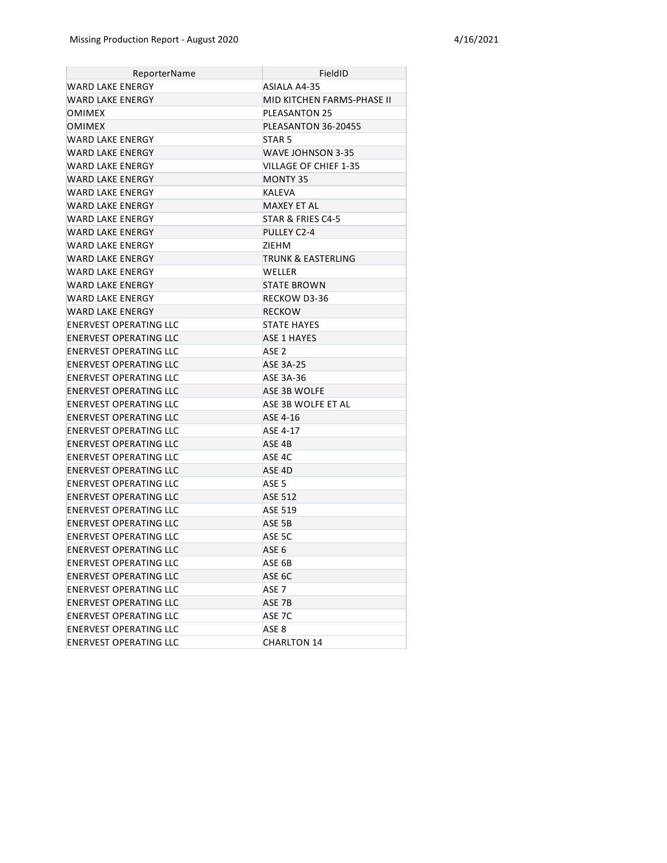| ReporterName                  | FieldID                    |
|-------------------------------|----------------------------|
| WARD LAKE ENERGY              | ASIALA A4-35               |
| <b>WARD LAKE ENERGY</b>       | MID KITCHEN FARMS-PHASE II |
| OMIMEX                        | <b>PLEASANTON 25</b>       |
| <b>OMIMEX</b>                 | PLEASANTON 36-20455        |
| WARD LAKE ENERGY              | STAR <sub>5</sub>          |
| WARD LAKE ENERGY              | WAVE JOHNSON 3-35          |
| WARD LAKE ENERGY              | VILLAGE OF CHIEF 1-35      |
| <b>WARD LAKE ENERGY</b>       | MONTY 35                   |
| WARD LAKE ENERGY              | KALEVA                     |
| <b>WARD LAKE ENERGY</b>       | MAXEY ET AL                |
| WARD LAKE ENERGY              | STAR & FRIES C4-5          |
| WARD LAKE ENERGY              | PULLEY C2-4                |
| WARD LAKE ENERGY              | ZIEHM                      |
| <b>WARD LAKE ENERGY</b>       | TRUNK & EASTERLING         |
| WARD LAKE ENERGY              | <b>WELLER</b>              |
| WARD LAKE ENERGY              | <b>STATE BROWN</b>         |
| WARD LAKE ENERGY              | RECKOW D3-36               |
| <b>WARD LAKE ENERGY</b>       | RECKOW                     |
| ENERVEST OPERATING LLC        | <b>STATE HAYES</b>         |
| <b>ENERVEST OPERATING LLC</b> | <b>ASE 1 HAYES</b>         |
| ENERVEST OPERATING LLC        | ASE <sub>2</sub>           |
| <b>ENERVEST OPERATING LLC</b> | <b>ASE 3A-25</b>           |
| ENERVEST OPERATING LLC        | ASE 3A-36                  |
| <b>ENERVEST OPERATING LLC</b> | ASE 3B WOLFE               |
| ENERVEST OPERATING LLC        | ASE 3B WOLFE ET AL         |
| <b>ENERVEST OPERATING LLC</b> | ASE 4-16                   |
| ENERVEST OPERATING LLC        | ASE 4-17                   |
| <b>ENERVEST OPERATING LLC</b> | ASE 4B                     |
| ENERVEST OPERATING LLC        | ASE 4C                     |
| <b>ENERVEST OPERATING LLC</b> | ASE 4D                     |
| ENERVEST OPERATING LLC        | ASE <sub>5</sub>           |
| <b>ENERVEST OPERATING LLC</b> | <b>ASE 512</b>             |
| ENERVEST OPERATING LLC        | <b>ASE 519</b>             |
| <b>ENERVEST OPERATING LLC</b> | ASE 5B                     |
| ENERVEST OPERATING LLC        | ASE 5C                     |
| <b>ENERVEST OPERATING LLC</b> | ASE <sub>6</sub>           |
| ENERVEST OPERATING LLC        | ASE 6B                     |
| <b>ENERVEST OPERATING LLC</b> | ASE 6C                     |
| ENERVEST OPERATING LLC        | ASE <sub>7</sub>           |
| <b>ENERVEST OPERATING LLC</b> | ASE 7B                     |
| ENERVEST OPERATING LLC        | ASE 7C                     |
| <b>ENERVEST OPERATING LLC</b> | ASE 8                      |
| ENERVEST OPERATING LLC        | <b>CHARLTON 14</b>         |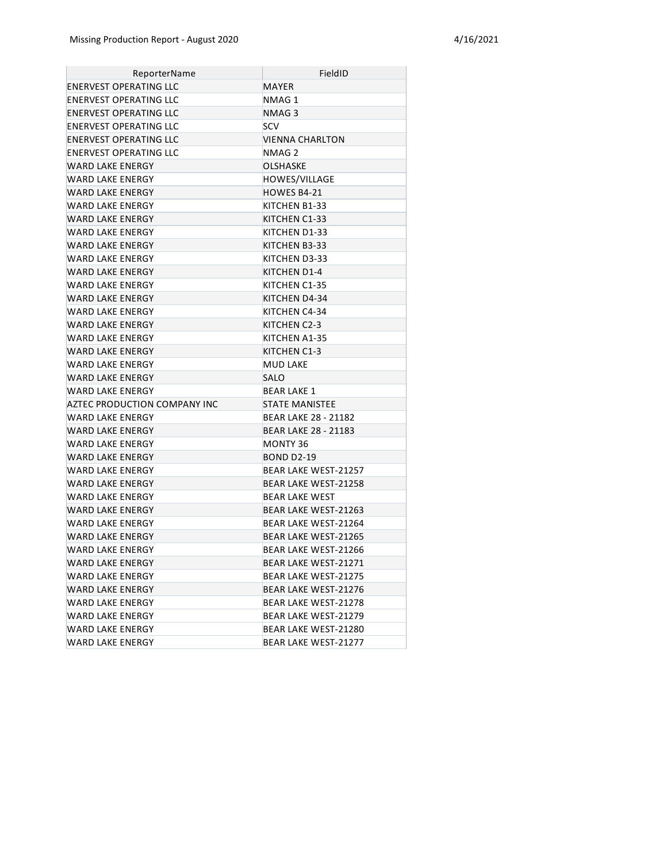| ReporterName                  | FieldID                     |
|-------------------------------|-----------------------------|
| <b>ENERVEST OPERATING LLC</b> | MAYER                       |
| <b>ENERVEST OPERATING LLC</b> | NMAG 1                      |
| <b>ENERVEST OPERATING LLC</b> | NMAG 3                      |
| <b>ENERVEST OPERATING LLC</b> | <b>SCV</b>                  |
| <b>ENERVEST OPERATING LLC</b> | <b>VIENNA CHARLTON</b>      |
| ENERVEST OPERATING LLC        | NMAG <sub>2</sub>           |
| WARD LAKE ENERGY              | <b>OLSHASKE</b>             |
| WARD LAKE ENERGY              | HOWES/VILLAGE               |
| WARD LAKE ENERGY              | HOWES B4-21                 |
| WARD LAKE ENERGY              | KITCHEN B1-33               |
| WARD LAKE ENERGY              | KITCHEN C1-33               |
| WARD LAKE ENERGY              | KITCHEN D1-33               |
| WARD LAKE ENERGY              | KITCHEN B3-33               |
| WARD LAKE ENERGY              | KITCHEN D3-33               |
| WARD LAKE ENERGY              | KITCHEN D1-4                |
| WARD LAKE ENERGY              | KITCHEN C1-35               |
| WARD LAKE ENERGY              | KITCHEN D4-34               |
| <b>WARD LAKE ENERGY</b>       | KITCHEN C4-34               |
| <b>WARD LAKE ENERGY</b>       | KITCHEN C2-3                |
| WARD LAKE ENERGY              | KITCHEN A1-35               |
| WARD LAKE ENERGY              | KITCHEN C1-3                |
| <b>WARD LAKE ENERGY</b>       | <b>MUD LAKE</b>             |
| <b>WARD LAKE ENERGY</b>       | <b>SALO</b>                 |
| WARD LAKE ENERGY              | <b>BEAR LAKE 1</b>          |
| AZTEC PRODUCTION COMPANY INC  | <b>STATE MANISTEE</b>       |
| WARD LAKE ENERGY              | BEAR LAKE 28 - 21182        |
| WARD LAKE ENERGY              | <b>BEAR LAKE 28 - 21183</b> |
| WARD LAKE ENERGY              | MONTY 36                    |
| WARD LAKE ENERGY              | <b>BOND D2-19</b>           |
| WARD LAKE ENERGY              | BEAR LAKE WEST-21257        |
| WARD LAKE ENERGY              | <b>BEAR LAKE WEST-21258</b> |
| WARD LAKE ENERGY              | <b>BEAR LAKE WEST</b>       |
| WARD LAKE ENERGY              | <b>BEAR LAKE WEST-21263</b> |
| WARD LAKE ENERGY              | BEAR LAKE WEST-21264        |
| WARD LAKE ENERGY              | <b>BEAR LAKE WEST-21265</b> |
| <b>WARD LAKE ENERGY</b>       | BEAR LAKE WEST-21266        |
| WARD LAKE ENERGY              | BEAR LAKE WEST-21271        |
| <b>WARD LAKE ENERGY</b>       | <b>BEAR LAKE WEST-21275</b> |
| <b>WARD LAKE ENERGY</b>       | <b>BEAR LAKE WEST-21276</b> |
| <b>WARD LAKE ENERGY</b>       | BEAR LAKE WEST-21278        |
| WARD LAKE ENERGY              | BEAR LAKE WEST-21279        |
| WARD LAKE ENERGY              | BEAR LAKE WEST-21280        |
| WARD LAKE ENERGY              | BEAR LAKE WEST-21277        |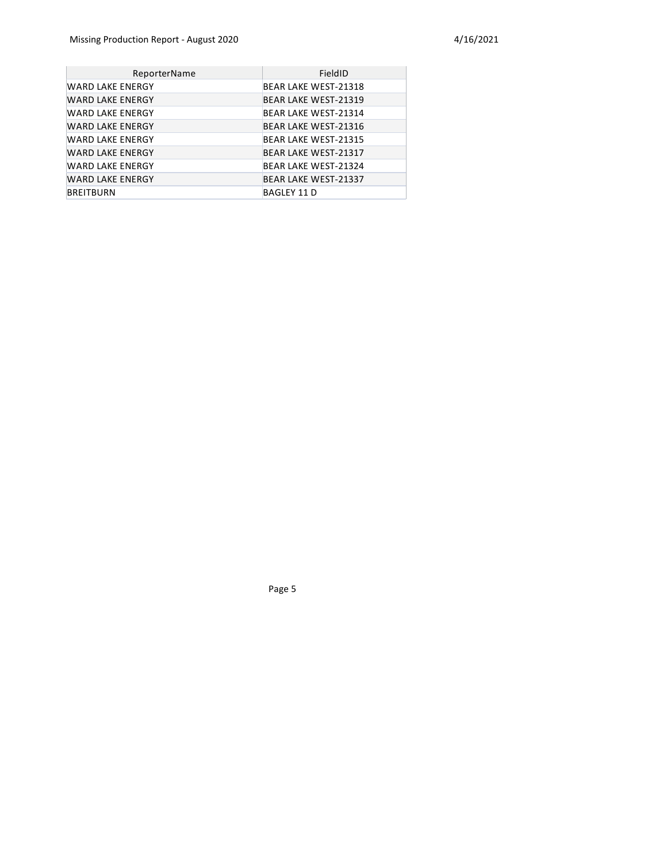| ReporterName            | FieldID                     |
|-------------------------|-----------------------------|
| WARD LAKE ENERGY        | BEAR LAKE WEST-21318        |
| <b>WARD LAKE ENERGY</b> | <b>BEAR LAKE WEST-21319</b> |
| WARD LAKE ENERGY        | BEAR LAKE WEST-21314        |
| WARD LAKE ENERGY        | <b>BEAR LAKE WEST-21316</b> |
| <b>WARD LAKE ENERGY</b> | <b>BEAR LAKE WEST-21315</b> |
| WARD LAKE ENERGY        | <b>BEAR LAKE WEST-21317</b> |
| <b>WARD LAKE ENERGY</b> | BEAR LAKE WEST-21324        |
| <b>WARD LAKE ENERGY</b> | <b>BEAR LAKE WEST-21337</b> |
| BREITBURN               | BAGLEY 11 D                 |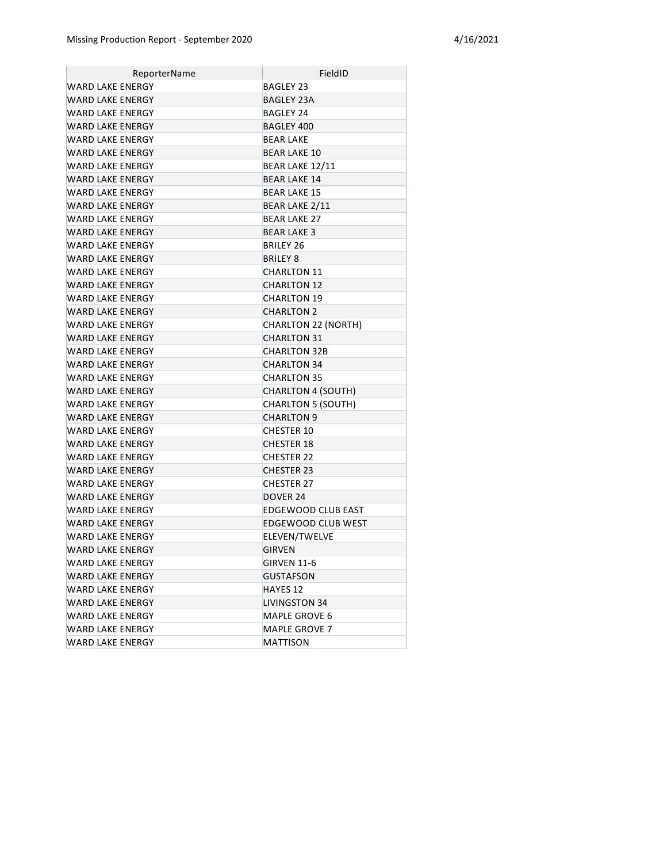| ReporterName            | FieldID                    |
|-------------------------|----------------------------|
| <b>WARD LAKE ENERGY</b> | BAGLEY 23                  |
| WARD LAKE ENERGY        | <b>BAGLEY 23A</b>          |
| WARD LAKE ENERGY        | BAGLEY 24                  |
| <b>WARD LAKE ENERGY</b> | BAGLEY 400                 |
| WARD LAKE ENERGY        | <b>BEAR LAKE</b>           |
| <b>WARD LAKE ENERGY</b> | <b>BEAR LAKE 10</b>        |
| WARD LAKE ENERGY        | BEAR LAKE 12/11            |
| WARD LAKE ENERGY        | <b>BEAR LAKE 14</b>        |
| WARD LAKE ENERGY        | <b>BEAR LAKE 15</b>        |
| <b>WARD LAKE ENERGY</b> | <b>BEAR LAKE 2/11</b>      |
| WARD LAKE ENERGY        | <b>BEAR LAKE 27</b>        |
| WARD LAKE ENERGY        | <b>BEAR LAKE 3</b>         |
| WARD LAKE ENERGY        | BRILEY 26                  |
| <b>WARD LAKE ENERGY</b> | <b>BRILEY 8</b>            |
| WARD LAKE ENERGY        | <b>CHARLTON 11</b>         |
| <b>WARD LAKE ENERGY</b> | <b>CHARLTON 12</b>         |
| <b>WARD LAKE ENERGY</b> | <b>CHARLTON 19</b>         |
| <b>WARD LAKE ENERGY</b> | <b>CHARLTON 2</b>          |
| WARD LAKE ENERGY        | <b>CHARLTON 22 (NORTH)</b> |
| <b>WARD LAKE ENERGY</b> | <b>CHARLTON 31</b>         |
| WARD LAKE ENERGY        | <b>CHARLTON 32B</b>        |
| WARD LAKE ENERGY        | <b>CHARLTON 34</b>         |
| WARD LAKE ENERGY        | <b>CHARLTON 35</b>         |
| WARD LAKE ENERGY        | <b>CHARLTON 4 (SOUTH)</b>  |
| WARD LAKE ENERGY        | <b>CHARLTON 5 (SOUTH)</b>  |
| <b>WARD LAKE ENERGY</b> | <b>CHARLTON 9</b>          |
| WARD LAKE ENERGY        | <b>CHESTER 10</b>          |
| <b>WARD LAKE ENERGY</b> | <b>CHESTER 18</b>          |
| WARD LAKE ENERGY        | <b>CHESTER 22</b>          |
| <b>WARD LAKE ENERGY</b> | <b>CHESTER 23</b>          |
| WARD LAKE ENERGY        | <b>CHESTER 27</b>          |
| <b>WARD LAKE ENERGY</b> | DOVER 24                   |
| WARD LAKE ENERGY        | <b>EDGEWOOD CLUB EAST</b>  |
| WARD LAKE ENERGY        | EDGEWOOD CLUB WEST         |
| WARD LAKE ENERGY        | ELEVEN/TWELVE              |
| WARD LAKE ENERGY        | <b>GIRVEN</b>              |
| WARD LAKE ENERGY        | <b>GIRVEN 11-6</b>         |
| WARD LAKE ENERGY        | <b>GUSTAFSON</b>           |
| WARD LAKE ENERGY        | HAYES 12                   |
| WARD LAKE ENERGY        | <b>LIVINGSTON 34</b>       |
| WARD LAKE ENERGY        | MAPLE GROVE 6              |
| WARD LAKE ENERGY        | <b>MAPLE GROVE 7</b>       |
| WARD LAKE ENERGY        | MATTISON                   |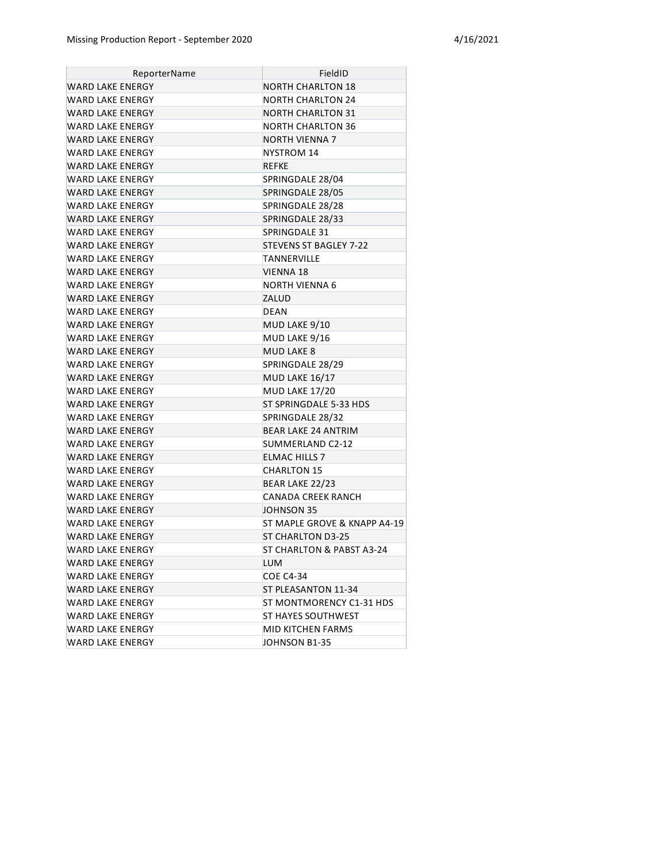| ReporterName            | FieldID                       |
|-------------------------|-------------------------------|
| <b>WARD LAKE ENERGY</b> | <b>NORTH CHARLTON 18</b>      |
| WARD LAKE ENERGY        | NORTH CHARLTON 24             |
| WARD LAKE ENERGY        | <b>NORTH CHARLTON 31</b>      |
| WARD LAKE ENERGY        | NORTH CHARLTON 36             |
| <b>WARD LAKE ENERGY</b> | NORTH VIENNA 7                |
| WARD LAKE ENERGY        | NYSTROM 14                    |
| <b>WARD LAKE ENERGY</b> | REFKE                         |
| WARD LAKE ENERGY        | SPRINGDALE 28/04              |
| <b>WARD LAKE ENERGY</b> | SPRINGDALE 28/05              |
| <b>WARD LAKE ENERGY</b> | SPRINGDALE 28/28              |
| <b>WARD LAKE ENERGY</b> | SPRINGDALE 28/33              |
| WARD LAKE ENERGY        | SPRINGDALE 31                 |
| <b>WARD LAKE ENERGY</b> | <b>STEVENS ST BAGLEY 7-22</b> |
| WARD LAKE ENERGY        | TANNERVILLE                   |
| <b>WARD LAKE ENERGY</b> | <b>VIENNA 18</b>              |
| <b>WARD LAKE ENERGY</b> | NORTH VIENNA 6                |
| <b>WARD LAKE ENERGY</b> | ZALUD                         |
| WARD LAKE ENERGY        | <b>DEAN</b>                   |
| WARD LAKE ENERGY        | MUD LAKE 9/10                 |
| WARD LAKE ENERGY        | MUD LAKE 9/16                 |
| <b>WARD LAKE ENERGY</b> | <b>MUD LAKE 8</b>             |
| WARD LAKE ENERGY        | SPRINGDALE 28/29              |
| <b>WARD LAKE ENERGY</b> | MUD LAKE 16/17                |
| WARD LAKE ENERGY        | <b>MUD LAKE 17/20</b>         |
| <b>WARD LAKE ENERGY</b> | ST SPRINGDALE 5-33 HDS        |
| WARD LAKE ENERGY        | SPRINGDALE 28/32              |
| WARD LAKE ENERGY        | <b>BEAR LAKE 24 ANTRIM</b>    |
| WARD LAKE ENERGY        | SUMMERLAND C2-12              |
| WARD LAKE ENERGY        | <b>ELMAC HILLS 7</b>          |
| WARD LAKE ENERGY        | <b>CHARLTON 15</b>            |
| <b>WARD LAKE ENERGY</b> | BEAR LAKE 22/23               |
| WARD LAKE ENERGY        | <b>CANADA CREEK RANCH</b>     |
| <b>WARD LAKE ENERGY</b> | JOHNSON 35                    |
| WARD LAKE ENERGY        | ST MAPLE GROVE & KNAPP A4-19  |
| WARD LAKE ENERGY        | <b>ST CHARLTON D3-25</b>      |
| WARD LAKE ENERGY        | ST CHARLTON & PABST A3-24     |
| WARD LAKE ENERGY        | <b>LUM</b>                    |
| WARD LAKE ENERGY        | <b>COE C4-34</b>              |
| WARD LAKE ENERGY        | ST PLEASANTON 11-34           |
| WARD LAKE ENERGY        | ST MONTMORENCY C1-31 HDS      |
| <b>WARD LAKE ENERGY</b> | ST HAYES SOUTHWEST            |
| <b>WARD LAKE ENERGY</b> | MID KITCHEN FARMS             |
| <b>WARD LAKE ENERGY</b> | JOHNSON B1-35                 |
|                         |                               |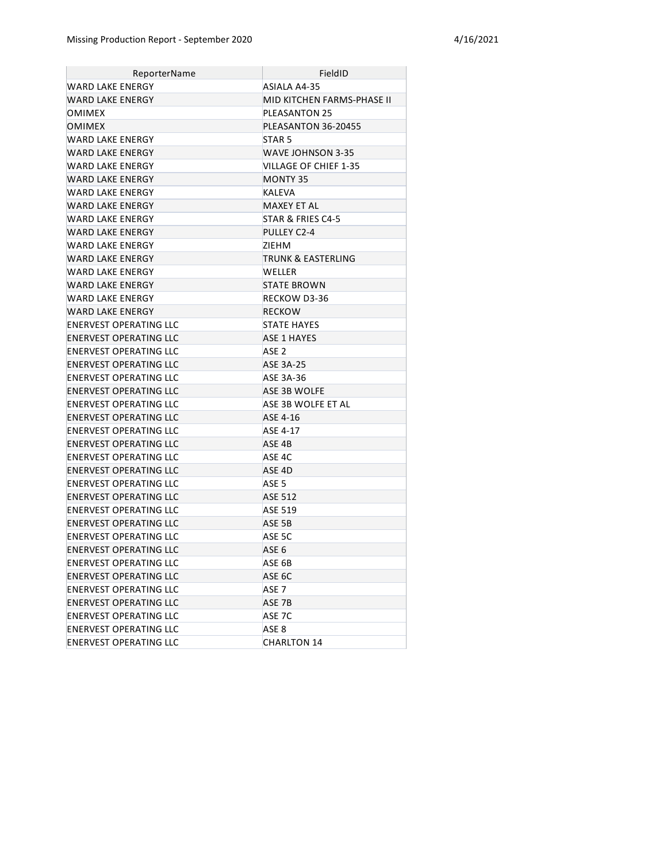| ReporterName                  | FieldID                    |
|-------------------------------|----------------------------|
| WARD LAKE ENERGY              | ASIALA A4-35               |
| <b>WARD LAKE ENERGY</b>       | MID KITCHEN FARMS-PHASE II |
| OMIMEX                        | <b>PLEASANTON 25</b>       |
| <b>OMIMEX</b>                 | PLEASANTON 36-20455        |
| WARD LAKE ENERGY              | STAR <sub>5</sub>          |
| WARD LAKE ENERGY              | WAVE JOHNSON 3-35          |
| WARD LAKE ENERGY              | VILLAGE OF CHIEF 1-35      |
| <b>WARD LAKE ENERGY</b>       | MONTY 35                   |
| WARD LAKE ENERGY              | KALEVA                     |
| <b>WARD LAKE ENERGY</b>       | MAXEY ET AL                |
| WARD LAKE ENERGY              | STAR & FRIES C4-5          |
| WARD LAKE ENERGY              | PULLEY C2-4                |
| WARD LAKE ENERGY              | ZIEHM                      |
| <b>WARD LAKE ENERGY</b>       | TRUNK & EASTERLING         |
| WARD LAKE ENERGY              | <b>WELLER</b>              |
| WARD LAKE ENERGY              | <b>STATE BROWN</b>         |
| WARD LAKE ENERGY              | RECKOW D3-36               |
| <b>WARD LAKE ENERGY</b>       | RECKOW                     |
| ENERVEST OPERATING LLC        | <b>STATE HAYES</b>         |
| <b>ENERVEST OPERATING LLC</b> | <b>ASE 1 HAYES</b>         |
| ENERVEST OPERATING LLC        | ASE <sub>2</sub>           |
| <b>ENERVEST OPERATING LLC</b> | <b>ASE 3A-25</b>           |
| ENERVEST OPERATING LLC        | ASE 3A-36                  |
| <b>ENERVEST OPERATING LLC</b> | ASE 3B WOLFE               |
| ENERVEST OPERATING LLC        | ASE 3B WOLFE ET AL         |
| ENERVEST OPERATING LLC        | ASE 4-16                   |
| ENERVEST OPERATING LLC        | ASE 4-17                   |
| <b>ENERVEST OPERATING LLC</b> | ASE 4B                     |
| ENERVEST OPERATING LLC        | ASE 4C                     |
| ENERVEST OPERATING LLC        | ASE 4D                     |
| ENERVEST OPERATING LLC        | ASE <sub>5</sub>           |
| ENERVEST OPERATING LLC        | <b>ASE 512</b>             |
| <b>ENERVEST OPERATING LLC</b> | <b>ASE 519</b>             |
| ENERVEST OPERATING LLC        | ASE 5B                     |
| ENERVEST OPERATING LLC        | ASE 5C                     |
| <b>ENERVEST OPERATING LLC</b> | ASE <sub>6</sub>           |
| ENERVEST OPERATING LLC        | ASE 6B                     |
| <b>ENERVEST OPERATING LLC</b> | ASE 6C                     |
| ENERVEST OPERATING LLC        | ASE <sub>7</sub>           |
| <b>ENERVEST OPERATING LLC</b> | ASE 7B                     |
| ENERVEST OPERATING LLC        | ASE 7C                     |
| <b>ENERVEST OPERATING LLC</b> | ASE 8                      |
| ENERVEST OPERATING LLC        | <b>CHARLTON 14</b>         |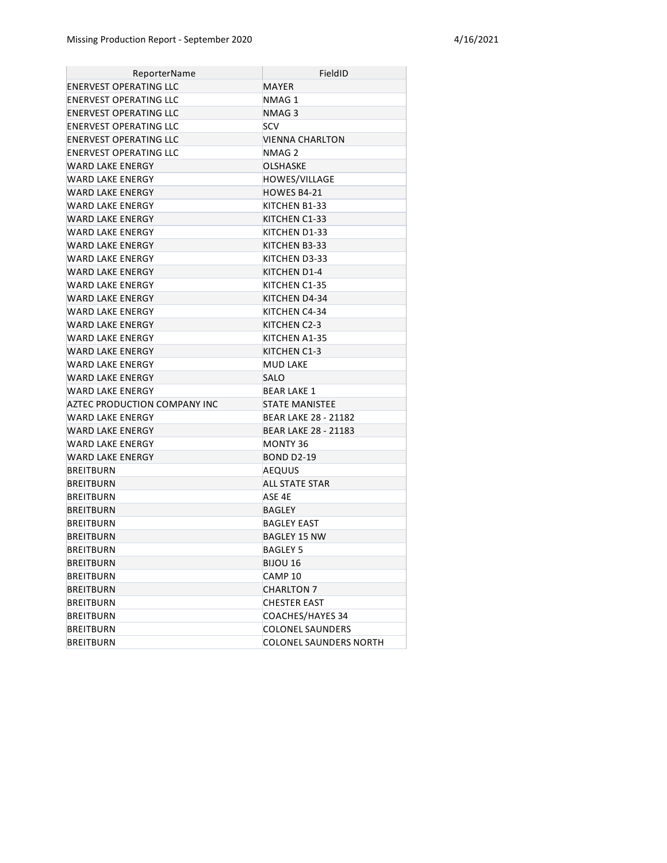| ReporterName                 | FieldID                       |
|------------------------------|-------------------------------|
| ENERVEST OPERATING LLC       | MAYER                         |
| ENERVEST OPERATING LLC       | NMAG 1                        |
| ENERVEST OPERATING LLC       | NMAG 3                        |
| ENERVEST OPERATING LLC       | <b>SCV</b>                    |
| ENERVEST OPERATING LLC       | VIENNA CHARLTON               |
| ENERVEST OPERATING LLC       | NMAG 2                        |
| WARD LAKE ENERGY             | <b>OLSHASKE</b>               |
| WARD LAKE ENERGY             | HOWES/VILLAGE                 |
| WARD LAKE ENERGY             | HOWES B4-21                   |
| WARD LAKE ENERGY             | KITCHEN B1-33                 |
| WARD LAKE ENERGY             | KITCHEN C1-33                 |
| WARD LAKE ENERGY             | KITCHEN D1-33                 |
| WARD LAKE ENERGY             | KITCHEN B3-33                 |
| WARD LAKE ENERGY             | KITCHEN D3-33                 |
| WARD LAKE ENERGY             | KITCHEN D1-4                  |
| WARD LAKE ENERGY             | KITCHEN C1-35                 |
| WARD LAKE ENERGY             | KITCHEN D4-34                 |
| WARD LAKE ENERGY             | KITCHEN C4-34                 |
| WARD LAKE ENERGY             | KITCHEN C2-3                  |
| WARD LAKE ENERGY             | KITCHEN A1-35                 |
| WARD LAKE ENERGY             | KITCHEN C1-3                  |
| <b>WARD LAKE ENERGY</b>      | <b>MUD LAKE</b>               |
| WARD LAKE ENERGY             | <b>SALO</b>                   |
| WARD LAKE ENERGY             | <b>BEAR LAKE 1</b>            |
| AZTEC PRODUCTION COMPANY INC | <b>STATE MANISTEE</b>         |
| WARD LAKE ENERGY             | BEAR LAKE 28 - 21182          |
| WARD LAKE ENERGY             | <b>BEAR LAKE 28 - 21183</b>   |
| WARD LAKE ENERGY             | MONTY 36                      |
| WARD LAKE ENERGY             | <b>BOND D2-19</b>             |
| BREITBURN                    | <b>AEQUUS</b>                 |
| <b>BREITBURN</b>             | ALL STATE STAR                |
| BREITBURN                    | ASE 4E                        |
| BREITBURN                    | BAGLEY                        |
| BREITBURN                    | BAGLEY EAST                   |
| BREITBURN                    | BAGLEY 15 NW                  |
| BREITBURN                    | <b>BAGLEY 5</b>               |
| BREITBURN                    | <b>BIJOU 16</b>               |
| <b>BREITBURN</b>             | CAMP 10                       |
| <b>BREITBURN</b>             | <b>CHARLTON 7</b>             |
| <b>BREITBURN</b>             | <b>CHESTER EAST</b>           |
| <b>BREITBURN</b>             | COACHES/HAYES 34              |
| <b>BREITBURN</b>             | <b>COLONEL SAUNDERS</b>       |
| <b>BREITBURN</b>             | <b>COLONEL SAUNDERS NORTH</b> |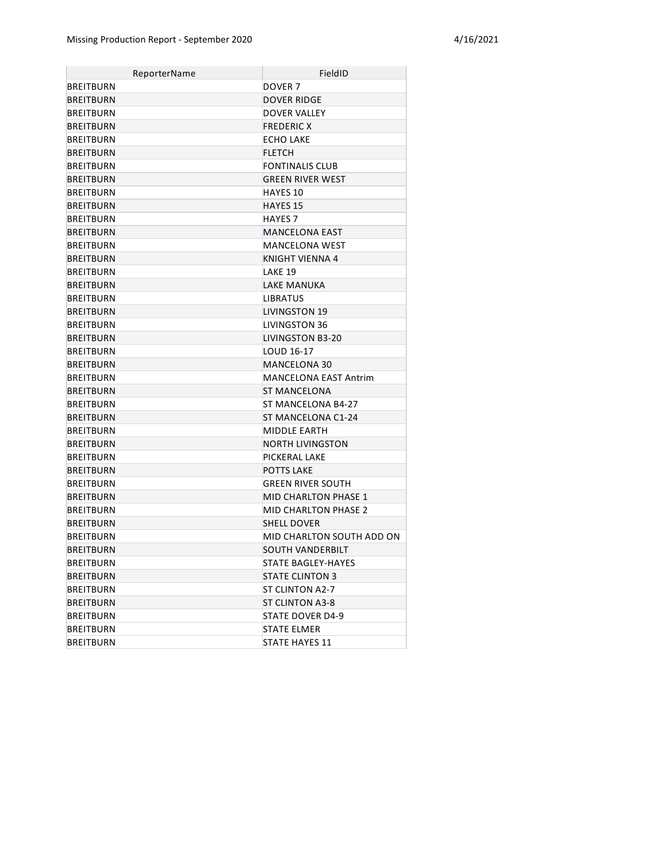| ReporterName     | FieldID                      |
|------------------|------------------------------|
| <b>BREITBURN</b> | DOVER <sub>7</sub>           |
| <b>BREITBURN</b> | <b>DOVER RIDGE</b>           |
| <b>BREITBURN</b> | DOVER VALLEY                 |
| <b>BREITBURN</b> | <b>FREDERIC X</b>            |
| <b>BREITBURN</b> | <b>ECHO LAKE</b>             |
| <b>BREITBURN</b> | <b>FLETCH</b>                |
| <b>BREITBURN</b> | <b>FONTINALIS CLUB</b>       |
| <b>BREITBURN</b> | <b>GREEN RIVER WEST</b>      |
| <b>BREITBURN</b> | <b>HAYES 10</b>              |
| <b>BREITBURN</b> | <b>HAYES 15</b>              |
| <b>BREITBURN</b> | <b>HAYES 7</b>               |
| <b>BREITBURN</b> | <b>MANCELONA EAST</b>        |
| <b>BREITBURN</b> | MANCELONA WEST               |
| <b>BREITBURN</b> | KNIGHT VIENNA 4              |
| <b>BREITBURN</b> | LAKE 19                      |
| <b>BREITBURN</b> | LAKE MANUKA                  |
| <b>BREITBURN</b> | <b>LIBRATUS</b>              |
| <b>BREITBURN</b> | <b>LIVINGSTON 19</b>         |
| <b>BREITBURN</b> | LIVINGSTON 36                |
| <b>BREITBURN</b> | LIVINGSTON B3-20             |
| <b>BREITBURN</b> | LOUD 16-17                   |
| <b>BREITBURN</b> | <b>MANCELONA 30</b>          |
| <b>BREITBURN</b> | <b>MANCELONA EAST Antrim</b> |
| <b>BREITBURN</b> | <b>ST MANCELONA</b>          |
| BREITBURN        | ST MANCELONA B4-27           |
| <b>BREITBURN</b> | ST MANCELONA C1-24           |
| <b>BREITBURN</b> | MIDDLE EARTH                 |
| <b>BREITBURN</b> | NORTH LIVINGSTON             |
| <b>BREITBURN</b> | PICKERAL LAKE                |
| <b>BREITBURN</b> | <b>POTTS LAKE</b>            |
| <b>BREITBURN</b> | GREEN RIVER SOUTH            |
| <b>BREITBURN</b> | MID CHARLTON PHASE 1         |
| BREITBURN        | <b>MID CHARLTON PHASE 2</b>  |
| <b>BREITBURN</b> | <b>SHELL DOVER</b>           |
| <b>BREITBURN</b> | MID CHARLTON SOUTH ADD ON    |
| <b>BREITBURN</b> | SOUTH VANDERBILT             |
| BREITBURN        | <b>STATE BAGLEY-HAYES</b>    |
| <b>BREITBURN</b> | <b>STATE CLINTON 3</b>       |
| BREITBURN        | ST CLINTON A2-7              |
| <b>BREITBURN</b> | <b>ST CLINTON A3-8</b>       |
| BREITBURN        | STATE DOVER D4-9             |
| <b>BREITBURN</b> | <b>STATE ELMER</b>           |
| BREITBURN        | <b>STATE HAYES 11</b>        |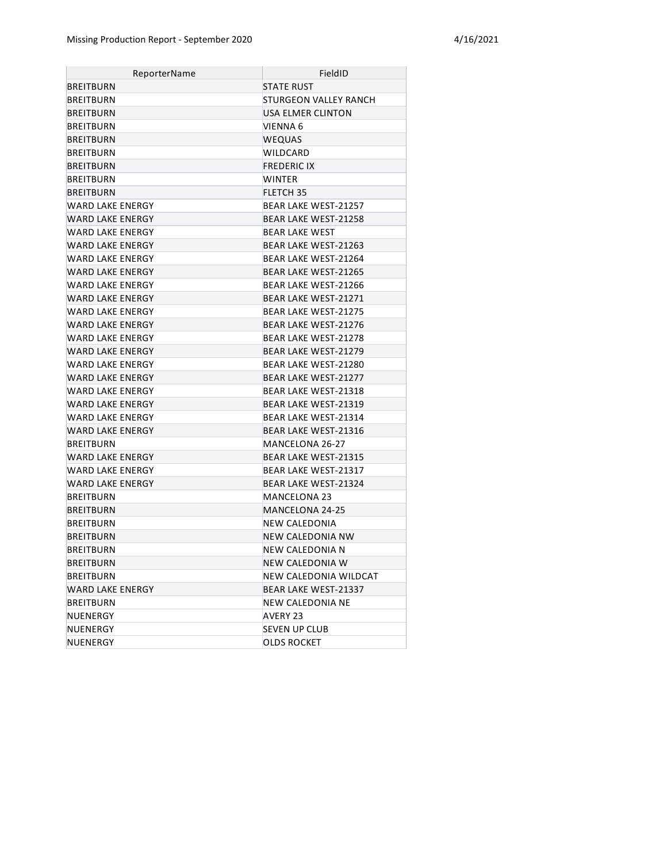| ReporterName            | FieldID                     |
|-------------------------|-----------------------------|
| BREITBURN               | <b>STATE RUST</b>           |
| <b>BREITBURN</b>        | STURGEON VALLEY RANCH       |
| <b>BREITBURN</b>        | USA ELMER CLINTON           |
| BREITBURN               | VIENNA 6                    |
| <b>BREITBURN</b>        | <b>WEQUAS</b>               |
| BREITBURN               | WILDCARD                    |
| BREITBURN               | <b>FREDERIC IX</b>          |
| BREITBURN               | <b>WINTER</b>               |
| BREITBURN               | <b>FLETCH 35</b>            |
| WARD LAKE ENERGY        | BEAR LAKE WEST-21257        |
| WARD LAKE ENERGY        | <b>BEAR LAKE WEST-21258</b> |
| WARD LAKE ENERGY        | <b>BEAR LAKE WEST</b>       |
| WARD LAKE ENERGY        | BEAR LAKE WEST-21263        |
| WARD LAKE ENERGY        | BEAR LAKE WEST-21264        |
| WARD LAKE ENERGY        | BEAR LAKE WEST-21265        |
| WARD LAKE ENERGY        | BEAR LAKE WEST-21266        |
| WARD LAKE ENERGY        | <b>BEAR LAKE WEST-21271</b> |
| WARD LAKE ENERGY        | <b>BEAR LAKE WEST-21275</b> |
| WARD LAKE ENERGY        | <b>BEAR LAKE WEST-21276</b> |
| WARD LAKE ENERGY        | BEAR LAKE WEST-21278        |
| WARD LAKE ENERGY        | <b>BEAR LAKE WEST-21279</b> |
| WARD LAKF FNFRGY        | BEAR LAKE WEST-21280        |
| WARD LAKE ENERGY        | <b>BEAR LAKE WEST-21277</b> |
| WARD LAKE ENERGY        | <b>BEAR LAKE WEST-21318</b> |
| WARD LAKE ENERGY        | BEAR LAKE WEST-21319        |
| WARD LAKE ENERGY        | BEAR LAKE WEST-21314        |
| WARD LAKE ENERGY        | <b>BEAR LAKE WEST-21316</b> |
| BREITBURN               | MANCELONA 26-27             |
| <b>WARD LAKE ENERGY</b> | <b>BEAR LAKE WEST-21315</b> |
| WARD LAKE ENERGY        | BEAR LAKE WEST-21317        |
| WARD LAKE ENERGY        | BEAR LAKE WEST-21324        |
| BREITBURN               | MANCELONA 23                |
| BREITBURN               | MANCELONA 24-25             |
| BREITBURN               | NEW CALEDONIA               |
| <b>BREITBURN</b>        | NEW CALEDONIA NW            |
| <b>BREITBURN</b>        | NEW CALEDONIA N             |
| BREITBURN               | NEW CALEDONIA W             |
| BREITBURN               | NEW CALEDONIA WILDCAT       |
| <b>WARD LAKE ENERGY</b> | BEAR LAKE WEST-21337        |
| <b>BREITBURN</b>        | NEW CALEDONIA NE            |
| NUENERGY                | AVERY 23                    |
| NUENERGY                | <b>SEVEN UP CLUB</b>        |
| NUENERGY                | <b>OLDS ROCKET</b>          |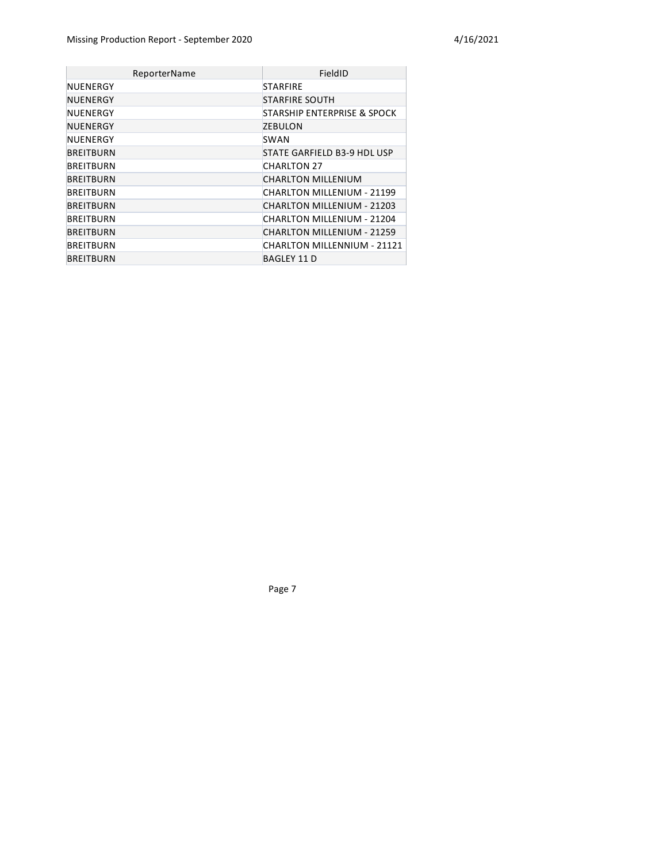| ReporterName     | FieldID                     |
|------------------|-----------------------------|
| NUENERGY         | <b>STARFIRE</b>             |
| NUENERGY         | <b>STARFIRE SOUTH</b>       |
| NUENERGY         | STARSHIP ENTERPRISE & SPOCK |
| NUENERGY         | <b>ZEBULON</b>              |
| NUENERGY         | SWAN                        |
| <b>BREITBURN</b> | STATE GARFIELD B3-9 HDL USP |
| BREITBURN        | <b>CHARLTON 27</b>          |
| <b>BREITBURN</b> | CHARLTON MILLENIUM          |
| <b>BREITBURN</b> | CHARLTON MILLENIUM - 21199  |
| <b>BREITBURN</b> | CHARLTON MILLENIUM - 21203  |
| <b>BREITBURN</b> | CHARLTON MILLENIUM - 21204  |
| <b>BREITBURN</b> | CHARLTON MILLENIUM - 21259  |
| BREITBURN        | CHARLTON MILLENNIUM - 21121 |
| <b>BREITBURN</b> | <b>BAGLEY 11 D</b>          |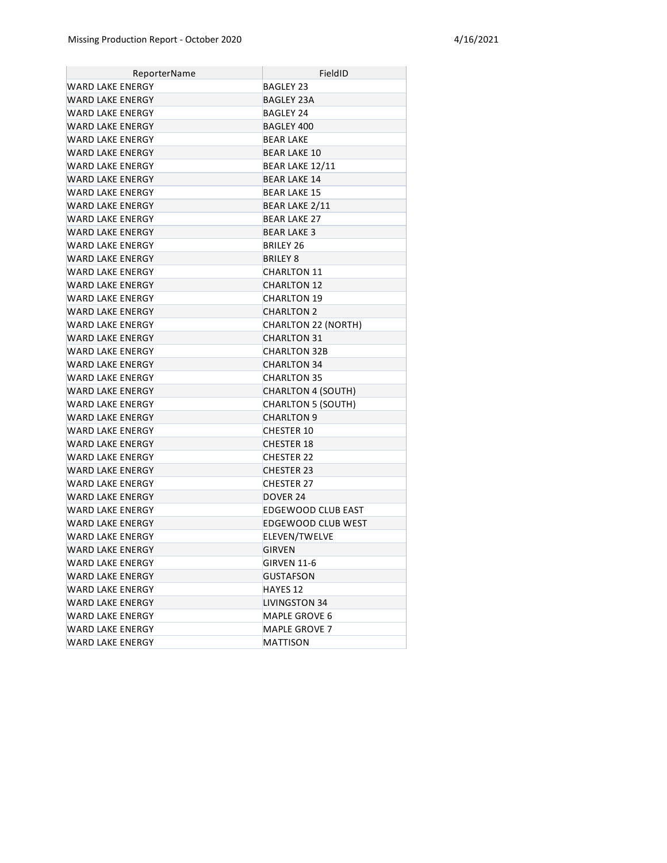| ReporterName            | FieldID                    |
|-------------------------|----------------------------|
| WARD LAKE ENERGY        | BAGLEY 23                  |
| WARD LAKE ENERGY        | <b>BAGLEY 23A</b>          |
| WARD LAKE ENERGY        | <b>BAGLEY 24</b>           |
| WARD LAKE ENERGY        | BAGLEY 400                 |
| WARD LAKE ENERGY        | <b>BEAR LAKE</b>           |
| WARD LAKE ENERGY        | <b>BEAR LAKE 10</b>        |
| WARD LAKE ENERGY        | BEAR LAKE 12/11            |
| WARD LAKE ENERGY        | <b>BEAR LAKE 14</b>        |
| WARD LAKE ENERGY        | <b>BEAR LAKE 15</b>        |
| WARD LAKE ENERGY        | BEAR LAKE 2/11             |
| WARD LAKE ENERGY        | <b>BEAR LAKE 27</b>        |
| WARD LAKE ENERGY        | <b>BEAR LAKE 3</b>         |
| WARD LAKE ENERGY        | BRILEY 26                  |
| WARD LAKE ENERGY        | <b>BRILEY 8</b>            |
| WARD LAKE ENERGY        | <b>CHARLTON 11</b>         |
| WARD LAKE ENERGY        | <b>CHARLTON 12</b>         |
| WARD LAKE ENERGY        | <b>CHARLTON 19</b>         |
| WARD LAKE ENERGY        | <b>CHARLTON 2</b>          |
| WARD LAKE ENERGY        | <b>CHARLTON 22 (NORTH)</b> |
| WARD LAKE ENERGY        | <b>CHARLTON 31</b>         |
| WARD LAKE ENERGY        | CHARLTON 32B               |
| <b>WARD LAKE ENERGY</b> | <b>CHARLTON 34</b>         |
| WARD LAKE ENERGY        | <b>CHARLTON 35</b>         |
| WARD LAKE ENERGY        | <b>CHARLTON 4 (SOUTH)</b>  |
| WARD LAKE ENERGY        | <b>CHARLTON 5 (SOUTH)</b>  |
| WARD LAKE ENERGY        | <b>CHARLTON 9</b>          |
| WARD LAKE ENERGY        | <b>CHESTER 10</b>          |
| <b>WARD LAKE ENERGY</b> | <b>CHESTER 18</b>          |
| WARD LAKE ENERGY        | <b>CHESTER 22</b>          |
| WARD LAKE ENERGY        | <b>CHESTER 23</b>          |
| WARD LAKE ENERGY        | CHESTER 27                 |
| <b>WARD LAKE ENERGY</b> | DOVER 24                   |
| <b>WARD LAKE ENERGY</b> | <b>EDGEWOOD CLUB EAST</b>  |
| WARD LAKE ENERGY        | EDGEWOOD CLUB WEST         |
| WARD LAKE ENERGY        | ELEVEN/TWELVE              |
| <b>WARD LAKE ENERGY</b> | <b>GIRVEN</b>              |
| WARD LAKE ENERGY        | <b>GIRVEN 11-6</b>         |
| WARD LAKE ENERGY        | GUSTAFSON                  |
| WARD LAKE ENERGY        | HAYES 12                   |
| WARD LAKE ENERGY        | <b>LIVINGSTON 34</b>       |
| WARD LAKE ENERGY        | MAPLE GROVE 6              |
| WARD LAKE ENERGY        | MAPLE GROVE 7              |
| WARD LAKE ENERGY        | <b>MATTISON</b>            |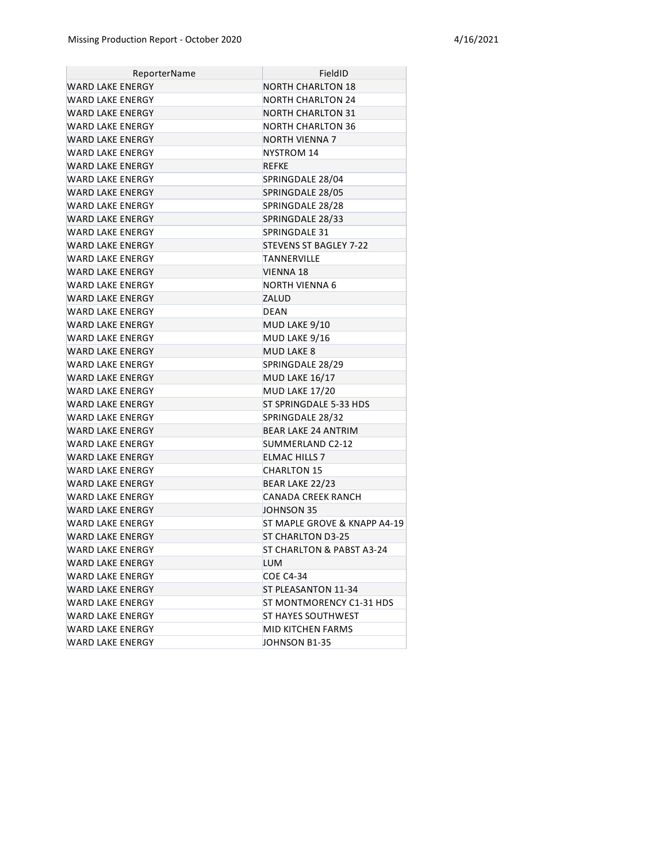| ReporterName            | FieldID                      |
|-------------------------|------------------------------|
| WARD LAKE ENERGY        | <b>NORTH CHARLTON 18</b>     |
| WARD LAKE ENERGY        | NORTH CHARLTON 24            |
| WARD LAKE ENERGY        | NORTH CHARLTON 31            |
| WARD LAKE ENERGY        | NORTH CHARLTON 36            |
| WARD LAKE ENERGY        | <b>NORTH VIENNA 7</b>        |
| WARD LAKE ENERGY        | NYSTROM 14                   |
| WARD LAKE ENERGY        | <b>REFKE</b>                 |
| WARD LAKE ENERGY        | SPRINGDALE 28/04             |
| WARD LAKE ENERGY        | SPRINGDALE 28/05             |
| <b>WARD LAKE ENERGY</b> | SPRINGDALE 28/28             |
| WARD LAKE ENERGY        | SPRINGDALE 28/33             |
| WARD LAKE ENERGY        | SPRINGDALE 31                |
| <b>WARD LAKE ENERGY</b> | STEVENS ST BAGLEY 7-22       |
| WARD LAKE ENERGY        | TANNERVILLE                  |
| <b>WARD LAKE ENERGY</b> | <b>VIENNA 18</b>             |
| WARD LAKE ENERGY        | NORTH VIENNA 6               |
| <b>WARD LAKE ENERGY</b> | ZALUD                        |
| WARD LAKE ENERGY        | <b>DEAN</b>                  |
| WARD LAKE ENERGY        | MUD LAKE 9/10                |
| WARD LAKE ENERGY        | MUD LAKE 9/16                |
| WARD LAKE ENERGY        | <b>MUD LAKE 8</b>            |
| WARD LAKE ENERGY        | SPRINGDALE 28/29             |
| WARD LAKE ENERGY        | <b>MUD LAKE 16/17</b>        |
| WARD LAKE ENERGY        | <b>MUD LAKE 17/20</b>        |
| WARD LAKE ENERGY        | ST SPRINGDALE 5-33 HDS       |
| WARD LAKE ENERGY        | SPRINGDALE 28/32             |
| WARD LAKE ENERGY        | <b>BEAR LAKE 24 ANTRIM</b>   |
| WARD LAKE ENERGY        | SUMMERLAND C2-12             |
| WARD LAKE ENERGY        | <b>ELMAC HILLS 7</b>         |
| WARD LAKE ENERGY        | <b>CHARLTON 15</b>           |
| <b>WARD LAKE ENERGY</b> | BEAR LAKE 22/23              |
| WARD LAKE ENERGY        | <b>CANADA CREEK RANCH</b>    |
| <b>WARD LAKE ENERGY</b> | JOHNSON 35                   |
| <b>WARD LAKE ENERGY</b> | ST MAPLE GROVE & KNAPP A4-19 |
| <b>WARD LAKE ENERGY</b> | <b>ST CHARLTON D3-25</b>     |
| WARD LAKE ENERGY        | ST CHARLTON & PABST A3-24    |
| WARD LAKE ENERGY        | <b>LUM</b>                   |
| WARD LAKE ENERGY        | <b>COE C4-34</b>             |
| WARD LAKE ENERGY        | ST PLEASANTON 11-34          |
| WARD LAKE ENERGY        | ST MONTMORENCY C1-31 HDS     |
| WARD LAKE ENERGY        | ST HAYES SOUTHWEST           |
| WARD LAKE ENERGY        | MID KITCHEN FARMS            |
| WARD LAKE ENERGY        | JOHNSON B1-35                |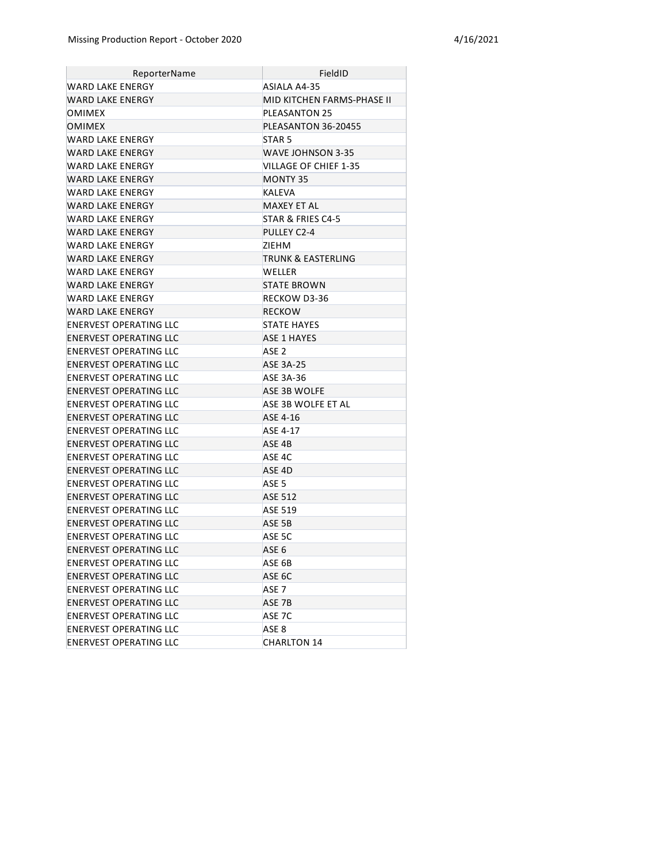| ReporterName                  | FieldID                    |
|-------------------------------|----------------------------|
| WARD LAKE ENERGY              | ASIALA A4-35               |
| <b>WARD LAKE ENERGY</b>       | MID KITCHEN FARMS-PHASE II |
| OMIMEX                        | <b>PLEASANTON 25</b>       |
| <b>OMIMEX</b>                 | PLEASANTON 36-20455        |
| WARD LAKE ENERGY              | STAR <sub>5</sub>          |
| WARD LAKE ENERGY              | WAVE JOHNSON 3-35          |
| WARD LAKE ENERGY              | VILLAGE OF CHIEF 1-35      |
| <b>WARD LAKE ENERGY</b>       | MONTY 35                   |
| WARD LAKE ENERGY              | <b>KALEVA</b>              |
| <b>WARD LAKE ENERGY</b>       | MAXEY ET AL                |
| WARD LAKE ENERGY              | STAR & FRIES C4-5          |
| WARD LAKE ENERGY              | PULLEY C2-4                |
| WARD LAKE ENERGY              | ZIEHM                      |
| WARD LAKE ENERGY              | TRUNK & EASTERLING         |
| WARD LAKE ENERGY              | WELLER                     |
| <b>WARD LAKE ENERGY</b>       | <b>STATE BROWN</b>         |
| WARD LAKE ENERGY              | RECKOW D3-36               |
| WARD LAKE ENERGY              | <b>RECKOW</b>              |
| <b>ENERVEST OPERATING LLC</b> | <b>STATE HAYES</b>         |
| ENERVEST OPERATING LLC        | <b>ASE 1 HAYES</b>         |
| ENERVEST OPERATING LLC        | ASE <sub>2</sub>           |
| <b>ENERVEST OPERATING LLC</b> | <b>ASE 3A-25</b>           |
| ENERVEST OPERATING LLC        | ASE 3A-36                  |
| <b>ENERVEST OPERATING LLC</b> | ASE 3B WOLFE               |
| ENERVEST OPERATING LLC        | ASE 3B WOLFE ET AL         |
| ENERVEST OPERATING LLC        | ASE 4-16                   |
| ENERVEST OPERATING LLC        | ASE 4-17                   |
| <b>ENERVEST OPERATING LLC</b> | ASE 4B                     |
| ENERVEST OPERATING LLC        | ASE 4C                     |
| ENERVEST OPERATING LLC        | ASE 4D                     |
| ENERVEST OPERATING LLC        | ASE <sub>5</sub>           |
| ENERVEST OPERATING LLC        | <b>ASE 512</b>             |
| ENERVEST OPERATING LLC        | <b>ASE 519</b>             |
| ENERVEST OPERATING LLC        | ASE 5B                     |
| ENERVEST OPERATING LLC        | ASE 5C                     |
| <b>ENERVEST OPERATING LLC</b> | ASE <sub>6</sub>           |
| ENERVEST OPERATING LLC        | ASE 6B                     |
| <b>ENERVEST OPERATING LLC</b> | ASE 6C                     |
| ENERVEST OPERATING LLC        | ASE 7                      |
| <b>ENERVEST OPERATING LLC</b> | ASE 7B                     |
| ENERVEST OPERATING LLC        | ASE 7C                     |
| <b>ENERVEST OPERATING LLC</b> | ASE <sub>8</sub>           |
| ENERVEST OPERATING LLC        | <b>CHARLTON 14</b>         |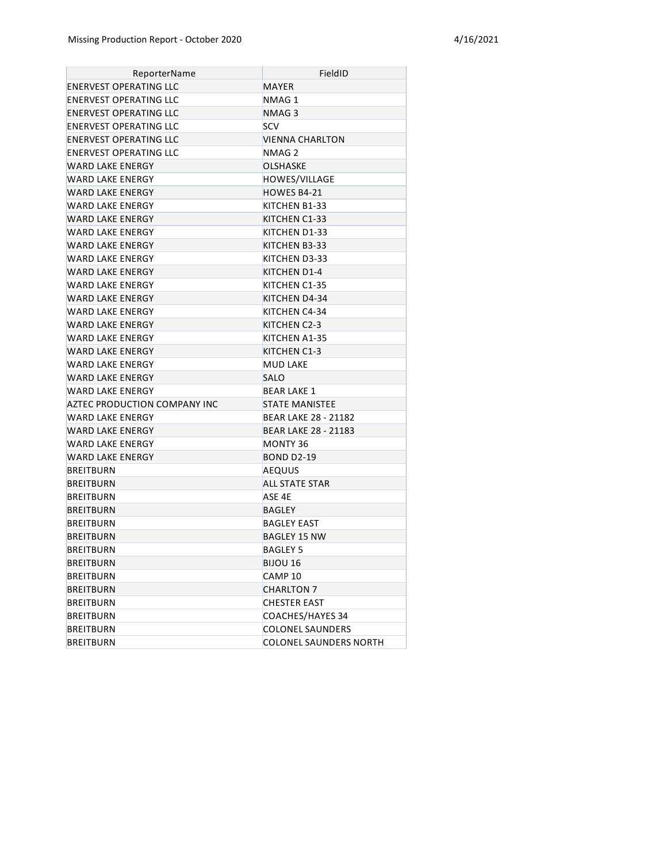| ReporterName                  | FieldID                       |
|-------------------------------|-------------------------------|
| ENERVEST OPERATING LLC        | <b>MAYER</b>                  |
| <b>ENERVEST OPERATING LLC</b> | NMAG1                         |
| ENERVEST OPERATING LLC        | NMAG 3                        |
| <b>ENERVEST OPERATING LLC</b> | <b>SCV</b>                    |
| ENERVEST OPERATING LLC        | VIENNA CHARLTON               |
| ENERVEST OPERATING LLC        | NMAG 2                        |
| WARD LAKE ENERGY              | <b>OLSHASKE</b>               |
| WARD LAKE ENERGY              | HOWES/VILLAGE                 |
| WARD LAKE ENERGY              | HOWES B4-21                   |
| WARD LAKE ENERGY              | KITCHEN B1-33                 |
| WARD LAKE ENERGY              | KITCHEN C1-33                 |
| WARD LAKE ENERGY              | KITCHEN D1-33                 |
| WARD LAKE ENERGY              | KITCHEN B3-33                 |
| WARD LAKE ENERGY              | KITCHEN D3-33                 |
| WARD LAKE ENERGY              | KITCHEN D1-4                  |
| WARD LAKE ENERGY              | KITCHEN C1-35                 |
| WARD LAKE ENERGY              | KITCHEN D4-34                 |
| WARD LAKE ENERGY              | KITCHEN C4-34                 |
| WARD LAKE ENERGY              | KITCHEN C2-3                  |
| WARD LAKE ENERGY              | KITCHEN A1-35                 |
| WARD LAKE ENERGY              | KITCHEN C1-3                  |
| <b>WARD LAKE ENERGY</b>       | <b>MUD LAKE</b>               |
| <b>WARD LAKE ENERGY</b>       | <b>SALO</b>                   |
| <b>WARD LAKE ENERGY</b>       | <b>BEAR LAKE 1</b>            |
| AZTEC PRODUCTION COMPANY INC  | <b>STATE MANISTEE</b>         |
| WARD LAKE ENERGY              | BEAR LAKE 28 - 21182          |
| WARD LAKE ENERGY              | <b>BEAR LAKE 28 - 21183</b>   |
| WARD LAKE ENERGY              | <b>MONTY 36</b>               |
| WARD LAKE ENERGY              | <b>BOND D2-19</b>             |
| <b>BREITBURN</b>              | AEQUUS                        |
| <b>BREITBURN</b>              | ALL STATE STAR                |
| <b>BREITBURN</b>              | ASE 4E                        |
| <b>BREITBURN</b>              | BAGLEY                        |
| BREITBURN                     | BAGLEY EAST                   |
| <b>BREITBURN</b>              | BAGLEY 15 NW                  |
| <b>BREITBURN</b>              | <b>BAGLEY 5</b>               |
| <b>BREITBURN</b>              | BIJOU 16                      |
| BREITBURN                     | CAMP 10                       |
| <b>BREITBURN</b>              | <b>CHARLTON 7</b>             |
| BREITBURN                     | <b>CHESTER EAST</b>           |
| BREITBURN                     | COACHES/HAYES 34              |
| <b>BREITBURN</b>              | <b>COLONEL SAUNDERS</b>       |
| <b>BREITBURN</b>              | <b>COLONEL SAUNDERS NORTH</b> |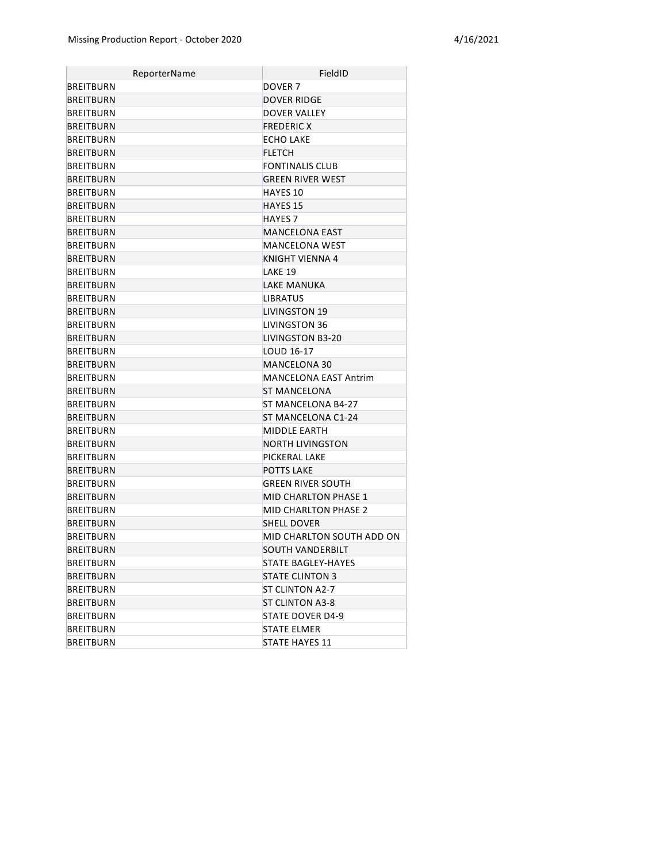| ReporterName     | FieldID                      |
|------------------|------------------------------|
| <b>BREITBURN</b> | DOVER <sub>7</sub>           |
| <b>BREITBURN</b> | <b>DOVER RIDGE</b>           |
| BREITBURN        | DOVER VALLEY                 |
| <b>BREITBURN</b> | <b>FREDERIC X</b>            |
| <b>BREITBURN</b> | <b>ECHO LAKE</b>             |
| <b>BREITBURN</b> | <b>FLETCH</b>                |
| <b>BREITBURN</b> | FONTINALIS CLUB              |
| <b>BREITBURN</b> | <b>GREEN RIVER WEST</b>      |
| <b>BREITBURN</b> | <b>HAYES 10</b>              |
| <b>BREITBURN</b> | <b>HAYES 15</b>              |
| <b>BREITBURN</b> | <b>HAYES 7</b>               |
| <b>BREITBURN</b> | <b>MANCELONA EAST</b>        |
| <b>BREITBURN</b> | MANCELONA WEST               |
| <b>BREITBURN</b> | KNIGHT VIENNA 4              |
| <b>BREITBURN</b> | LAKE 19                      |
| <b>BREITBURN</b> | <b>LAKE MANUKA</b>           |
| <b>BREITBURN</b> | <b>LIBRATUS</b>              |
| <b>BREITBURN</b> | <b>LIVINGSTON 19</b>         |
| <b>BREITBURN</b> | <b>LIVINGSTON 36</b>         |
| <b>BREITBURN</b> | LIVINGSTON B3-20             |
| <b>BREITBURN</b> | LOUD 16-17                   |
| <b>BREITBURN</b> | <b>MANCELONA 30</b>          |
| <b>BREITBURN</b> | <b>MANCELONA EAST Antrim</b> |
| <b>BREITBURN</b> | <b>ST MANCELONA</b>          |
| <b>BREITBURN</b> | ST MANCELONA B4-27           |
| <b>BREITBURN</b> | ST MANCELONA C1-24           |
| <b>BREITBURN</b> | MIDDLE EARTH                 |
| <b>BREITBURN</b> | <b>NORTH LIVINGSTON</b>      |
| <b>BREITBURN</b> | PICKERAL LAKE                |
| <b>BREITBURN</b> | <b>POTTS LAKE</b>            |
| BREITBURN        | <b>GREEN RIVER SOUTH</b>     |
| <b>BREITBURN</b> | <b>MID CHARLTON PHASE 1</b>  |
| BREITBURN        | <b>MID CHARLTON PHASE 2</b>  |
| <b>BREITBURN</b> | <b>SHELL DOVER</b>           |
| <b>BREITBURN</b> | MID CHARLTON SOUTH ADD ON    |
| <b>BREITBURN</b> | SOUTH VANDERBILT             |
| BREITBURN        | STATE BAGLEY-HAYES           |
| <b>BREITBURN</b> | <b>STATE CLINTON 3</b>       |
| BREITBURN        | ST CLINTON A2-7              |
| <b>BREITBURN</b> | <b>ST CLINTON A3-8</b>       |
| BREITBURN        | STATE DOVER D4-9             |
| BREITBURN        | <b>STATE ELMER</b>           |
| BREITBURN        | STATE HAYES 11               |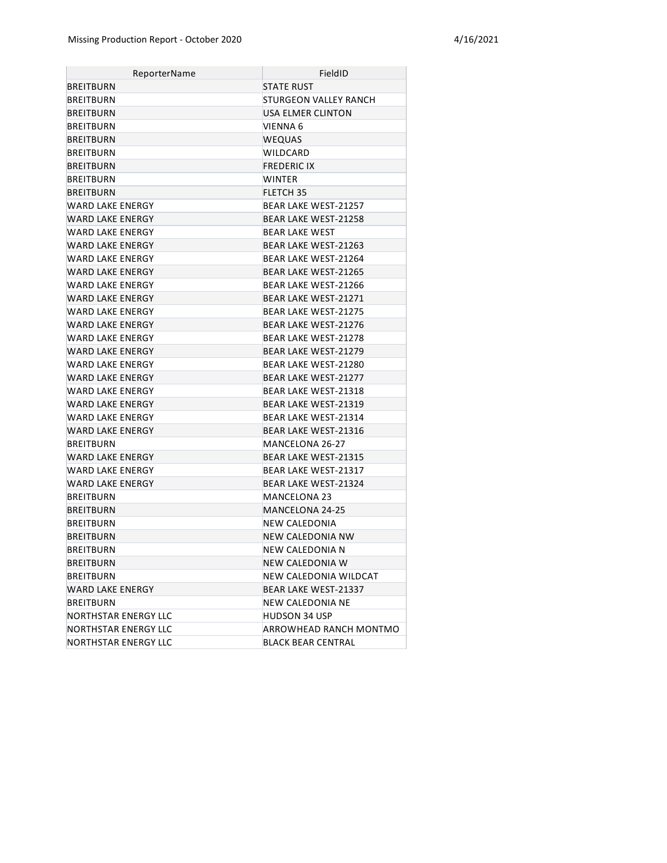| ReporterName            | FieldID                      |
|-------------------------|------------------------------|
| <b>BREITBURN</b>        | <b>STATE RUST</b>            |
| <b>BREITBURN</b>        | <b>STURGEON VALLEY RANCH</b> |
| <b>BREITBURN</b>        | USA ELMER CLINTON            |
| <b>BREITBURN</b>        | VIENNA 6                     |
| <b>BREITBURN</b>        | WEQUAS                       |
| <b>BREITBURN</b>        | WILDCARD                     |
| <b>BREITBURN</b>        | <b>FREDERIC IX</b>           |
| <b>BREITBURN</b>        | WINTER                       |
| <b>BREITBURN</b>        | <b>FLETCH 35</b>             |
| WARD LAKE ENERGY        | <b>BEAR LAKE WEST-21257</b>  |
| WARD LAKE ENERGY        | <b>BEAR LAKE WEST-21258</b>  |
| WARD LAKE ENERGY        | <b>BEAR LAKE WEST</b>        |
| WARD LAKE ENERGY        | BEAR LAKE WEST-21263         |
| WARD LAKE ENERGY        | BEAR LAKE WEST-21264         |
| <b>WARD LAKE ENERGY</b> | BEAR LAKE WEST-21265         |
| WARD LAKE ENERGY        | BEAR LAKE WEST-21266         |
| WARD LAKE ENERGY        | <b>BEAR LAKE WEST-21271</b>  |
| WARD LAKE ENERGY        | <b>BEAR LAKE WEST-21275</b>  |
| <b>WARD LAKE ENERGY</b> | <b>BEAR LAKE WEST-21276</b>  |
| WARD LAKE ENERGY        | BEAR LAKE WEST-21278         |
| WARD LAKE ENERGY        | <b>BEAR LAKE WEST-21279</b>  |
| WARD LAKE ENERGY        | BEAR LAKE WEST-21280         |
| WARD LAKE ENERGY        | <b>BEAR LAKE WEST-21277</b>  |
| WARD LAKE ENERGY        | BEAR LAKE WEST-21318         |
| WARD LAKE ENERGY        | <b>BEAR LAKE WEST-21319</b>  |
| WARD LAKE ENERGY        | BEAR LAKE WEST-21314         |
| WARD LAKE ENERGY        | <b>BEAR LAKE WEST-21316</b>  |
| <b>BREITBURN</b>        | MANCELONA 26-27              |
| WARD LAKE ENERGY        | <b>BEAR LAKE WEST-21315</b>  |
| WARD LAKE ENERGY        | BEAR LAKE WEST-21317         |
| WARD LAKE ENERGY        | <b>BEAR LAKE WEST-21324</b>  |
| <b>BREITBURN</b>        | MANCELONA 23                 |
| <b>BREITBURN</b>        | MANCELONA 24-25              |
| <b>BREITBURN</b>        | NEW CALEDONIA                |
| <b>BREITBURN</b>        | <b>NEW CALEDONIA NW</b>      |
| <b>BREITBURN</b>        | NEW CALEDONIA N              |
| <b>BREITBURN</b>        | NEW CALEDONIA W              |
| BREITBURN               | NEW CALEDONIA WILDCAT        |
| WARD LAKE ENERGY        | BEAR LAKE WEST-21337         |
| BREITBURN               | NEW CALEDONIA NE             |
| NORTHSTAR ENERGY LLC    | HUDSON 34 USP                |
| NORTHSTAR ENERGY LLC    | ARROWHEAD RANCH MONTMO       |
| NORTHSTAR ENERGY LLC    | <b>BLACK BEAR CENTRAL</b>    |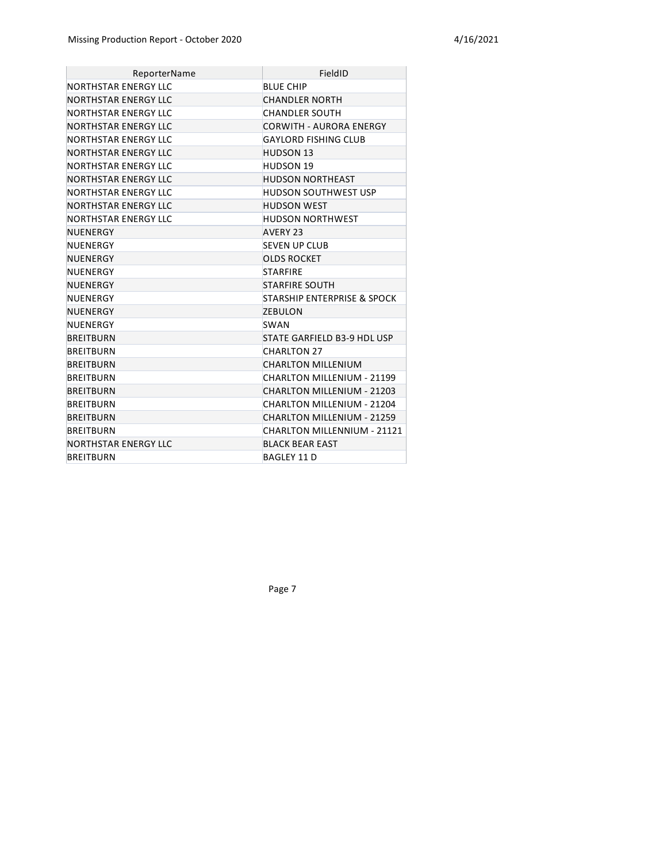| ReporterName         | FieldID                                |
|----------------------|----------------------------------------|
| NORTHSTAR ENERGY LLC | <b>BLUE CHIP</b>                       |
| NORTHSTAR ENERGY LLC | <b>CHANDLER NORTH</b>                  |
| NORTHSTAR ENERGY LLC | <b>CHANDLER SOUTH</b>                  |
| NORTHSTAR ENERGY LLC | <b>CORWITH - AURORA ENERGY</b>         |
| NORTHSTAR ENERGY LLC | <b>GAYLORD FISHING CLUB</b>            |
| NORTHSTAR ENERGY LLC | <b>HUDSON 13</b>                       |
| NORTHSTAR ENERGY LLC | <b>HUDSON 19</b>                       |
| NORTHSTAR ENERGY LLC | <b>HUDSON NORTHEAST</b>                |
| NORTHSTAR ENERGY LLC | <b>HUDSON SOUTHWEST USP</b>            |
| NORTHSTAR ENERGY LLC | <b>HUDSON WEST</b>                     |
| NORTHSTAR ENERGY LLC | <b>HUDSON NORTHWEST</b>                |
| NUENERGY             | AVERY 23                               |
| NUENERGY             | <b>SEVEN UP CLUB</b>                   |
| NUENERGY             | <b>OLDS ROCKET</b>                     |
| NUENERGY             | <b>STARFIRE</b>                        |
| NUENERGY             | <b>STARFIRE SOUTH</b>                  |
| NUENERGY             | <b>STARSHIP ENTERPRISE &amp; SPOCK</b> |
| NUENERGY             | <b>ZEBULON</b>                         |
| NUENERGY             | SWAN                                   |
| <b>BREITBURN</b>     | STATE GARFIELD B3-9 HDL USP            |
| <b>BREITBURN</b>     | <b>CHARLTON 27</b>                     |
| <b>BREITBURN</b>     | <b>CHARLTON MILLENIUM</b>              |
| <b>BREITBURN</b>     | CHARLTON MILLENIUM - 21199             |
| <b>BREITBURN</b>     | CHARLTON MILLENIUM - 21203             |
| <b>BREITBURN</b>     | CHARLTON MILLENIUM - 21204             |
| <b>BREITBURN</b>     | <b>CHARLTON MILLENIUM - 21259</b>      |
| <b>BREITBURN</b>     | CHARLTON MILLENNIUM - 21121            |
| NORTHSTAR ENERGY LLC | <b>BLACK BEAR EAST</b>                 |
| <b>BREITBURN</b>     | <b>BAGLEY 11 D</b>                     |

Page 7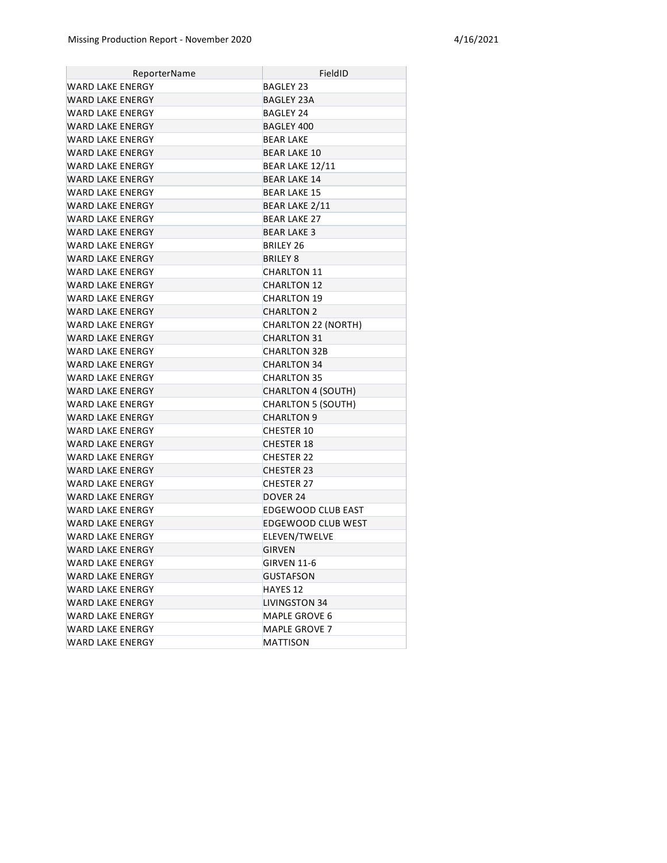| ReporterName            | FieldID                    |
|-------------------------|----------------------------|
| WARD LAKE ENERGY        | <b>BAGLEY 23</b>           |
| <b>WARD LAKE ENERGY</b> | <b>BAGLEY 23A</b>          |
| WARD LAKE ENERGY        | <b>BAGLEY 24</b>           |
| WARD LAKE ENERGY        | BAGLEY 400                 |
| WARD LAKE ENERGY        | <b>BEAR LAKE</b>           |
| WARD LAKE ENERGY        | <b>BEAR LAKE 10</b>        |
| WARD LAKE ENERGY        | BEAR LAKE 12/11            |
| WARD LAKE ENERGY        | <b>BEAR LAKE 14</b>        |
| WARD LAKE ENERGY        | <b>BEAR LAKE 15</b>        |
| WARD LAKE ENERGY        | BEAR LAKE 2/11             |
| WARD LAKE ENERGY        | <b>BEAR LAKE 27</b>        |
| WARD LAKE ENERGY        | <b>BEAR LAKE 3</b>         |
| WARD LAKE ENERGY        | BRILEY 26                  |
| WARD LAKE ENERGY        | BRILEY 8                   |
| WARD LAKE ENERGY        | <b>CHARLTON 11</b>         |
| <b>WARD LAKE ENERGY</b> | <b>CHARLTON 12</b>         |
| WARD LAKE ENERGY        | <b>CHARLTON 19</b>         |
| WARD LAKE ENERGY        | <b>CHARLTON 2</b>          |
| WARD LAKE ENERGY        | <b>CHARLTON 22 (NORTH)</b> |
| WARD LAKE ENERGY        | <b>CHARLTON 31</b>         |
| WARD LAKE ENERGY        | <b>CHARLTON 32B</b>        |
| <b>WARD LAKE ENERGY</b> | <b>CHARLTON 34</b>         |
| WARD LAKE ENERGY        | <b>CHARLTON 35</b>         |
| <b>WARD LAKE ENERGY</b> | <b>CHARLTON 4 (SOUTH)</b>  |
| WARD LAKE ENERGY        | <b>CHARLTON 5 (SOUTH)</b>  |
| WARD LAKE ENERGY        | <b>CHARLTON 9</b>          |
| WARD LAKE ENERGY        | <b>CHESTER 10</b>          |
| WARD LAKE ENERGY        | <b>CHESTER 18</b>          |
| WARD LAKE ENERGY        | <b>CHESTER 22</b>          |
| <b>WARD LAKE ENERGY</b> | <b>CHESTER 23</b>          |
| WARD LAKE ENERGY        | <b>CHESTER 27</b>          |
| <b>WARD LAKE ENERGY</b> | DOVER 24                   |
| WARD LAKE ENERGY        | EDGEWOOD CLUB EAST         |
| WARD LAKE ENERGY        | <b>EDGEWOOD CLUB WEST</b>  |
| <b>WARD LAKE ENERGY</b> | ELEVEN/TWELVE              |
| <b>WARD LAKE ENERGY</b> | <b>GIRVEN</b>              |
| WARD LAKE ENERGY        | GIRVEN 11-6                |
| WARD LAKE ENERGY        | <b>GUSTAFSON</b>           |
| WARD LAKE ENERGY        | HAYES 12                   |
| <b>WARD LAKE ENERGY</b> | <b>LIVINGSTON 34</b>       |
| WARD LAKE ENERGY        | MAPLE GROVE 6              |
| WARD LAKE ENERGY        | <b>MAPLE GROVE 7</b>       |
| <b>WARD LAKE ENERGY</b> | MATTISON                   |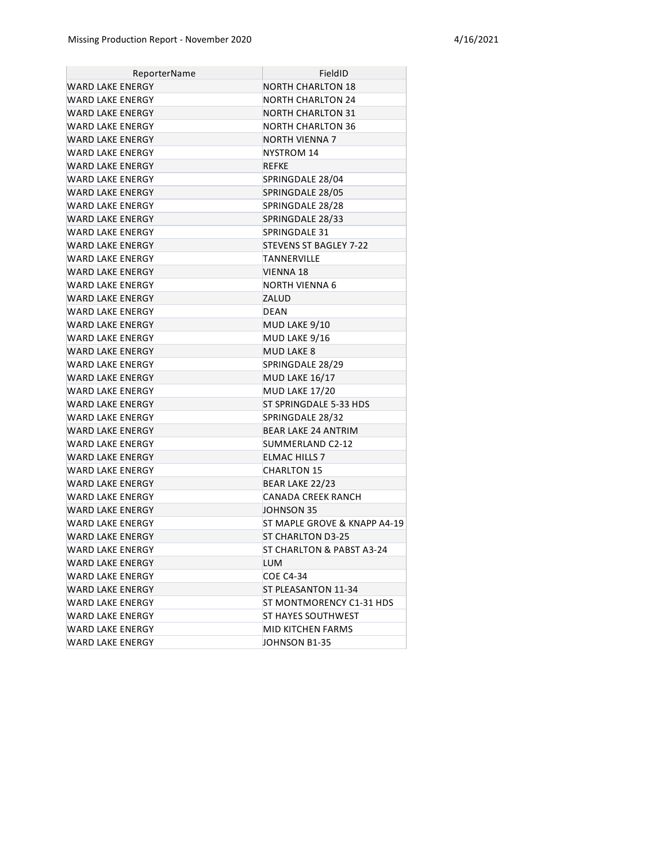| ReporterName            | FieldID                      |
|-------------------------|------------------------------|
| WARD LAKE ENERGY        | <b>NORTH CHARLTON 18</b>     |
| WARD LAKE ENERGY        | <b>NORTH CHARLTON 24</b>     |
| <b>WARD LAKE ENERGY</b> | NORTH CHARLTON 31            |
| WARD LAKE ENERGY        | NORTH CHARLTON 36            |
| <b>WARD LAKE ENERGY</b> | NORTH VIENNA 7               |
| WARD LAKE ENERGY        | NYSTROM 14                   |
| <b>WARD LAKE ENERGY</b> | <b>REFKE</b>                 |
| WARD LAKE ENERGY        | SPRINGDALE 28/04             |
| <b>WARD LAKE ENERGY</b> | SPRINGDALE 28/05             |
| <b>WARD LAKE ENERGY</b> | SPRINGDALE 28/28             |
| WARD LAKE ENERGY        | SPRINGDALE 28/33             |
| WARD LAKE ENERGY        | SPRINGDALE 31                |
| WARD LAKE ENERGY        | STEVENS ST BAGLEY 7-22       |
| WARD LAKE ENERGY        | <b>TANNERVILLE</b>           |
| WARD LAKE ENERGY        | <b>VIENNA 18</b>             |
| WARD LAKE ENERGY        | NORTH VIENNA 6               |
| <b>WARD LAKE ENERGY</b> | ZALUD                        |
| WARD LAKE ENERGY        | <b>DEAN</b>                  |
| WARD LAKE ENERGY        | MUD LAKE 9/10                |
| WARD LAKE ENERGY        | MUD LAKE 9/16                |
| WARD LAKE ENERGY        | <b>MUD LAKE 8</b>            |
| WARD LAKE ENERGY        | SPRINGDALE 28/29             |
| WARD LAKE ENERGY        | <b>MUD LAKE 16/17</b>        |
| WARD LAKE ENERGY        | MUD LAKE 17/20               |
| WARD LAKE ENERGY        | ST SPRINGDALE 5-33 HDS       |
| WARD LAKE ENERGY        | SPRINGDALE 28/32             |
| WARD LAKE ENERGY        | <b>BEAR LAKE 24 ANTRIM</b>   |
| WARD LAKE ENERGY        | SUMMERLAND C2-12             |
| WARD LAKE ENERGY        | <b>ELMAC HILLS 7</b>         |
| WARD LAKE ENERGY        | <b>CHARLTON 15</b>           |
| <b>WARD LAKE ENERGY</b> | BEAR LAKE 22/23              |
| WARD LAKE ENERGY        | <b>CANADA CREEK RANCH</b>    |
| <b>WARD LAKE ENERGY</b> | JOHNSON 35                   |
| <b>WARD LAKE ENERGY</b> | ST MAPLE GROVE & KNAPP A4-19 |
| <b>WARD LAKE ENERGY</b> | <b>ST CHARLTON D3-25</b>     |
| WARD LAKE ENERGY        | ST CHARLTON & PABST A3-24    |
| WARD LAKE ENERGY        | <b>LUM</b>                   |
| WARD LAKE ENERGY        | <b>COE C4-34</b>             |
| WARD LAKE ENERGY        | ST PLEASANTON 11-34          |
| WARD LAKE ENERGY        | ST MONTMORENCY C1-31 HDS     |
| WARD LAKE ENERGY        | ST HAYES SOUTHWEST           |
| WARD LAKE ENERGY        | MID KITCHEN FARMS            |
| WARD LAKE ENERGY        | JOHNSON B1-35                |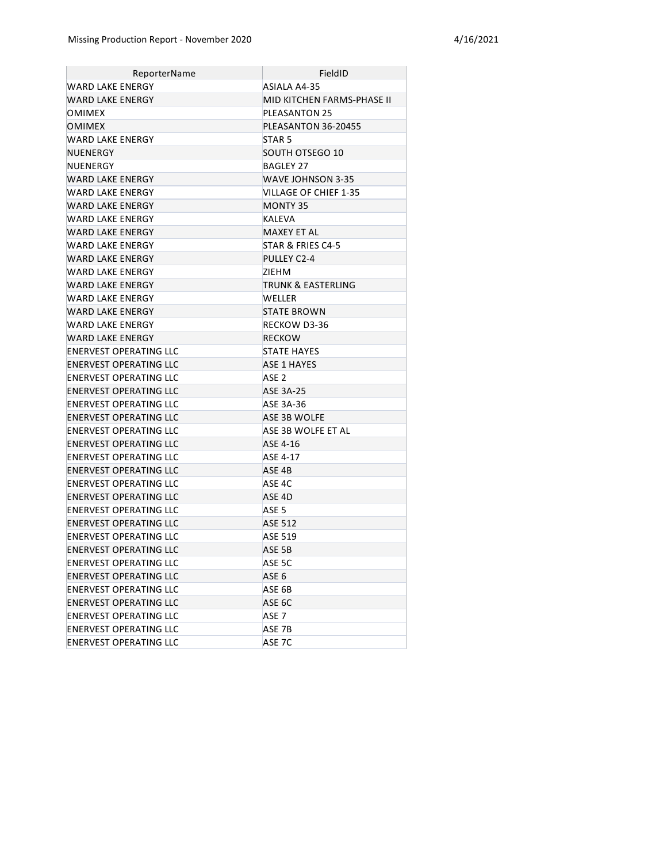| ReporterName                  | FieldID                    |
|-------------------------------|----------------------------|
| WARD LAKE ENERGY              | ASIALA A4-35               |
| WARD LAKE ENERGY              | MID KITCHEN FARMS-PHASE II |
| OMIMEX                        | <b>PLEASANTON 25</b>       |
| <b>OMIMEX</b>                 | PLEASANTON 36-20455        |
| WARD LAKE ENERGY              | STAR <sub>5</sub>          |
| NUENERGY                      | SOUTH OTSEGO 10            |
| NUENERGY                      | <b>BAGLEY 27</b>           |
| WARD LAKE ENERGY              | WAVE JOHNSON 3-35          |
| WARD LAKE ENERGY              | VILLAGE OF CHIEF 1-35      |
| <b>WARD LAKE ENERGY</b>       | <b>MONTY 35</b>            |
| WARD LAKE ENERGY              | <b>KALEVA</b>              |
| WARD LAKE ENERGY              | <b>MAXEY ET AL</b>         |
| WARD LAKE ENERGY              | STAR & FRIES C4-5          |
| WARD LAKE ENERGY              | PULLEY C2-4                |
| WARD LAKE ENERGY              | ZIEHM                      |
| <b>WARD LAKE ENERGY</b>       | TRUNK & EASTERLING         |
| WARD LAKE ENERGY              | <b>WELLER</b>              |
| <b>WARD LAKE ENERGY</b>       | <b>STATE BROWN</b>         |
| WARD LAKE ENERGY              | RECKOW D3-36               |
| WARD LAKE ENERGY              | <b>RECKOW</b>              |
| ENERVEST OPERATING LLC        | STATE HAYES                |
| <b>ENERVEST OPERATING LLC</b> | <b>ASE 1 HAYES</b>         |
| ENERVEST OPERATING LLC        | ASE <sub>2</sub>           |
| <b>ENERVEST OPERATING LLC</b> | <b>ASE 3A-25</b>           |
| ENERVEST OPERATING LLC        | ASE 3A-36                  |
| ENERVEST OPERATING LLC        | ASE 3B WOLFE               |
| ENERVEST OPERATING LLC        | ASE 3B WOLFE ET AL         |
| <b>ENERVEST OPERATING LLC</b> | ASE 4-16                   |
| ENERVEST OPERATING LLC        | ASE 4-17                   |
| ENERVEST OPERATING LLC        | ASE 4B                     |
| ENERVEST OPERATING LLC        | ASE 4C                     |
| <b>ENERVEST OPERATING LLC</b> | ASE <sub>4D</sub>          |
| ENERVEST OPERATING LLC        | ASE <sub>5</sub>           |
| ENERVEST OPERATING LLC        | <b>ASE 512</b>             |
| ENERVEST OPERATING LLC        | <b>ASE 519</b>             |
| <b>ENERVEST OPERATING LLC</b> | ASE 5B                     |
| ENERVEST OPERATING LLC        | ASE 5C                     |
| <b>ENERVEST OPERATING LLC</b> | ASE <sub>6</sub>           |
| ENERVEST OPERATING LLC        | ASE 6B                     |
| <b>ENERVEST OPERATING LLC</b> | ASE 6C                     |
| <b>ENERVEST OPERATING LLC</b> | ASE 7                      |
| ENERVEST OPERATING LLC        | ASE 7B                     |
| ENERVEST OPERATING LLC        | ASE 7C                     |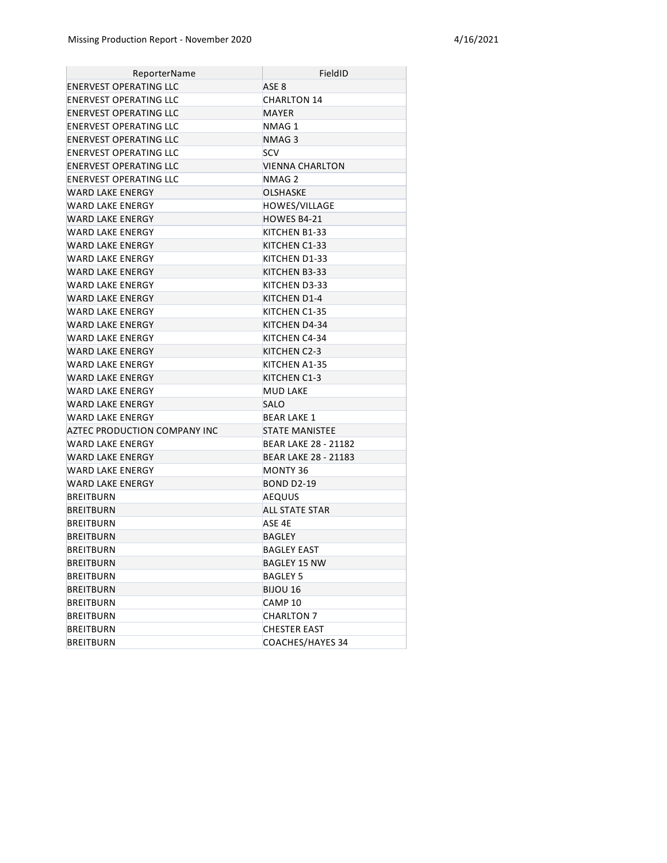| ReporterName                  | FieldID                     |
|-------------------------------|-----------------------------|
| ENERVEST OPERATING LLC        | ASE <sub>8</sub>            |
| ENERVEST OPERATING LLC        | <b>CHARLTON 14</b>          |
| ENERVEST OPERATING LLC        | MAYER                       |
| ENERVEST OPERATING LLC        | NMAG 1                      |
| ENERVEST OPERATING LLC        | NMAG 3                      |
| ENERVEST OPERATING LLC        | <b>SCV</b>                  |
| <b>ENERVEST OPERATING LLC</b> | VIENNA CHARLTON             |
| ENERVEST OPERATING LLC        | NMAG 2                      |
| WARD LAKE ENERGY              | <b>OLSHASKE</b>             |
| WARD LAKE ENERGY              | <b>HOWES/VILLAGE</b>        |
| WARD LAKE ENERGY              | HOWES B4-21                 |
| WARD LAKE ENERGY              | KITCHEN B1-33               |
| WARD LAKE ENERGY              | KITCHEN C1-33               |
| WARD LAKE ENERGY              | KITCHEN D1-33               |
| WARD LAKE ENERGY              | KITCHEN B3-33               |
| WARD LAKE ENERGY              | KITCHEN D3-33               |
| WARD LAKE ENERGY              | KITCHEN D1-4                |
| WARD LAKE ENERGY              | KITCHEN C1-35               |
| <b>WARD LAKE ENERGY</b>       | KITCHEN D4-34               |
| WARD LAKE ENERGY              | KITCHEN C4-34               |
| WARD LAKE ENERGY              | KITCHEN C2-3                |
| WARD LAKE ENERGY              | KITCHEN A1-35               |
| WARD LAKE ENERGY              | KITCHEN C1-3                |
| <b>WARD LAKE ENERGY</b>       | <b>MUD LAKE</b>             |
| WARD LAKE ENERGY              | <b>SALO</b>                 |
| WARD LAKE ENERGY              | <b>BEAR LAKE 1</b>          |
| AZTEC PRODUCTION COMPANY INC  | <b>STATE MANISTEE</b>       |
| WARD LAKE ENERGY              | <b>BEAR LAKE 28 - 21182</b> |
| WARD LAKE ENERGY              | <b>BEAR LAKE 28 - 21183</b> |
| WARD LAKE ENERGY              | <b>MONTY 36</b>             |
| WARD LAKE ENERGY              | <b>BOND D2-19</b>           |
| <b>BREITBURN</b>              | <b>AEQUUS</b>               |
| <b>BREITBURN</b>              | <b>ALL STATE STAR</b>       |
| <b>BREITBURN</b>              | ASE 4E                      |
| <b>BREITBURN</b>              | BAGLEY                      |
| <b>BREITBURN</b>              | <b>BAGLEY EAST</b>          |
| <b>BREITBURN</b>              | <b>BAGLEY 15 NW</b>         |
| BREITBURN                     | BAGLEY 5                    |
| <b>BREITBURN</b>              | BIJOU 16                    |
| BREITBURN                     | CAMP <sub>10</sub>          |
| <b>BREITBURN</b>              | <b>CHARLTON 7</b>           |
| <b>BREITBURN</b>              | <b>CHESTER EAST</b>         |
| <b>BREITBURN</b>              | COACHES/HAYES 34            |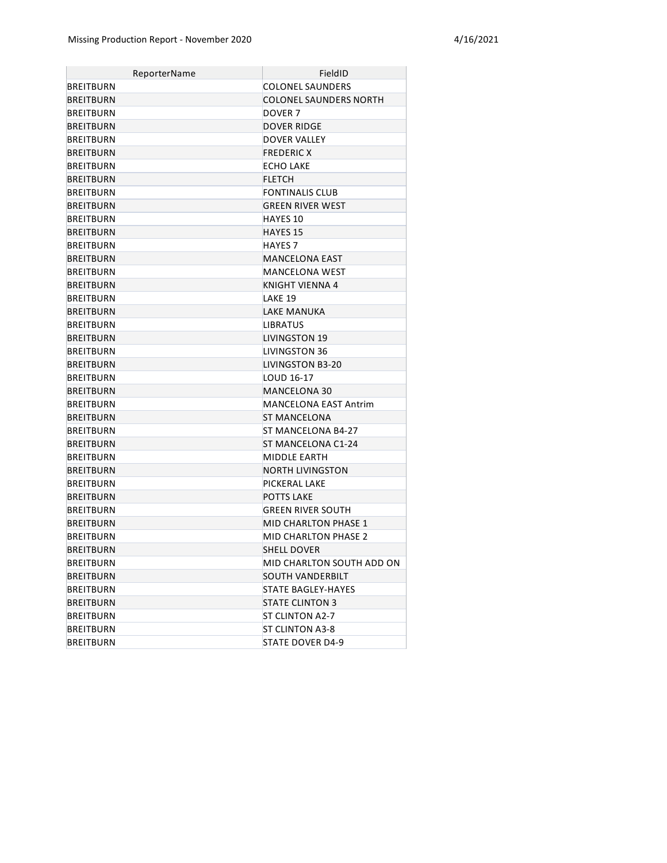| ReporterName     | FieldID                       |
|------------------|-------------------------------|
| BREITBURN        | COLONEL SAUNDERS              |
| <b>BREITBURN</b> | <b>COLONEL SAUNDERS NORTH</b> |
| <b>BREITBURN</b> | DOVER <sub>7</sub>            |
| <b>BREITBURN</b> | <b>DOVER RIDGE</b>            |
| BREITBURN        | <b>DOVER VALLEY</b>           |
| BREITBURN        | <b>FREDERIC X</b>             |
| BREITBURN        | <b>ECHO LAKE</b>              |
| BREITBURN        | <b>FLETCH</b>                 |
| <b>BREITBURN</b> | <b>FONTINALIS CLUB</b>        |
| BREITBURN        | <b>GREEN RIVER WEST</b>       |
| BREITBURN        | <b>HAYES 10</b>               |
| <b>BREITBURN</b> | <b>HAYES 15</b>               |
| BREITBURN        | <b>HAYES 7</b>                |
| BREITBURN        | <b>MANCELONA EAST</b>         |
| BREITBURN        | MANCELONA WEST                |
| BREITBURN        | KNIGHT VIENNA 4               |
| BREITBURN        | LAKE 19                       |
| BREITBURN        | LAKE MANUKA                   |
| BREITBURN        | <b>LIBRATUS</b>               |
| <b>BREITBURN</b> | LIVINGSTON 19                 |
| <b>BREITBURN</b> | LIVINGSTON 36                 |
| <b>BREITBURN</b> | LIVINGSTON B3-20              |
| <b>BREITBURN</b> | LOUD 16-17                    |
| <b>BREITBURN</b> | <b>MANCELONA 30</b>           |
| <b>BREITBURN</b> | <b>MANCELONA EAST Antrim</b>  |
| <b>BREITBURN</b> | ST MANCELONA                  |
| BREITBURN        | ST MANCELONA B4-27            |
| <b>BREITBURN</b> | ST MANCELONA C1-24            |
| <b>BREITBURN</b> | MIDDLE EARTH                  |
| <b>BREITBURN</b> | NORTH LIVINGSTON              |
| <b>BREITBURN</b> | PICKERAL LAKE                 |
| <b>BREITBURN</b> | <b>POTTS LAKE</b>             |
| <b>BREITBURN</b> | GREEN RIVER SOUTH             |
| BREITBURN        | <b>MID CHARLTON PHASE 1</b>   |
| <b>BREITBURN</b> | <b>MID CHARLTON PHASE 2</b>   |
| BREITBURN        | <b>SHELL DOVER</b>            |
| BREITBURN        | MID CHARLTON SOUTH ADD ON     |
| <b>BREITBURN</b> | SOUTH VANDERBILT              |
| BREITBURN        | STATE BAGLEY-HAYES            |
| <b>BREITBURN</b> | <b>STATE CLINTON 3</b>        |
| BREITBURN        | ST CLINTON A2-7               |
| BREITBURN        | ST CLINTON A3-8               |
| BREITBURN        | STATE DOVER D4-9              |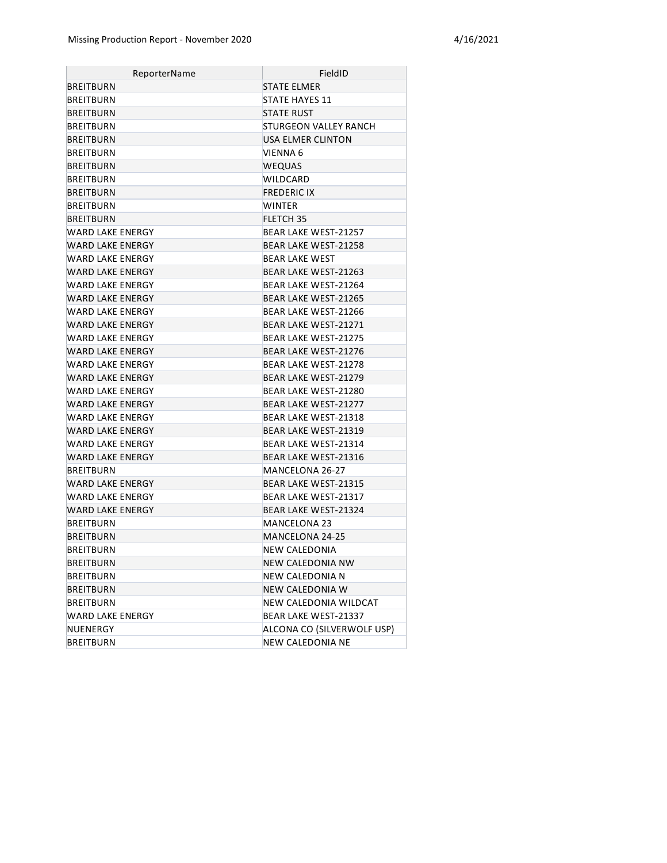| ReporterName            | FieldID                     |
|-------------------------|-----------------------------|
| BREITBURN               | STATE ELMER                 |
| BREITBURN               | STATE HAYES 11              |
| BREITBURN               | <b>STATE RUST</b>           |
| BREITBURN               | STURGEON VALLEY RANCH       |
| BREITBURN               | USA ELMER CLINTON           |
| BREITBURN               | VIENNA 6                    |
| BREITBURN               | <b>WEQUAS</b>               |
| BREITBURN               | WILDCARD                    |
| BREITBURN               | <b>FREDERIC IX</b>          |
| BREITBURN               | <b>WINTER</b>               |
| BREITBURN               | FLETCH 35                   |
| WARD LAKE ENERGY        | BEAR LAKE WEST-21257        |
| WARD LAKE ENERGY        | <b>BEAR LAKE WEST-21258</b> |
| WARD LAKE ENERGY        | <b>BEAR LAKE WEST</b>       |
| WARD LAKE ENERGY        | BEAR LAKE WEST-21263        |
| WARD LAKE ENERGY        | BEAR LAKE WEST-21264        |
| WARD LAKE ENERGY        | <b>BEAR LAKE WEST-21265</b> |
| WARD LAKE ENERGY        | BEAR LAKE WEST-21266        |
| WARD LAKE ENERGY        | <b>BEAR LAKE WEST-21271</b> |
| WARD LAKE ENERGY        | <b>BEAR LAKE WEST-21275</b> |
| WARD LAKE ENERGY        | <b>BEAR LAKE WEST-21276</b> |
| WARD LAKE ENERGY        | <b>BEAR LAKE WEST-21278</b> |
| <b>WARD LAKE ENERGY</b> | <b>BEAR LAKE WEST-21279</b> |
| WARD LAKE ENERGY        | BEAR LAKE WEST-21280        |
| <b>WARD LAKE ENERGY</b> | <b>BEAR LAKE WEST-21277</b> |
| WARD LAKE ENERGY        | BEAR LAKE WEST-21318        |
| WARD LAKE ENERGY        | <b>BEAR LAKE WEST-21319</b> |
| WARD LAKE ENERGY        | BEAR LAKE WEST-21314        |
| WARD LAKE ENERGY        | <b>BEAR LAKE WEST-21316</b> |
| BREITBURN               | MANCELONA 26-27             |
| WARD LAKE ENERGY        | <b>BEAR LAKE WEST-21315</b> |
| WARD LAKE ENERGY        | BEAR LAKE WEST-21317        |
| WARD LAKE ENERGY        | <b>BEAR LAKE WEST-21324</b> |
| BREITBURN               | <b>MANCELONA 23</b>         |
| <b>BREITBURN</b>        | MANCELONA 24-25             |
| <b>BREITBURN</b>        | NEW CALEDONIA               |
| BREITBURN               | NEW CALEDONIA NW            |
| BREITBURN               | NEW CALEDONIA N             |
| BREITBURN               | <b>NEW CALEDONIA W</b>      |
| BREITBURN               | NEW CALEDONIA WILDCAT       |
| WARD LAKE ENERGY        | BEAR LAKE WEST-21337        |
| NUENERGY                | ALCONA CO (SILVERWOLF USP)  |
| BREITBURN               | <b>NEW CALEDONIA NE</b>     |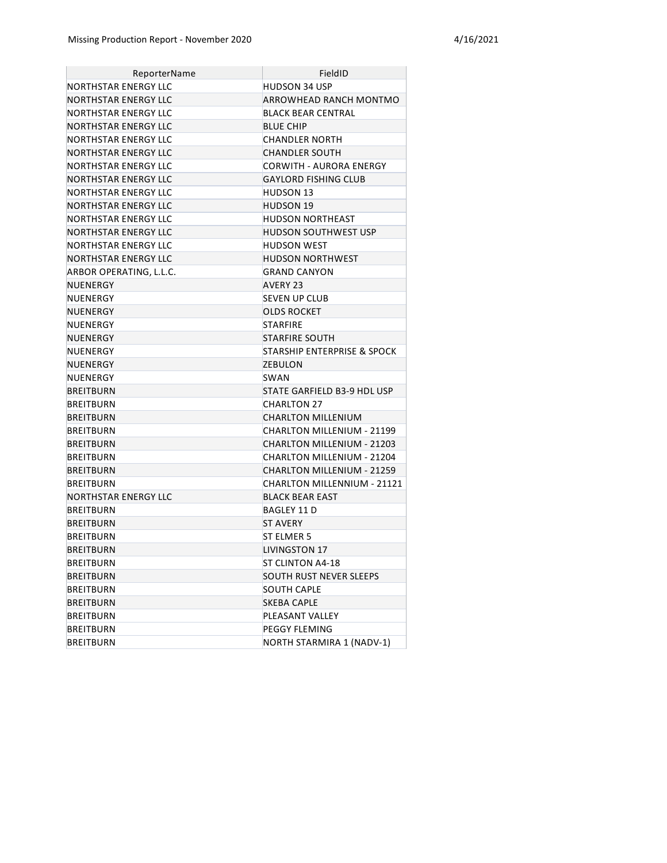| ReporterName            | FieldID                                |
|-------------------------|----------------------------------------|
| NORTHSTAR ENERGY LLC    | HUDSON 34 USP                          |
| NORTHSTAR ENERGY LLC    | ARROWHEAD RANCH MONTMO                 |
| NORTHSTAR ENERGY LLC    | BLACK BEAR CENTRAL                     |
| NORTHSTAR ENERGY LLC    | <b>BLUE CHIP</b>                       |
| NORTHSTAR ENERGY LLC    | CHANDLER NORTH                         |
| NORTHSTAR ENERGY LLC    | <b>CHANDLER SOUTH</b>                  |
| NORTHSTAR ENERGY LLC    | CORWITH - AURORA ENERGY                |
| NORTHSTAR ENERGY LLC    | GAYLORD FISHING CLUB                   |
| NORTHSTAR ENERGY LLC    | HUDSON 13                              |
| NORTHSTAR ENERGY LLC    | <b>HUDSON 19</b>                       |
| NORTHSTAR ENERGY LLC    | HUDSON NORTHEAST                       |
| NORTHSTAR ENERGY LLC    | HUDSON SOUTHWEST USP                   |
| NORTHSTAR ENERGY LLC    | HUDSON WEST                            |
| NORTHSTAR ENERGY LLC    | HUDSON NORTHWEST                       |
| ARBOR OPERATING, L.L.C. | <b>GRAND CANYON</b>                    |
| NUENERGY                | AVERY 23                               |
| NUENERGY                | <b>SEVEN UP CLUB</b>                   |
| NUENERGY                | <b>OLDS ROCKET</b>                     |
| NUENERGY                | <b>STARFIRE</b>                        |
| NUENERGY                | <b>STARFIRE SOUTH</b>                  |
| NUENERGY                | <b>STARSHIP ENTERPRISE &amp; SPOCK</b> |
| NUENERGY                | <b>ZEBULON</b>                         |
| NUENERGY                | <b>SWAN</b>                            |
| <b>BREITBURN</b>        | STATE GARFIELD B3-9 HDL USP            |
| <b>BREITBURN</b>        | <b>CHARLTON 27</b>                     |
| <b>BREITBURN</b>        | <b>CHARLTON MILLENIUM</b>              |
| <b>BREITBURN</b>        | CHARLTON MILLENIUM - 21199             |
| <b>BREITBURN</b>        | CHARLTON MILLENIUM - 21203             |
| <b>BREITBURN</b>        | CHARLTON MILLENIUM - 21204             |
| <b>BREITBURN</b>        | CHARLTON MILLENIUM - 21259             |
| BREITBURN               | CHARLTON MILLENNIUM - 21121            |
| NORTHSTAR ENERGY LLC    | <b>BLACK BEAR EAST</b>                 |
| <b>BREITBURN</b>        | BAGLEY 11 D                            |
| <b>BREITBURN</b>        | <b>ST AVERY</b>                        |
| <b>BREITBURN</b>        | ST ELMER 5                             |
| <b>BREITBURN</b>        | <b>LIVINGSTON 17</b>                   |
| <b>BREITBURN</b>        | ST CLINTON A4-18                       |
| <b>BREITBURN</b>        | <b>SOUTH RUST NEVER SLEEPS</b>         |
| BREITBURN               | SOUTH CAPLE                            |
| <b>BREITBURN</b>        | SKEBA CAPLE                            |
| BREITBURN               | PLEASANT VALLEY                        |
| <b>BREITBURN</b>        | PEGGY FLEMING                          |
| BREITBURN               | NORTH STARMIRA 1 (NADV-1)              |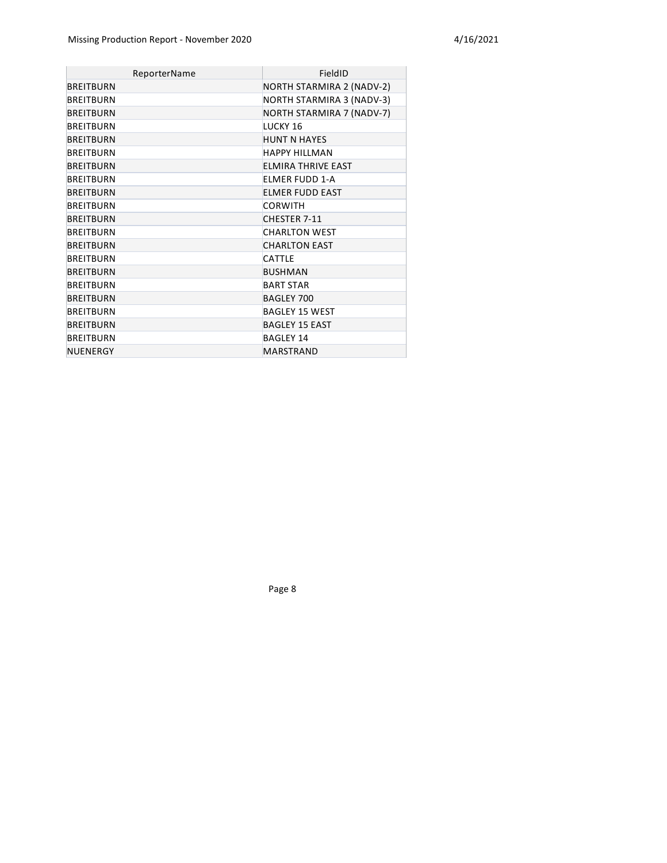| ReporterName     | FieldID                          |
|------------------|----------------------------------|
| <b>BREITBURN</b> | <b>NORTH STARMIRA 2 (NADV-2)</b> |
| <b>BREITBURN</b> | NORTH STARMIRA 3 (NADV-3)        |
| <b>BREITBURN</b> | NORTH STARMIRA 7 (NADV-7)        |
| <b>BREITBURN</b> | LUCKY 16                         |
| <b>BREITBURN</b> | <b>HUNT N HAYES</b>              |
| <b>BREITBURN</b> | <b>HAPPY HILLMAN</b>             |
| <b>BREITBURN</b> | <b>ELMIRA THRIVE EAST</b>        |
| <b>BREITBURN</b> | FIMER FUDD 1-A                   |
| <b>BREITBURN</b> | <b>ELMER FUDD EAST</b>           |
| <b>BREITBURN</b> | <b>CORWITH</b>                   |
| <b>BREITBURN</b> | CHESTER 7-11                     |
| <b>BREITBURN</b> | <b>CHARLTON WEST</b>             |
| <b>BREITBURN</b> | <b>CHARLTON EAST</b>             |
| <b>BREITBURN</b> | <b>CATTLE</b>                    |
| <b>BREITBURN</b> | <b>BUSHMAN</b>                   |
| <b>BREITBURN</b> | <b>BART STAR</b>                 |
| <b>BREITBURN</b> | <b>BAGLEY 700</b>                |
| <b>BREITBURN</b> | <b>BAGLEY 15 WEST</b>            |
| <b>BREITBURN</b> | <b>BAGLEY 15 EAST</b>            |
| <b>BREITBURN</b> | <b>BAGLEY 14</b>                 |
| NUENERGY         | <b>MARSTRAND</b>                 |

Page 8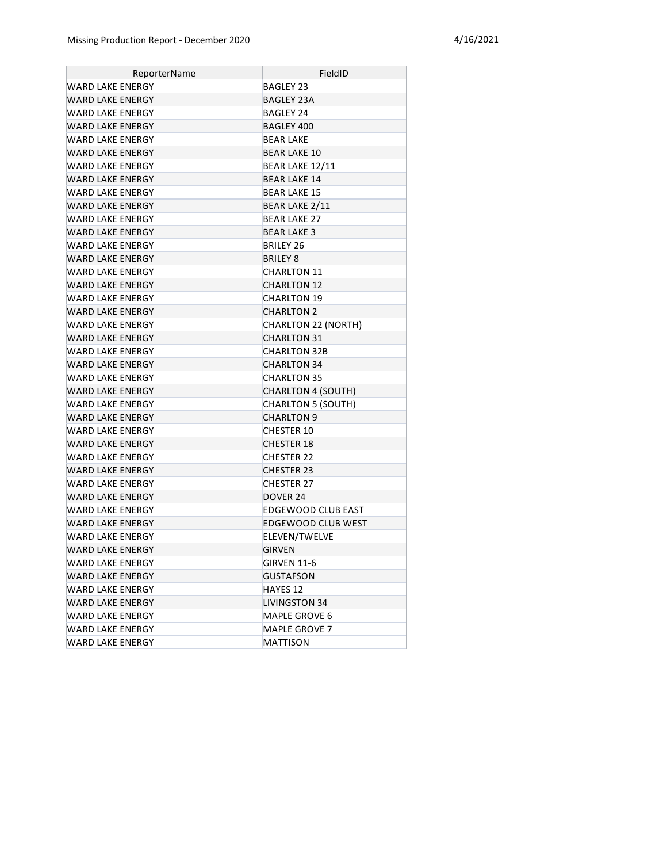| ReporterName            | FieldID                    |
|-------------------------|----------------------------|
| WARD LAKE ENERGY        | <b>BAGLEY 23</b>           |
| WARD LAKE ENERGY        | BAGLEY 23A                 |
| WARD LAKE ENERGY        | BAGLEY 24                  |
| <b>WARD LAKE ENERGY</b> | BAGLEY 400                 |
| WARD LAKE ENERGY        | <b>BEAR LAKE</b>           |
| WARD LAKE ENERGY        | <b>BEAR LAKE 10</b>        |
| WARD LAKE ENERGY        | BEAR LAKE 12/11            |
| WARD LAKE ENERGY        | <b>BEAR LAKE 14</b>        |
| WARD LAKE ENERGY        | <b>BEAR LAKE 15</b>        |
| WARD LAKE ENERGY        | <b>BEAR LAKE 2/11</b>      |
| WARD LAKE ENERGY        | <b>BEAR LAKE 27</b>        |
| WARD LAKE ENERGY        | <b>BEAR LAKE 3</b>         |
| WARD LAKE ENERGY        | BRILEY 26                  |
| WARD LAKE ENERGY        | <b>BRILEY 8</b>            |
| WARD LAKE ENERGY        | <b>CHARLTON 11</b>         |
| WARD LAKE ENERGY        | <b>CHARLTON 12</b>         |
| WARD LAKE ENERGY        | <b>CHARLTON 19</b>         |
| WARD LAKE ENERGY        | <b>CHARLTON 2</b>          |
| WARD LAKE ENERGY        | <b>CHARLTON 22 (NORTH)</b> |
| WARD LAKE ENERGY        | <b>CHARLTON 31</b>         |
| WARD LAKE ENERGY        | <b>CHARLTON 32B</b>        |
| WARD LAKE ENERGY        | <b>CHARLTON 34</b>         |
| WARD LAKE ENERGY        | <b>CHARLTON 35</b>         |
| WARD LAKE ENERGY        | <b>CHARLTON 4 (SOUTH)</b>  |
| WARD LAKE ENERGY        | <b>CHARLTON 5 (SOUTH)</b>  |
| WARD LAKE ENERGY        | <b>CHARLTON 9</b>          |
| WARD LAKE ENERGY        | <b>CHESTER 10</b>          |
| <b>WARD LAKE ENERGY</b> | <b>CHESTER 18</b>          |
| WARD LAKE ENERGY        | <b>CHESTER 22</b>          |
| WARD LAKE ENERGY        | <b>CHESTER 23</b>          |
| WARD LAKE ENERGY        | <b>CHESTER 27</b>          |
| WARD LAKE ENERGY        | DOVER 24                   |
| WARD LAKE ENERGY        | EDGEWOOD CLUB EAST         |
| WARD LAKE ENERGY        | <b>EDGEWOOD CLUB WEST</b>  |
| <b>WARD LAKE ENERGY</b> | ELEVEN/TWELVE              |
| WARD LAKE ENERGY        | <b>GIRVEN</b>              |
| WARD LAKE ENERGY        | <b>GIRVEN 11-6</b>         |
| WARD LAKE ENERGY        | <b>GUSTAFSON</b>           |
| <b>WARD LAKE ENERGY</b> | HAYES 12                   |
| <b>WARD LAKE ENERGY</b> | <b>LIVINGSTON 34</b>       |
| WARD LAKE ENERGY        | MAPLE GROVE 6              |
| <b>WARD LAKE ENERGY</b> | MAPLE GROVE 7              |
| <b>WARD LAKE ENERGY</b> | MATTISON                   |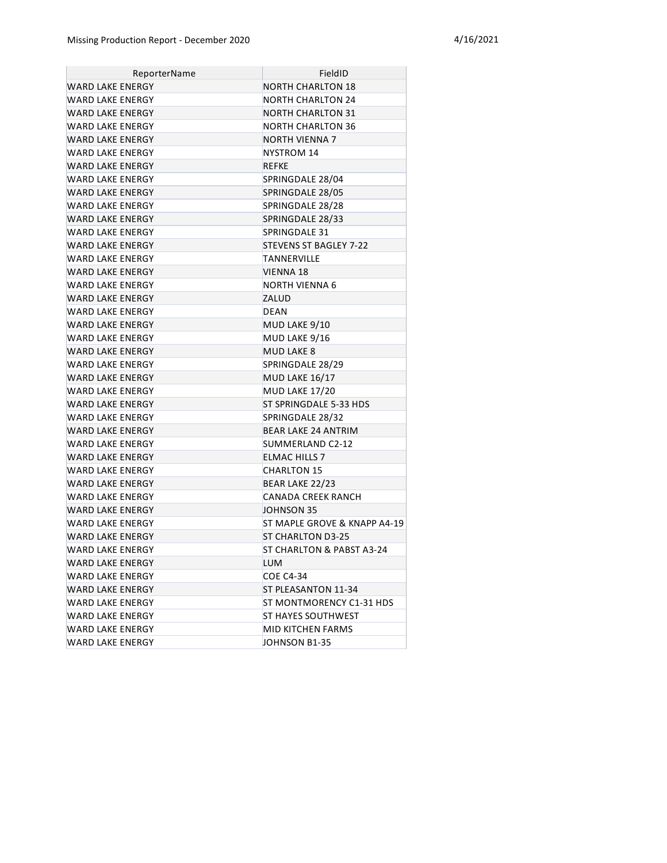| ReporterName            | FieldID                      |
|-------------------------|------------------------------|
| <b>WARD LAKE ENERGY</b> | <b>NORTH CHARLTON 18</b>     |
| WARD LAKE ENERGY        | <b>NORTH CHARLTON 24</b>     |
| WARD LAKE ENERGY        | <b>NORTH CHARLTON 31</b>     |
| WARD LAKE ENERGY        | NORTH CHARLTON 36            |
| WARD LAKE ENERGY        | <b>NORTH VIENNA 7</b>        |
| WARD LAKE ENERGY        | <b>NYSTROM 14</b>            |
| WARD LAKE ENERGY        | REFKE                        |
| WARD LAKE ENERGY        | SPRINGDALE 28/04             |
| <b>WARD LAKE ENERGY</b> | SPRINGDALE 28/05             |
| WARD LAKE ENERGY        | SPRINGDALE 28/28             |
| WARD LAKE ENERGY        | SPRINGDALE 28/33             |
| <b>WARD LAKE ENERGY</b> | SPRINGDALE 31                |
| <b>WARD LAKE ENERGY</b> | STEVENS ST BAGLEY 7-22       |
| WARD LAKE ENERGY        | TANNERVILLE                  |
| <b>WARD LAKE ENERGY</b> | VIENNA 18                    |
| WARD LAKE ENERGY        | NORTH VIENNA 6               |
| <b>WARD LAKE ENERGY</b> | ZALUD                        |
| WARD LAKE ENERGY        | DEAN                         |
| <b>WARD LAKE ENERGY</b> | MUD LAKE 9/10                |
| WARD LAKE ENERGY        | MUD LAKE 9/16                |
| <b>WARD LAKE ENERGY</b> | <b>MUD LAKE 8</b>            |
| WARD LAKE ENERGY        | SPRINGDALE 28/29             |
| <b>WARD LAKE ENERGY</b> | <b>MUD LAKE 16/17</b>        |
| WARD LAKE ENERGY        | MUD LAKE 17/20               |
| <b>WARD LAKE ENERGY</b> | ST SPRINGDALE 5-33 HDS       |
| WARD LAKE ENERGY        | SPRINGDALE 28/32             |
| WARD LAKE ENERGY        | <b>BEAR LAKE 24 ANTRIM</b>   |
| WARD LAKE ENERGY        | SUMMERLAND C2-12             |
| WARD LAKE ENERGY        | <b>ELMAC HILLS 7</b>         |
| WARD LAKE ENERGY        | <b>CHARLTON 15</b>           |
| <b>WARD LAKE ENERGY</b> | BEAR LAKE 22/23              |
| WARD LAKE ENERGY        | CANADA CREEK RANCH           |
| <b>WARD LAKE ENERGY</b> | JOHNSON 35                   |
| <b>WARD LAKE ENERGY</b> | ST MAPLE GROVE & KNAPP A4-19 |
| WARD LAKE ENERGY        | ST CHARLTON D3-25            |
| WARD LAKE ENERGY        | ST CHARLTON & PABST A3-24    |
| WARD LAKE ENERGY        | <b>LUM</b>                   |
| <b>WARD LAKE ENERGY</b> | <b>COE C4-34</b>             |
| <b>WARD LAKE ENERGY</b> | ST PLEASANTON 11-34          |
| <b>WARD LAKE ENERGY</b> | ST MONTMORENCY C1-31 HDS     |
| <b>WARD LAKE ENERGY</b> | <b>ST HAYES SOUTHWEST</b>    |
| <b>WARD LAKE ENERGY</b> | MID KITCHEN FARMS            |
| <b>WARD LAKE ENERGY</b> | JOHNSON B1-35                |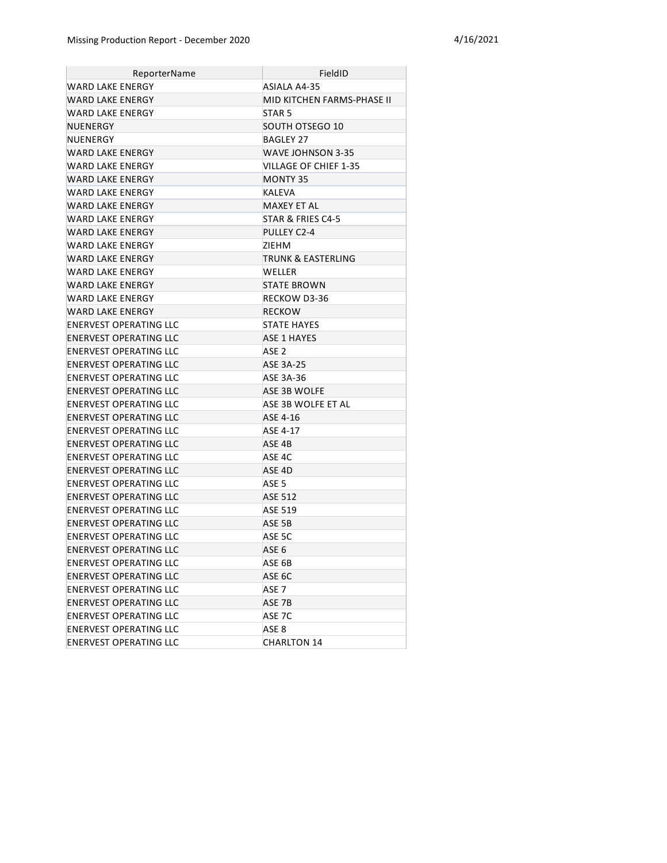| ReporterName                  | FieldID                    |
|-------------------------------|----------------------------|
| WARD LAKE ENERGY              | ASIALA A4-35               |
| <b>WARD LAKE ENFRGY</b>       | MID KITCHEN FARMS-PHASE II |
| WARD LAKE ENERGY              | STAR <sub>5</sub>          |
| NUENERGY                      | SOUTH OTSEGO 10            |
| NUENERGY                      | BAGLEY 27                  |
| WARD LAKE ENERGY              | WAVE JOHNSON 3-35          |
| WARD LAKE ENERGY              | VILLAGE OF CHIEF 1-35      |
| WARD LAKE ENERGY              | <b>MONTY 35</b>            |
| WARD LAKE ENERGY              | <b>KALEVA</b>              |
| WARD LAKE ENERGY              | <b>MAXEY ET AL</b>         |
| WARD LAKE ENERGY              | STAR & FRIES C4-5          |
| WARD LAKE ENERGY              | PULLEY C2-4                |
| WARD LAKE ENERGY              | ZIEHM                      |
| WARD LAKE ENERGY              | TRUNK & EASTERLING         |
| WARD LAKE ENERGY              | <b>WELLER</b>              |
| WARD LAKE ENERGY              | <b>STATE BROWN</b>         |
| WARD LAKE ENERGY              | RECKOW D3-36               |
| WARD LAKE ENERGY              | <b>RECKOW</b>              |
| <b>ENERVEST OPERATING LLC</b> | <b>STATE HAYES</b>         |
| <b>ENERVEST OPERATING LLC</b> | <b>ASE 1 HAYES</b>         |
| ENERVEST OPERATING LLC        | ASE <sub>2</sub>           |
| <b>ENERVEST OPERATING LLC</b> | <b>ASE 3A-25</b>           |
| ENERVEST OPERATING LLC        | ASE 3A-36                  |
| ENERVEST OPERATING LLC        | ASE 3B WOLFE               |
| ENERVEST OPERATING LLC        | ASE 3B WOLFE ET AL         |
| ENERVEST OPERATING LLC        | ASE 4-16                   |
| ENERVEST OPERATING LLC        | ASE 4-17                   |
| <b>ENERVEST OPERATING LLC</b> | ASE 4B                     |
| <b>ENERVEST OPERATING LLC</b> | ASE 4C                     |
| <b>ENERVEST OPERATING LLC</b> | ASE <sub>4D</sub>          |
| ENERVEST OPERATING LLC        | ASE <sub>5</sub>           |
| <b>ENERVEST OPERATING LLC</b> | <b>ASE 512</b>             |
| ENERVEST OPERATING LLC        | <b>ASE 519</b>             |
| <b>ENERVEST OPERATING LLC</b> | ASE 5B                     |
| <b>ENERVEST OPERATING LLC</b> | ASE 5C                     |
| <b>ENERVEST OPERATING LLC</b> | ASE <sub>6</sub>           |
| <b>ENERVEST OPERATING LLC</b> | ASE 6B                     |
| <b>ENERVEST OPERATING LLC</b> | ASE 6C                     |
| ENERVEST OPERATING LLC        | ASE <sub>7</sub>           |
| <b>ENERVEST OPERATING LLC</b> | ASE 7B                     |
| <b>ENERVEST OPERATING LLC</b> | ASE 7C                     |
| ENERVEST OPERATING LLC        | ASE 8                      |
| <b>ENERVEST OPERATING LLC</b> | <b>CHARLTON 14</b>         |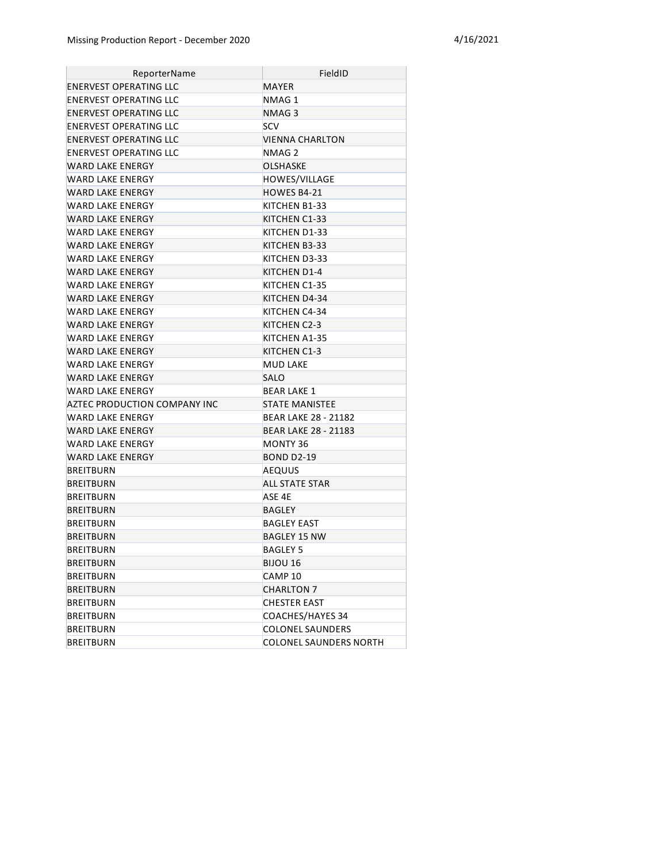| ReporterName                  | FieldID                       |  |
|-------------------------------|-------------------------------|--|
| ENERVEST OPERATING LLC        | <b>MAYER</b>                  |  |
| <b>ENERVEST OPERATING LLC</b> | NMAG1                         |  |
| ENERVEST OPERATING LLC        | NMAG 3                        |  |
| <b>ENERVEST OPERATING LLC</b> | <b>SCV</b>                    |  |
| ENERVEST OPERATING LLC        | VIENNA CHARLTON               |  |
| ENERVEST OPERATING LLC        | NMAG 2                        |  |
| WARD LAKE ENERGY              | <b>OLSHASKE</b>               |  |
| WARD LAKE ENERGY              | HOWES/VILLAGE                 |  |
| WARD LAKE ENERGY              | HOWES B4-21                   |  |
| WARD LAKE ENERGY              | KITCHEN B1-33                 |  |
| WARD LAKE ENERGY              | KITCHEN C1-33                 |  |
| WARD LAKE ENERGY              | KITCHEN D1-33                 |  |
| WARD LAKE ENERGY              | KITCHEN B3-33                 |  |
| WARD LAKE ENERGY              | KITCHEN D3-33                 |  |
| WARD LAKE ENERGY              | KITCHEN D1-4                  |  |
| WARD LAKE ENERGY              | KITCHEN C1-35                 |  |
| WARD LAKE ENERGY              | KITCHEN D4-34                 |  |
| WARD LAKE ENERGY              | KITCHEN C4-34                 |  |
| WARD LAKE ENERGY              | KITCHEN C2-3                  |  |
| WARD LAKE ENERGY              | KITCHEN A1-35                 |  |
| WARD LAKE ENERGY              | KITCHEN C1-3                  |  |
| <b>WARD LAKE ENERGY</b>       | <b>MUD LAKE</b>               |  |
| <b>WARD LAKE ENERGY</b>       | <b>SALO</b>                   |  |
| <b>WARD LAKE ENERGY</b>       | <b>BEAR LAKE 1</b>            |  |
| AZTEC PRODUCTION COMPANY INC  | <b>STATE MANISTEE</b>         |  |
| WARD LAKE ENERGY              | BEAR LAKE 28 - 21182          |  |
| WARD LAKE ENERGY              | <b>BEAR LAKE 28 - 21183</b>   |  |
| WARD LAKE ENERGY              | <b>MONTY 36</b>               |  |
| WARD LAKE ENERGY              | <b>BOND D2-19</b>             |  |
| <b>BREITBURN</b>              | AEQUUS                        |  |
| <b>BREITBURN</b>              | ALL STATE STAR                |  |
| <b>BREITBURN</b>              | ASE 4E                        |  |
| <b>BREITBURN</b>              | BAGLEY                        |  |
| BREITBURN                     | BAGLEY EAST                   |  |
| <b>BREITBURN</b>              | BAGLEY 15 NW                  |  |
| BREITBURN                     | <b>BAGLEY 5</b>               |  |
| <b>BREITBURN</b>              | BIJOU 16                      |  |
| BREITBURN                     | CAMP 10                       |  |
| <b>BREITBURN</b>              | <b>CHARLTON 7</b>             |  |
| BREITBURN                     | <b>CHESTER EAST</b>           |  |
| BREITBURN                     | COACHES/HAYES 34              |  |
| <b>BREITBURN</b>              | <b>COLONEL SAUNDERS</b>       |  |
| <b>BREITBURN</b>              | <b>COLONEL SAUNDERS NORTH</b> |  |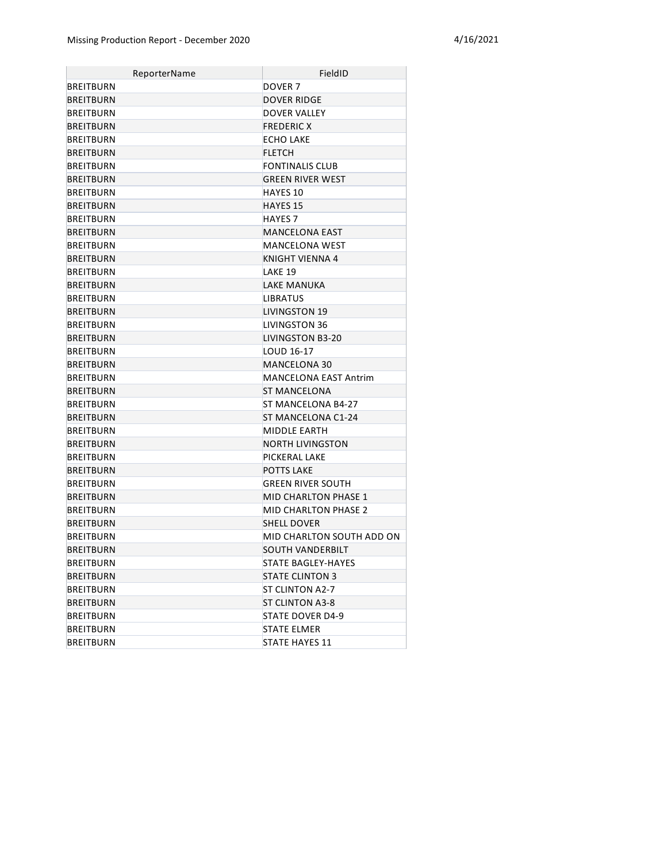| ReporterName     | FieldID                      |
|------------------|------------------------------|
| BREITBURN        | DOVER <sub>7</sub>           |
| <b>BREITBURN</b> | <b>DOVER RIDGE</b>           |
| <b>BREITBURN</b> | DOVER VALLEY                 |
| <b>BREITBURN</b> | <b>FREDERIC X</b>            |
| <b>BREITBURN</b> | <b>ECHO LAKE</b>             |
| <b>BREITBURN</b> | <b>FLETCH</b>                |
| <b>BREITBURN</b> | <b>FONTINALIS CLUB</b>       |
| <b>BREITBURN</b> | <b>GREEN RIVER WEST</b>      |
| <b>BREITBURN</b> | HAYFS <sub>10</sub>          |
| <b>BREITBURN</b> | <b>HAYES 15</b>              |
| BREITBURN        | <b>HAYES 7</b>               |
| <b>BREITBURN</b> | <b>MANCELONA EAST</b>        |
| BREITBURN        | MANCELONA WEST               |
| <b>BREITBURN</b> | KNIGHT VIENNA 4              |
| <b>BREITBURN</b> | LAKE 19                      |
| <b>BREITBURN</b> | <b>LAKE MANUKA</b>           |
| <b>BREITBURN</b> | <b>LIBRATUS</b>              |
| <b>BREITBURN</b> | <b>LIVINGSTON 19</b>         |
| <b>BREITBURN</b> | LIVINGSTON 36                |
| <b>BREITBURN</b> | LIVINGSTON B3-20             |
| <b>BREITBURN</b> | LOUD 16-17                   |
| <b>BREITBURN</b> | MANCELONA 30                 |
| <b>BREITBURN</b> | <b>MANCELONA EAST Antrim</b> |
| <b>BREITBURN</b> | <b>ST MANCELONA</b>          |
| <b>BREITBURN</b> | ST MANCELONA B4-27           |
| <b>BREITBURN</b> | ST MANCELONA C1-24           |
| <b>BREITBURN</b> | <b>MIDDLE EARTH</b>          |
| <b>BREITBURN</b> | <b>NORTH LIVINGSTON</b>      |
| <b>BREITBURN</b> | PICKERAL LAKE                |
| <b>BREITBURN</b> | <b>POTTS LAKE</b>            |
| <b>BREITBURN</b> | GREEN RIVER SOUTH            |
| <b>BREITBURN</b> | <b>MID CHARLTON PHASE 1</b>  |
| BREITBURN        | <b>MID CHARLTON PHASE 2</b>  |
| <b>BREITBURN</b> | <b>SHELL DOVER</b>           |
| <b>BREITBURN</b> | MID CHARLTON SOUTH ADD ON    |
| <b>BREITBURN</b> | SOUTH VANDERBILT             |
| <b>BREITBURN</b> | STATE BAGLEY-HAYES           |
| <b>BREITBURN</b> | <b>STATE CLINTON 3</b>       |
| <b>BREITBURN</b> | <b>ST CLINTON A2-7</b>       |
| <b>BREITBURN</b> | <b>ST CLINTON A3-8</b>       |
| BREITBURN        | STATE DOVER D4-9             |
| BREITBURN        | <b>STATE ELMER</b>           |
| BREITBURN        | <b>STATE HAYES 11</b>        |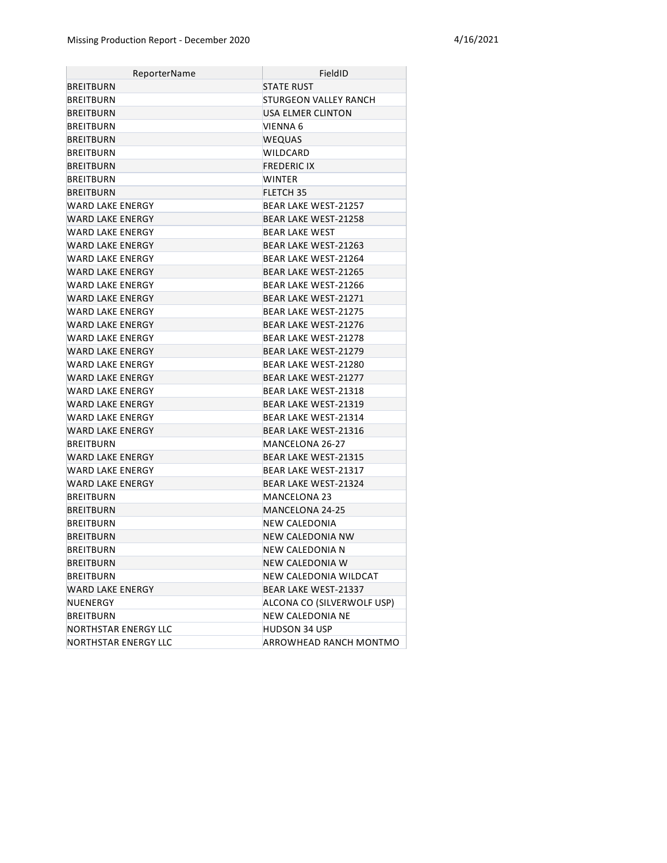| ReporterName         | FieldID                     |
|----------------------|-----------------------------|
| BREITBURN            | STATE RUST                  |
| BREITBURN            | STURGEON VALLEY RANCH       |
| BREITBURN            | USA ELMER CLINTON           |
| BREITBURN            | VIENNA 6                    |
| <b>BREITBURN</b>     | <b>WEQUAS</b>               |
| BREITBURN            | WILDCARD                    |
| BREITBURN            | <b>FREDERIC IX</b>          |
| <b>BREITBURN</b>     | <b>WINTER</b>               |
| BREITBURN            | FLETCH 35                   |
| WARD LAKE ENERGY     | BEAR LAKE WEST-21257        |
| WARD LAKE ENERGY     | <b>BEAR LAKE WEST-21258</b> |
| WARD LAKE ENERGY     | <b>BEAR LAKE WEST</b>       |
| WARD LAKE ENERGY     | <b>BEAR LAKE WEST-21263</b> |
| WARD LAKE ENERGY     | BEAR LAKE WEST-21264        |
| WARD LAKE ENERGY     | <b>BEAR LAKE WEST-21265</b> |
| WARD LAKE ENERGY     | BEAR LAKE WEST-21266        |
| WARD LAKE ENERGY     | <b>BEAR LAKE WEST-21271</b> |
| WARD LAKE ENERGY     | <b>BEAR LAKE WEST-21275</b> |
| WARD LAKE ENERGY     | <b>BEAR LAKE WEST-21276</b> |
| WARD LAKE ENERGY     | <b>BEAR LAKE WEST-21278</b> |
| WARD LAKE ENERGY     | <b>BEAR LAKE WEST-21279</b> |
| WARD LAKE ENERGY     | BEAR LAKE WEST-21280        |
| WARD LAKE ENERGY     | <b>BEAR LAKE WEST-21277</b> |
| WARD LAKE ENERGY     | BEAR LAKE WEST-21318        |
| WARD LAKE ENERGY     | <b>BEAR LAKE WEST-21319</b> |
| WARD LAKE ENERGY     | BEAR LAKE WEST-21314        |
| WARD LAKE ENERGY     | <b>BEAR LAKE WEST-21316</b> |
| <b>BREITBURN</b>     | MANCELONA 26-27             |
| WARD LAKE ENERGY     | <b>BEAR LAKE WEST-21315</b> |
| WARD LAKE ENERGY     | BEAR LAKE WEST-21317        |
| WARD LAKE ENERGY     | BEAR LAKE WEST-21324        |
| <b>BREITBURN</b>     | MANCELONA 23                |
| <b>BREITBURN</b>     | MANCELONA 24-25             |
| <b>BREITBURN</b>     | NEW CALEDONIA               |
| <b>BREITBURN</b>     | <b>NEW CALEDONIA NW</b>     |
| <b>BREITBURN</b>     | NEW CALEDONIA N             |
| <b>BREITBURN</b>     | NEW CALEDONIA W             |
| BREITBURN            | NEW CALEDONIA WILDCAT       |
| WARD LAKE ENERGY     | BEAR LAKE WEST-21337        |
| NUENERGY             | ALCONA CO (SILVERWOLF USP)  |
| BREITBURN            | <b>NEW CALEDONIA NE</b>     |
| NORTHSTAR ENERGY LLC | HUDSON 34 USP               |
| NORTHSTAR ENERGY LLC | ARROWHEAD RANCH MONTMO      |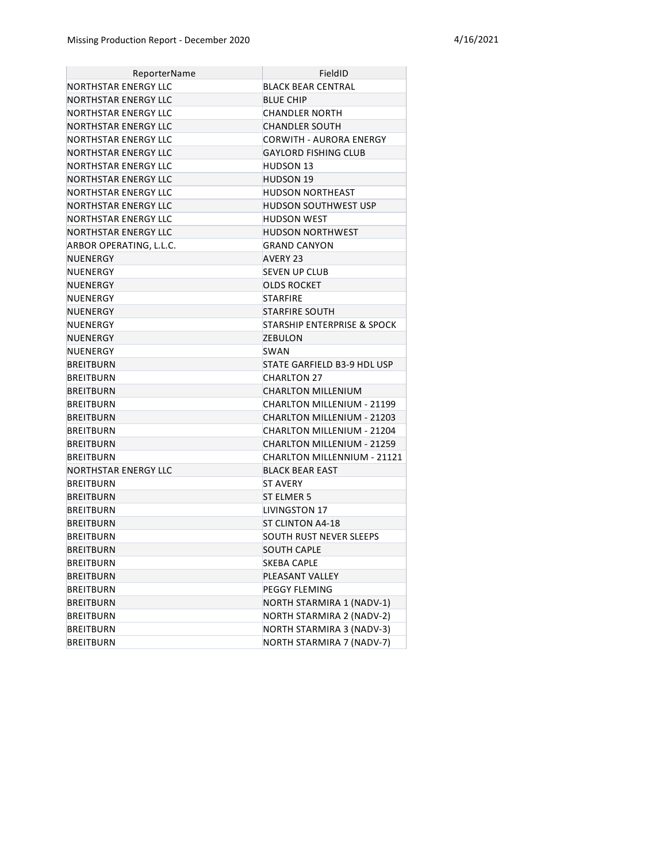| ReporterName            | FieldID                                |
|-------------------------|----------------------------------------|
| NORTHSTAR ENERGY LLC    | BLACK BEAR CENTRAL                     |
| NORTHSTAR ENERGY LLC    | <b>BLUE CHIP</b>                       |
| NORTHSTAR ENERGY LLC    | CHANDLER NORTH                         |
| NORTHSTAR ENERGY LLC    | <b>CHANDLER SOUTH</b>                  |
| NORTHSTAR ENERGY LLC    | CORWITH - AURORA ENERGY                |
| NORTHSTAR ENERGY LLC    | <b>GAYLORD FISHING CLUB</b>            |
| NORTHSTAR ENERGY LLC    | <b>HUDSON 13</b>                       |
| NORTHSTAR ENERGY LLC    | <b>HUDSON 19</b>                       |
| NORTHSTAR ENERGY LLC    | HUDSON NORTHEAST                       |
| NORTHSTAR ENERGY LLC    | <b>HUDSON SOUTHWEST USP</b>            |
| NORTHSTAR ENERGY LLC    | HUDSON WEST                            |
| NORTHSTAR ENERGY LLC    | <b>HUDSON NORTHWEST</b>                |
| ARBOR OPERATING, L.L.C. | <b>GRAND CANYON</b>                    |
| NUENERGY                | <b>AVERY 23</b>                        |
| NUENERGY                | <b>SEVEN UP CLUB</b>                   |
| NUENERGY                | OLDS ROCKET                            |
| NUENERGY                | <b>STARFIRE</b>                        |
| NUENERGY                | <b>STARFIRE SOUTH</b>                  |
| NUENERGY                | <b>STARSHIP ENTERPRISE &amp; SPOCK</b> |
| NUENERGY                | <b>ZEBULON</b>                         |
| NUENERGY                | <b>SWAN</b>                            |
| <b>BREITBURN</b>        | STATE GARFIELD B3-9 HDL USP            |
| <b>BREITBURN</b>        | <b>CHARLTON 27</b>                     |
| <b>BREITBURN</b>        | <b>CHARLTON MILLENIUM</b>              |
| <b>BREITBURN</b>        | CHARLTON MILLENIUM - 21199             |
| <b>BREITBURN</b>        | CHARLTON MILLENIUM - 21203             |
| <b>BREITBURN</b>        | CHARLTON MILLENIUM - 21204             |
| <b>BREITBURN</b>        | CHARLTON MILLENIUM - 21259             |
| <b>BREITBURN</b>        | CHARLTON MILLENNIUM - 21121            |
| NORTHSTAR ENERGY LLC    | <b>BLACK BEAR EAST</b>                 |
| <b>BREITBURN</b>        | <b>ST AVERY</b>                        |
| <b>BREITBURN</b>        | ST ELMER 5                             |
| <b>BREITBURN</b>        | LIVINGSTON 17                          |
| <b>BREITBURN</b>        | ST CLINTON A4-18                       |
| <b>BREITBURN</b>        | SOUTH RUST NEVER SLEEPS                |
| <b>BREITBURN</b>        | SOUTH CAPLE                            |
| <b>BREITBURN</b>        | SKEBA CAPLE                            |
| <b>BREITBURN</b>        | PLEASANT VALLEY                        |
| <b>BREITBURN</b>        | PEGGY FLEMING                          |
| <b>BREITBURN</b>        | NORTH STARMIRA 1 (NADV-1)              |
| <b>BREITBURN</b>        | NORTH STARMIRA 2 (NADV-2)              |
| <b>BREITBURN</b>        | NORTH STARMIRA 3 (NADV-3)              |
| <b>BREITBURN</b>        | NORTH STARMIRA 7 (NADV-7)              |